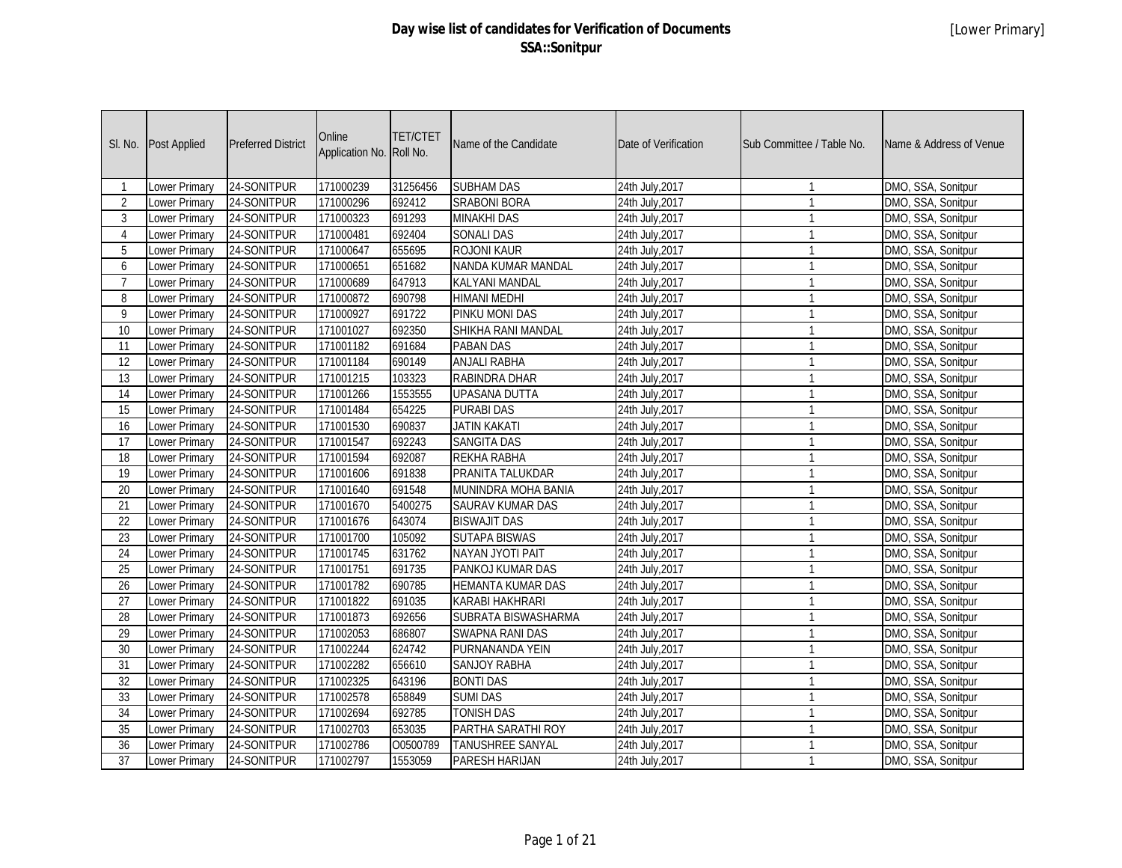| SI. No.         | Post Applied         | <b>Preferred District</b> | Online<br>Application No. Roll No. | <b>TET/CTET</b> | Name of the Candidate     | Date of Verification | Sub Committee / Table No. | Name & Address of Venue |
|-----------------|----------------------|---------------------------|------------------------------------|-----------------|---------------------------|----------------------|---------------------------|-------------------------|
|                 | Lower Primary        | 24-SONITPUR               | 171000239                          | 31256456        | <b>SUBHAM DAS</b>         | 24th July, 2017      | $\mathbf{1}$              | DMO, SSA, Sonitpur      |
| $\overline{2}$  | Lower Primary        | 24-SONITPUR               | 171000296                          | 692412          | <b>SRABONI BORA</b>       | 24th July, 2017      | $\mathbf{1}$              | DMO, SSA, Sonitpur      |
| 3               | Lower Primary        | 24-SONITPUR               | 171000323                          | 691293          | <b>MINAKHI DAS</b>        | 24th July, 2017      | $\mathbf{1}$              | DMO, SSA, Sonitpur      |
| 4               | Lower Primary        | 24-SONITPUR               | 171000481                          | 692404          | <b>SONALI DAS</b>         | 24th July, 2017      | $\mathbf{1}$              | DMO, SSA, Sonitpur      |
| $\overline{5}$  | Lower Primary        | 24-SONITPUR               | 171000647                          | 655695          | <b>ROJONI KAUR</b>        | 24th July, 2017      | $\mathbf{1}$              | DMO, SSA, Sonitpur      |
| 6               | Lower Primary        | 24-SONITPUR               | 171000651                          | 651682          | <b>NANDA KUMAR MANDAL</b> | 24th July, 2017      | $\mathbf{1}$              | DMO, SSA, Sonitpur      |
| $\overline{7}$  | <b>Lower Primary</b> | 24-SONITPUR               | 171000689                          | 647913          | <b>KALYANI MANDAL</b>     | 24th July, 2017      | $\mathbf{1}$              | DMO, SSA, Sonitpur      |
| 8               | <b>Lower Primary</b> | 24-SONITPUR               | 171000872                          | 690798          | <b>HIMANI MEDHI</b>       | 24th July, 2017      | $\mathbf{1}$              | DMO, SSA, Sonitpur      |
| 9               | Lower Primary        | 24-SONITPUR               | 171000927                          | 691722          | PINKU MONI DAS            | 24th July, 2017      | $\mathbf{1}$              | DMO, SSA, Sonitpur      |
| $\overline{10}$ | Lower Primary        | 24-SONITPUR               | 171001027                          | 692350          | SHIKHA RANI MANDAL        | 24th July, 2017      | $\mathbf{1}$              | DMO, SSA, Sonitpur      |
| 11              | <b>Lower Primary</b> | 24-SONITPUR               | 171001182                          | 691684          | <b>PABAN DAS</b>          | 24th July, 2017      | $\mathbf{1}$              | DMO, SSA, Sonitpur      |
| 12              | <b>Lower Primary</b> | 24-SONITPUR               | 171001184                          | 690149          | <b>ANJALI RABHA</b>       | 24th July, 2017      | $\mathbf{1}$              | DMO, SSA, Sonitpur      |
| 13              | Lower Primary        | 24-SONITPUR               | 171001215                          | 103323          | RABINDRA DHAR             | 24th July, 2017      | $\mathbf{1}$              | DMO, SSA, Sonitpur      |
| 14              | Lower Primary        | 24-SONITPUR               | 171001266                          | 1553555         | <b>UPASANA DUTTA</b>      | 24th July, 2017      | $\mathbf{1}$              | DMO, SSA, Sonitpur      |
| $\overline{15}$ | Lower Primary        | 24-SONITPUR               | 171001484                          | 654225          | <b>PURABI DAS</b>         | 24th July, 2017      | $\mathbf{1}$              | DMO, SSA, Sonitpur      |
| $\overline{16}$ | Lower Primary        | 24-SONITPUR               | 171001530                          | 690837          | <b>JATIN KAKATI</b>       | 24th July, 2017      | $\mathbf{1}$              | DMO, SSA, Sonitpur      |
| 17              | Lower Primary        | 24-SONITPUR               | 171001547                          | 692243          | <b>SANGITA DAS</b>        | 24th July, 2017      | $\mathbf{1}$              | DMO, SSA, Sonitpur      |
| 18              | Lower Primary        | 24-SONITPUR               | 171001594                          | 692087          | REKHA RABHA               | 24th July, 2017      | $\mathbf{1}$              | DMO, SSA, Sonitpur      |
| $\overline{19}$ | Lower Primary        | 24-SONITPUR               | 171001606                          | 691838          | PRANITA TALUKDAR          | 24th July, 2017      | $\mathbf{1}$              | DMO, SSA, Sonitpur      |
| 20              | Lower Primary        | 24-SONITPUR               | 171001640                          | 691548          | MUNINDRA MOHA BANIA       | 24th July, 2017      | $\mathbf{1}$              | DMO, SSA, Sonitpur      |
| 21              | Lower Primary        | 24-SONITPUR               | 171001670                          | 5400275         | <b>SAURAV KUMAR DAS</b>   | 24th July, 2017      | $\mathbf{1}$              | DMO, SSA, Sonitpur      |
| 22              | Lower Primary        | 24-SONITPUR               | 171001676                          | 643074          | <b>BISWAJIT DAS</b>       | 24th July, 2017      | $\mathbf{1}$              | DMO, SSA, Sonitpur      |
| $\overline{23}$ | Lower Primary        | 24-SONITPUR               | 171001700                          | 105092          | <b>SUTAPA BISWAS</b>      | 24th July, 2017      | $\mathbf{1}$              | DMO, SSA, Sonitpur      |
| 24              | Lower Primary        | 24-SONITPUR               | 171001745                          | 631762          | NAYAN JYOTI PAIT          | 24th July, 2017      | $\mathbf{1}$              | DMO, SSA, Sonitpur      |
| 25              | Lower Primary        | 24-SONITPUR               | 171001751                          | 691735          | PANKOJ KUMAR DAS          | 24th July, 2017      | $\mathbf{1}$              | DMO, SSA, Sonitpur      |
| 26              | <b>Lower Primary</b> | 24-SONITPUR               | 171001782                          | 690785          | <b>HEMANTA KUMAR DAS</b>  | 24th July, 2017      | $\mathbf{1}$              | DMO, SSA, Sonitpur      |
| 27              | <b>Lower Primary</b> | 24-SONITPUR               | 171001822                          | 691035          | <b>KARABI HAKHRARI</b>    | 24th July, 2017      | $\mathbf{1}$              | DMO, SSA, Sonitpur      |
| 28              | Lower Primary        | 24-SONITPUR               | 171001873                          | 692656          | SUBRATA BISWASHARMA       | 24th July, 2017      | $\mathbf{1}$              | DMO, SSA, Sonitpur      |
| 29              | Lower Primary        | 24-SONITPUR               | 171002053                          | 686807          | <b>SWAPNA RANI DAS</b>    | 24th July, 2017      | $\mathbf{1}$              | DMO, SSA, Sonitpur      |
| 30              | Lower Primary        | 24-SONITPUR               | 171002244                          | 624742          | PURNANANDA YEIN           | 24th July, 2017      | $\mathbf{1}$              | DMO, SSA, Sonitpur      |
| 31              | <b>Lower Primary</b> | 24-SONITPUR               | 171002282                          | 656610          | <b>SANJOY RABHA</b>       | 24th July, 2017      | $\overline{1}$            | DMO, SSA, Sonitpur      |
| 32              | <b>Lower Primary</b> | 24-SONITPUR               | 171002325                          | 643196          | <b>BONTI DAS</b>          | 24th July, 2017      | $\mathbf{1}$              | DMO, SSA, Sonitpur      |
| 33              | Lower Primary        | 24-SONITPUR               | 171002578                          | 658849          | <b>SUMI DAS</b>           | 24th July, 2017      | $\mathbf{1}$              | DMO, SSA, Sonitpur      |
| $\overline{34}$ | <b>Lower Primary</b> | 24-SONITPUR               | 171002694                          | 692785          | <b>TONISH DAS</b>         | 24th July, 2017      | $\mathbf{1}$              | DMO, SSA, Sonitpur      |
| 35              | Lower Primary        | 24-SONITPUR               | 171002703                          | 653035          | PARTHA SARATHI ROY        | 24th July, 2017      | $\mathbf{1}$              | DMO, SSA, Sonitpur      |
| 36              | Lower Primary        | 24-SONITPUR               | 171002786                          | O0500789        | TANUSHREE SANYAL          | 24th July, 2017      | $\mathbf{1}$              | DMO, SSA, Sonitpur      |
| $\overline{37}$ | Lower Primary        | 24-SONITPUR               | 171002797                          | 1553059         | PARESH HARIJAN            | 24th July, 2017      | $\mathbf{1}$              | DMO, SSA, Sonitpur      |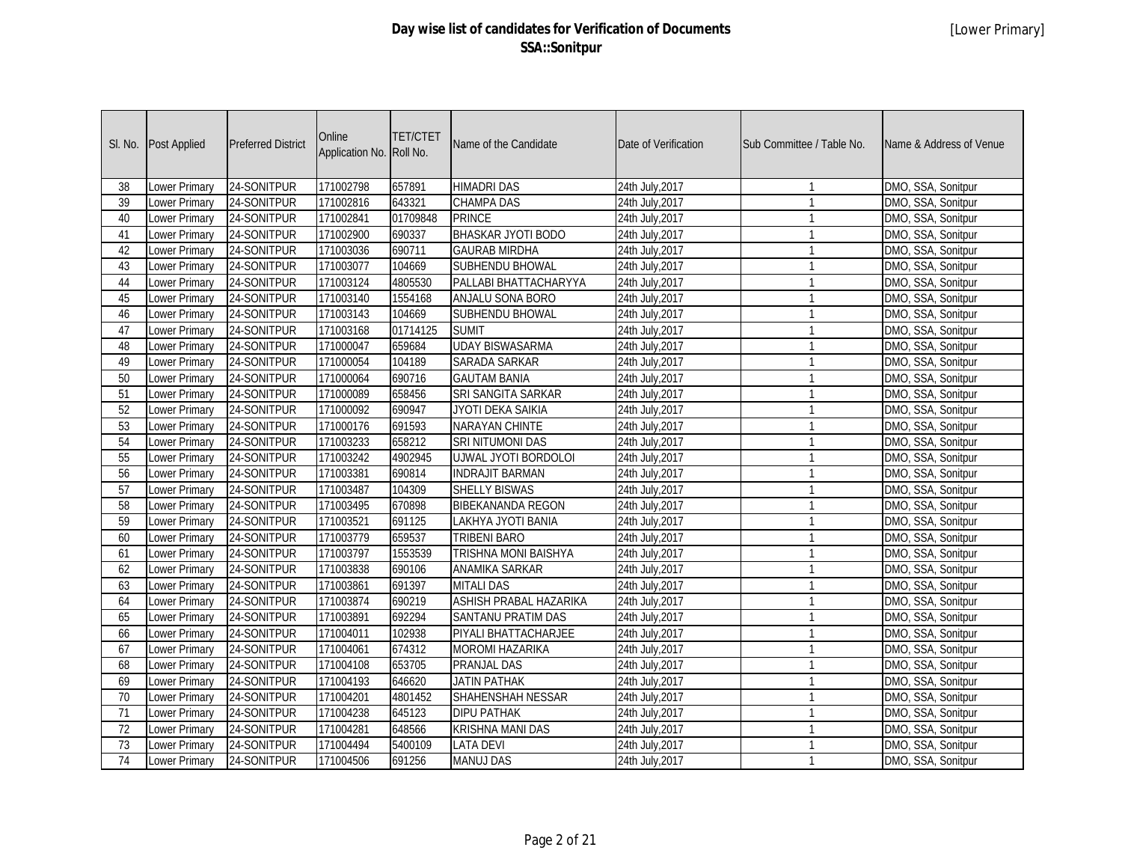| SI. No.         | Post Applied         | <b>Preferred District</b> | Online<br>Application No. | <b>TET/CTET</b><br>Roll No. | Name of the Candidate       | Date of Verification | Sub Committee / Table No. | Name & Address of Venue |
|-----------------|----------------------|---------------------------|---------------------------|-----------------------------|-----------------------------|----------------------|---------------------------|-------------------------|
| 38              | Lower Primary        | 24-SONITPUR               | 171002798                 | 657891                      | <b>HIMADRI DAS</b>          | 24th July, 2017      | $\mathbf{1}$              | DMO, SSA, Sonitpur      |
| 39              | Lower Primary        | 24-SONITPUR               | 171002816                 | 643321                      | <b>CHAMPA DAS</b>           | 24th July, 2017      | $\mathbf{1}$              | DMO, SSA, Sonitpur      |
| 40              | Lower Primary        | 24-SONITPUR               | 171002841                 | 01709848                    | <b>PRINCE</b>               | 24th July, 2017      | $\mathbf{1}$              | DMO, SSA, Sonitpur      |
| 41              | Lower Primary        | 24-SONITPUR               | 171002900                 | 690337                      | <b>BHASKAR JYOTI BODO</b>   | 24th July, 2017      | $\mathbf{1}$              | DMO, SSA, Sonitpur      |
| 42              | <b>Lower Primary</b> | 24-SONITPUR               | 171003036                 | 690711                      | <b>GAURAB MIRDHA</b>        | 24th July, 2017      | $\mathbf{1}$              | DMO, SSA, Sonitpur      |
| 43              | <b>Lower Primary</b> | 24-SONITPUR               | 171003077                 | 104669                      | <b>SUBHENDU BHOWAL</b>      | 24th July, 2017      | $\mathbf{1}$              | DMO, SSA, Sonitpur      |
| 44              | <b>Lower Primary</b> | 24-SONITPUR               | 171003124                 | 4805530                     | PALLABI BHATTACHARYYA       | 24th July, 2017      | $\mathbf{1}$              | DMO, SSA, Sonitpur      |
| 45              | <b>Lower Primary</b> | 24-SONITPUR               | 171003140                 | 1554168                     | <b>ANJALU SONA BORO</b>     | 24th July, 2017      | $\mathbf{1}$              | DMO, SSA, Sonitpur      |
| 46              | Lower Primary        | 24-SONITPUR               | 171003143                 | 104669                      | <b>SUBHENDU BHOWAL</b>      | 24th July, 2017      | $\mathbf{1}$              | DMO, SSA, Sonitpur      |
| 47              | Lower Primary        | 24-SONITPUR               | 171003168                 | 01714125                    | <b>SUMIT</b>                | 24th July, 2017      | $\mathbf{1}$              | DMO, SSA, Sonitpur      |
| 48              | <b>Lower Primary</b> | 24-SONITPUR               | 171000047                 | 659684                      | <b>UDAY BISWASARMA</b>      | 24th July, 2017      | $\mathbf{1}$              | DMO, SSA, Sonitpur      |
| 49              | <b>Lower Primary</b> | 24-SONITPUR               | 171000054                 | 104189                      | <b>SARADA SARKAR</b>        | 24th July, 2017      | $\mathbf{1}$              | DMO, SSA, Sonitpur      |
| 50              | <b>Lower Primary</b> | 24-SONITPUR               | 171000064                 | 690716                      | <b>GAUTAM BANIA</b>         | 24th July, 2017      | $\mathbf{1}$              | DMO, SSA, Sonitpur      |
| $\overline{51}$ | <b>Lower Primary</b> | 24-SONITPUR               | 171000089                 | 658456                      | SRI SANGITA SARKAR          | 24th July, 2017      | $\mathbf{1}$              | DMO, SSA, Sonitpur      |
| 52              | Lower Primary        | 24-SONITPUR               | 171000092                 | 690947                      | JYOTI DEKA SAIKIA           | 24th July, 2017      | $\mathbf{1}$              | DMO, SSA, Sonitpur      |
| 53              | Lower Primary        | 24-SONITPUR               | 171000176                 | 691593                      | NARAYAN CHINTE              | 24th July, 2017      | $\mathbf{1}$              | DMO, SSA, Sonitpur      |
| 54              | <b>Lower Primary</b> | 24-SONITPUR               | 171003233                 | 658212                      | <b>SRI NITUMONI DAS</b>     | 24th July, 2017      | $\mathbf{1}$              | DMO, SSA, Sonitpur      |
| $\overline{55}$ | <b>Lower Primary</b> | 24-SONITPUR               | 171003242                 | 4902945                     | <b>UJWAL JYOTI BORDOLOI</b> | 24th July, 2017      | $\mathbf{1}$              | DMO, SSA, Sonitpur      |
| 56              | Lower Primary        | 24-SONITPUR               | 171003381                 | 690814                      | <b>INDRAJIT BARMAN</b>      | 24th July, 2017      | $\mathbf{1}$              | DMO, SSA, Sonitpur      |
| 57              | Lower Primary        | 24-SONITPUR               | 171003487                 | 104309                      | <b>SHELLY BISWAS</b>        | 24th July, 2017      | $\mathbf{1}$              | DMO, SSA, Sonitpur      |
| 58              | Lower Primary        | 24-SONITPUR               | 171003495                 | 670898                      | <b>BIBEKANANDA REGON</b>    | 24th July, 2017      | $\mathbf{1}$              | DMO, SSA, Sonitpur      |
| $\overline{59}$ | <b>Lower Primary</b> | 24-SONITPUR               | 171003521                 | 691125                      | LAKHYA JYOTI BANIA          | 24th July, 2017      | $\mathbf{1}$              | DMO, SSA, Sonitpur      |
| 60              | Lower Primary        | 24-SONITPUR               | 171003779                 | 659537                      | <b>TRIBENI BARO</b>         | 24th July, 2017      | $\mathbf{1}$              | DMO, SSA, Sonitpur      |
| 61              | Lower Primary        | 24-SONITPUR               | 171003797                 | 1553539                     | TRISHNA MONI BAISHYA        | 24th July, 2017      | $\mathbf{1}$              | DMO, SSA, Sonitpur      |
| 62              | Lower Primary        | 24-SONITPUR               | 171003838                 | 690106                      | <b>ANAMIKA SARKAR</b>       | 24th July, 2017      | $\mathbf{1}$              | DMO, SSA, Sonitpur      |
| 63              | <b>Lower Primary</b> | 24-SONITPUR               | 171003861                 | 691397                      | <b>MITALI DAS</b>           | 24th July, 2017      | $\mathbf{1}$              | DMO, SSA, Sonitpur      |
| 64              | Lower Primary        | 24-SONITPUR               | 171003874                 | 690219                      | ASHISH PRABAL HAZARIKA      | 24th July, 2017      | $\mathbf{1}$              | DMO, SSA, Sonitpur      |
| 65              | Lower Primary        | 24-SONITPUR               | 171003891                 | 692294                      | SANTANU PRATIM DAS          | 24th July, 2017      | $\mathbf{1}$              | DMO, SSA, Sonitpur      |
| 66              | Lower Primary        | 24-SONITPUR               | 171004011                 | 102938                      | PIYALI BHATTACHARJEE        | 24th July, 2017      | $\mathbf{1}$              | DMO, SSA, Sonitpur      |
| 67              | Lower Primary        | 24-SONITPUR               | 171004061                 | 674312                      | <b>MOROMI HAZARIKA</b>      | 24th July, 2017      | $\mathbf{1}$              | DMO, SSA, Sonitpur      |
| 68              | Lower Primary        | 24-SONITPUR               | 171004108                 | 653705                      | <b>PRANJAL DAS</b>          | 24th July, 2017      | $\mathbf{1}$              | DMO, SSA, Sonitpur      |
| 69              | Lower Primary        | 24-SONITPUR               | 171004193                 | 646620                      | <b>JATIN PATHAK</b>         | 24th July, 2017      | $\mathbf{1}$              | DMO, SSA, Sonitpur      |
| 70              | Lower Primary        | 24-SONITPUR               | 171004201                 | 4801452                     | SHAHENSHAH NESSAR           | 24th July, 2017      | $\mathbf{1}$              | DMO, SSA, Sonitpur      |
| 71              | Lower Primary        | 24-SONITPUR               | 171004238                 | 645123                      | <b>DIPU PATHAK</b>          | 24th July, 2017      | $\mathbf{1}$              | DMO, SSA, Sonitpur      |
| 72              | Lower Primary        | 24-SONITPUR               | 171004281                 | 648566                      | <b>KRISHNA MANI DAS</b>     | 24th July, 2017      | $\mathbf{1}$              | DMO, SSA, Sonitpur      |
| 73              | Lower Primary        | 24-SONITPUR               | 171004494                 | 5400109                     | <b>LATA DEVI</b>            | 24th July, 2017      | $\mathbf{1}$              | DMO, SSA, Sonitpur      |
| $\overline{74}$ | <b>Lower Primary</b> | 24-SONITPUR               | 171004506                 | 691256                      | <b>MANUJ DAS</b>            | 24th July, 2017      | $\mathbf{1}$              | DMO, SSA, Sonitpur      |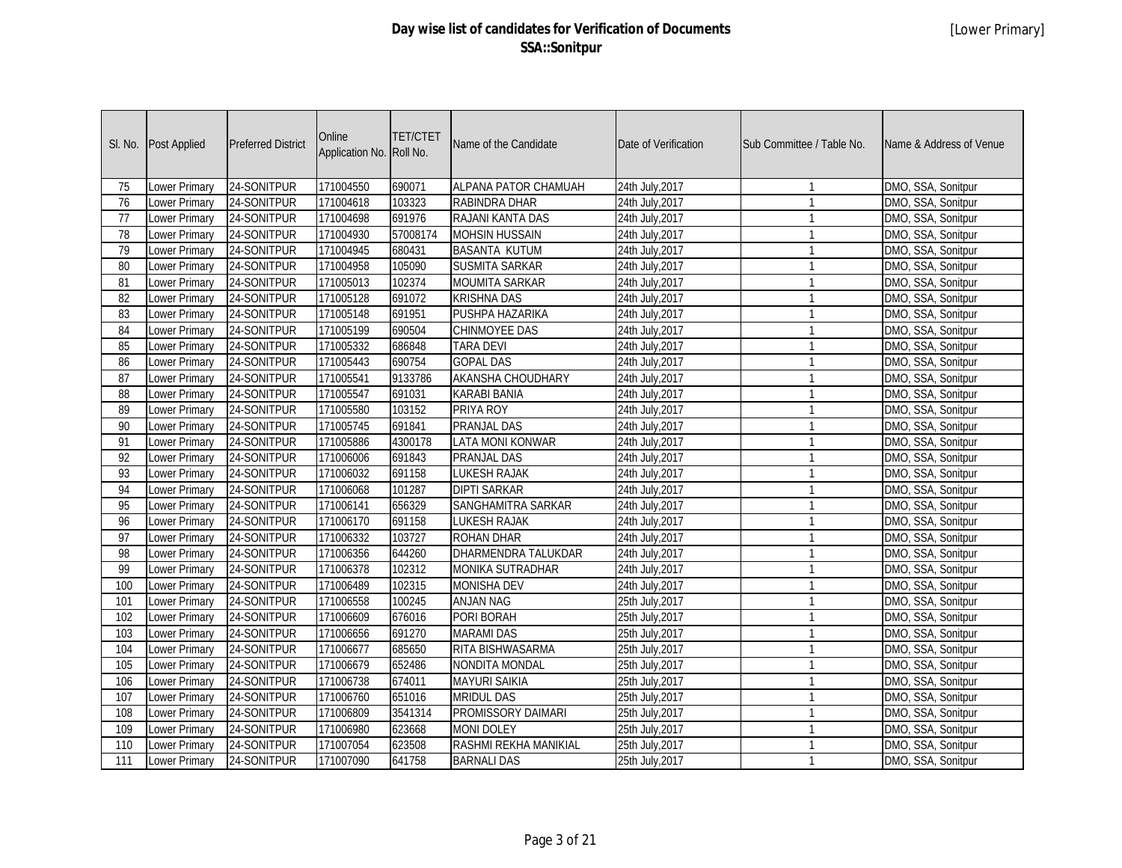| SI. No.         | Post Applied         | <b>Preferred District</b> | Online<br>Application No. | <b>TET/CTET</b><br>Roll No. | Name of the Candidate    | Date of Verification | Sub Committee / Table No. | Name & Address of Venue |
|-----------------|----------------------|---------------------------|---------------------------|-----------------------------|--------------------------|----------------------|---------------------------|-------------------------|
| 75              | Lower Primary        | 24-SONITPUR               | 171004550                 | 690071                      | ALPANA PATOR CHAMUAH     | 24th July, 2017      | $\mathbf{1}$              | DMO, SSA, Sonitpur      |
| 76              | Lower Primary        | 24-SONITPUR               | 171004618                 | 103323                      | RABINDRA DHAR            | 24th July, 2017      | $\mathbf{1}$              | DMO, SSA, Sonitpur      |
| 77              | Lower Primary        | 24-SONITPUR               | 171004698                 | 691976                      | RAJANI KANTA DAS         | 24th July, 2017      | $\mathbf{1}$              | DMO, SSA, Sonitpur      |
| $\overline{78}$ | Lower Primary        | 24-SONITPUR               | 171004930                 | 57008174                    | <b>MOHSIN HUSSAIN</b>    | 24th July, 2017      | $\mathbf{1}$              | DMO, SSA, Sonitpur      |
| 79              | Lower Primary        | 24-SONITPUR               | 171004945                 | 680431                      | <b>BASANTA KUTUM</b>     | 24th July, 2017      | $\mathbf{1}$              | DMO, SSA, Sonitpur      |
| 80              | <b>Lower Primary</b> | 24-SONITPUR               | 171004958                 | 105090                      | <b>SUSMITA SARKAR</b>    | 24th July, 2017      | $\mathbf{1}$              | DMO, SSA, Sonitpur      |
| 81              | <b>Lower Primary</b> | 24-SONITPUR               | 171005013                 | 102374                      | <b>MOUMITA SARKAR</b>    | 24th July, 2017      | $\mathbf{1}$              | DMO, SSA, Sonitpur      |
| $\overline{82}$ | <b>Lower Primary</b> | 24-SONITPUR               | 171005128                 | 691072                      | <b>KRISHNA DAS</b>       | 24th July, 2017      | $\mathbf{1}$              | DMO, SSA, Sonitpur      |
| 83              | Lower Primary        | 24-SONITPUR               | 171005148                 | 691951                      | PUSHPA HAZARIKA          | 24th July, 2017      | $\mathbf{1}$              | DMO, SSA, Sonitpur      |
| 84              | Lower Primary        | 24-SONITPUR               | 171005199                 | 690504                      | <b>CHINMOYEE DAS</b>     | 24th July, 2017      | $\mathbf{1}$              | DMO, SSA, Sonitpur      |
| 85              | <b>Lower Primary</b> | 24-SONITPUR               | 171005332                 | 686848                      | <b>TARA DEVI</b>         | 24th July, 2017      | $\mathbf{1}$              | DMO, SSA, Sonitpur      |
| 86              | <b>Lower Primary</b> | 24-SONITPUR               | 171005443                 | 690754                      | <b>GOPAL DAS</b>         | 24th July, 2017      | $\mathbf{1}$              | DMO, SSA, Sonitpur      |
| $\overline{87}$ | <b>Lower Primary</b> | 24-SONITPUR               | 171005541                 | 9133786                     | <b>AKANSHA CHOUDHARY</b> | 24th July, 2017      | $\mathbf{1}$              | DMO, SSA, Sonitpur      |
| $\overline{88}$ | <b>Lower Primary</b> | 24-SONITPUR               | 171005547                 | 691031                      | <b>KARABI BANIA</b>      | 24th July, 2017      | $\mathbf{1}$              | DMO, SSA, Sonitpur      |
| 89              | Lower Primary        | 24-SONITPUR               | 171005580                 | 103152                      | PRIYA ROY                | 24th July, 2017      | $\mathbf{1}$              | DMO, SSA, Sonitpur      |
| 90              | Lower Primary        | 24-SONITPUR               | 171005745                 | 691841                      | <b>PRANJAL DAS</b>       | 24th July, 2017      | $\mathbf{1}$              | DMO, SSA, Sonitpur      |
| 91              | <b>Lower Primary</b> | 24-SONITPUR               | 171005886                 | 4300178                     | <b>LATA MONI KONWAR</b>  | 24th July, 2017      | $\mathbf{1}$              | DMO, SSA, Sonitpur      |
| $\overline{92}$ | <b>Lower Primary</b> | 24-SONITPUR               | 171006006                 | 691843                      | <b>PRANJAL DAS</b>       | 24th July, 2017      | $\mathbf{1}$              | DMO, SSA, Sonitpur      |
| 93              | Lower Primary        | 24-SONITPUR               | 171006032                 | 691158                      | <b>LUKESH RAJAK</b>      | 24th July, 2017      | $\mathbf{1}$              | DMO, SSA, Sonitpur      |
| 94              | Lower Primary        | 24-SONITPUR               | 171006068                 | 101287                      | <b>DIPTI SARKAR</b>      | 24th July, 2017      | $\mathbf{1}$              | DMO, SSA, Sonitpur      |
| 95              | Lower Primary        | 24-SONITPUR               | 171006141                 | 656329                      | SANGHAMITRA SARKAR       | 24th July, 2017      | $\mathbf{1}$              | DMO, SSA, Sonitpur      |
| 96              | <b>Lower Primary</b> | 24-SONITPUR               | 171006170                 | 691158                      | <b>LUKESH RAJAK</b>      | 24th July, 2017      | $\mathbf{1}$              | DMO, SSA, Sonitpur      |
| $\overline{97}$ | Lower Primary        | 24-SONITPUR               | 171006332                 | 103727                      | <b>ROHAN DHAR</b>        | 24th July, 2017      | $\mathbf{1}$              | DMO, SSA, Sonitpur      |
| 98              | Lower Primary        | 24-SONITPUR               | 171006356                 | 644260                      | DHARMENDRA TALUKDAR      | 24th July, 2017      | $\mathbf{1}$              | DMO, SSA, Sonitpur      |
| 99              | Lower Primary        | 24-SONITPUR               | 171006378                 | 102312                      | MONIKA SUTRADHAR         | 24th July, 2017      | $\mathbf{1}$              | DMO, SSA, Sonitpur      |
| 100             | <b>Lower Primary</b> | 24-SONITPUR               | 171006489                 | 102315                      | <b>MONISHA DEV</b>       | 24th July, 2017      | $\mathbf{1}$              | DMO, SSA, Sonitpur      |
| 101             | Lower Primary        | 24-SONITPUR               | 171006558                 | 100245                      | <b>ANJAN NAG</b>         | 25th July, 2017      | $\mathbf{1}$              | DMO, SSA, Sonitpur      |
| 102             | Lower Primary        | 24-SONITPUR               | 171006609                 | 676016                      | PORI BORAH               | 25th July, 2017      | $\mathbf{1}$              | DMO, SSA, Sonitpur      |
| 103             | Lower Primary        | 24-SONITPUR               | 171006656                 | 691270                      | <b>MARAMI DAS</b>        | 25th July, 2017      | $\mathbf{1}$              | DMO, SSA, Sonitpur      |
| 104             | Lower Primary        | 24-SONITPUR               | 171006677                 | 685650                      | RITA BISHWASARMA         | 25th July, 2017      | $\mathbf{1}$              | DMO, SSA, Sonitpur      |
| 105             | Lower Primary        | 24-SONITPUR               | 171006679                 | 652486                      | <b>NONDITA MONDAL</b>    | 25th July, 2017      | $\mathbf{1}$              | DMO, SSA, Sonitpur      |
| 106             | Lower Primary        | 24-SONITPUR               | 171006738                 | 674011                      | <b>MAYURI SAIKIA</b>     | 25th July, 2017      | $\mathbf{1}$              | DMO, SSA, Sonitpur      |
| 107             | Lower Primary        | 24-SONITPUR               | 171006760                 | 651016                      | <b>MRIDUL DAS</b>        | 25th July, 2017      | $\mathbf{1}$              | DMO, SSA, Sonitpur      |
| 108             | Lower Primary        | 24-SONITPUR               | 171006809                 | 3541314                     | PROMISSORY DAIMARI       | 25th July, 2017      | $\mathbf{1}$              | DMO, SSA, Sonitpur      |
| 109             | Lower Primary        | 24-SONITPUR               | 171006980                 | 623668                      | <b>MONI DOLEY</b>        | 25th July, 2017      | $\mathbf{1}$              | DMO, SSA, Sonitpur      |
| 110             | Lower Primary        | 24-SONITPUR               | 171007054                 | 623508                      | RASHMI REKHA MANIKIAL    | 25th July, 2017      | $\mathbf{1}$              | DMO, SSA, Sonitpur      |
| 111             | <b>Lower Primary</b> | 24-SONITPUR               | 171007090                 | 641758                      | <b>BARNALI DAS</b>       | 25th July, 2017      | $\mathbf{1}$              | DMO, SSA, Sonitpur      |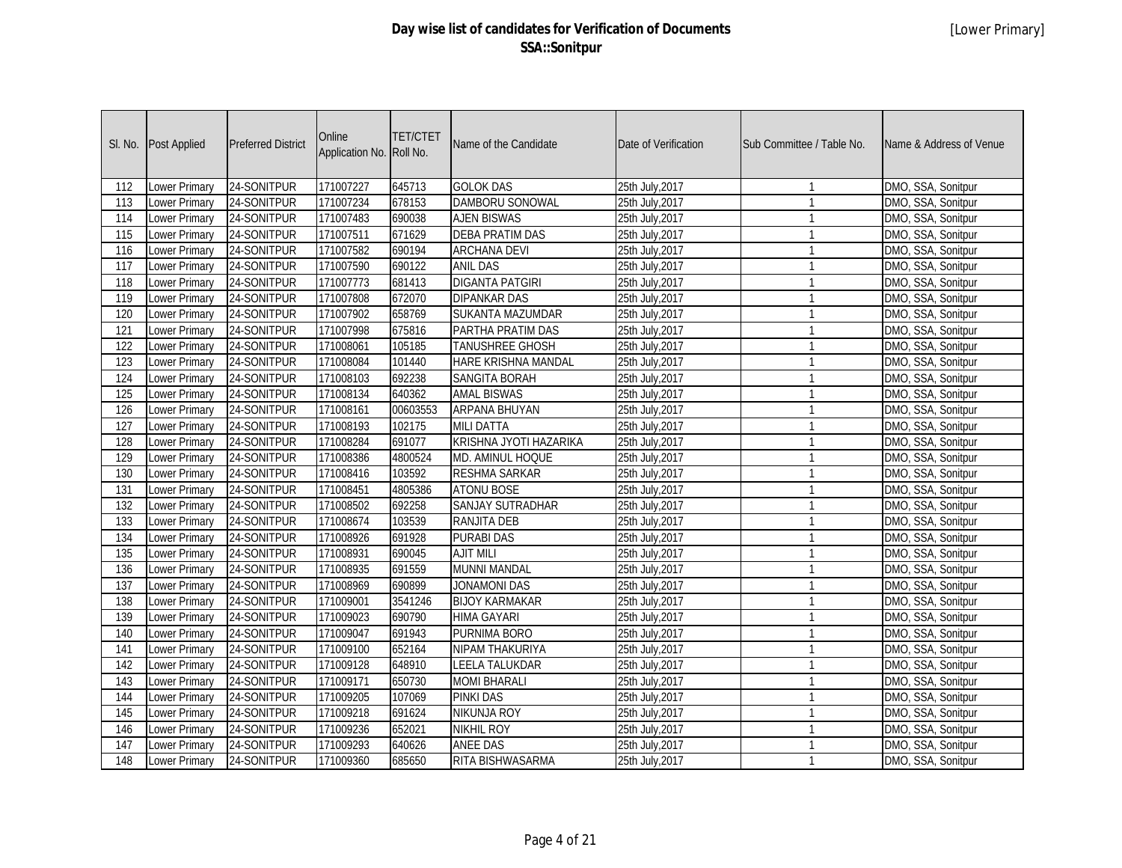| SI. No.          | Post Applied         | <b>Preferred District</b> | Online<br>Application No. | <b>TET/CTET</b><br>Roll No. | Name of the Candidate      | Date of Verification | Sub Committee / Table No. | Name & Address of Venue |
|------------------|----------------------|---------------------------|---------------------------|-----------------------------|----------------------------|----------------------|---------------------------|-------------------------|
| 112              | <b>Lower Primary</b> | 24-SONITPUR               | 171007227                 | 645713                      | <b>GOLOK DAS</b>           | 25th July, 2017      | $\mathbf{1}$              | DMO, SSA, Sonitpur      |
| 113              | Lower Primary        | 24-SONITPUR               | 171007234                 | 678153                      | DAMBORU SONOWAL            | 25th July, 2017      | $\mathbf{1}$              | DMO, SSA, Sonitpur      |
| 114              | Lower Primary        | 24-SONITPUR               | 171007483                 | 690038                      | <b>AJEN BISWAS</b>         | 25th July, 2017      | $\mathbf{1}$              | DMO, SSA, Sonitpur      |
| 115              | Lower Primary        | 24-SONITPUR               | 171007511                 | 671629                      | <b>DEBA PRATIM DAS</b>     | 25th July, 2017      | $\mathbf{1}$              | DMO, SSA, Sonitpur      |
| 116              | <b>Lower Primary</b> | 24-SONITPUR               | 171007582                 | 690194                      | <b>ARCHANA DEVI</b>        | 25th July, 2017      | $\mathbf{1}$              | DMO, SSA, Sonitpur      |
| 117              | <b>Lower Primary</b> | 24-SONITPUR               | 171007590                 | 690122                      | <b>ANIL DAS</b>            | 25th July, 2017      | $\mathbf{1}$              | DMO, SSA, Sonitpur      |
| $\overline{118}$ | <b>Lower Primary</b> | 24-SONITPUR               | 171007773                 | 681413                      | <b>DIGANTA PATGIRI</b>     | 25th July, 2017      | $\mathbf{1}$              | DMO, SSA, Sonitpur      |
| 119              | <b>Lower Primary</b> | 24-SONITPUR               | 171007808                 | 672070                      | <b>DIPANKAR DAS</b>        | 25th July, 2017      | $\mathbf{1}$              | DMO, SSA, Sonitpur      |
| 120              | <b>Lower Primary</b> | 24-SONITPUR               | 171007902                 | 658769                      | SUKANTA MAZUMDAR           | 25th July, 2017      | $\mathbf{1}$              | DMO, SSA, Sonitpur      |
| 121              | Lower Primary        | 24-SONITPUR               | 171007998                 | 675816                      | PARTHA PRATIM DAS          | 25th July, 2017      | $\mathbf{1}$              | DMO, SSA, Sonitpur      |
| 122              | <b>Lower Primary</b> | 24-SONITPUR               | 171008061                 | 105185                      | <b>TANUSHREE GHOSH</b>     | 25th July, 2017      | $\mathbf{1}$              | DMO, SSA, Sonitpur      |
| $\overline{123}$ | <b>Lower Primary</b> | 24-SONITPUR               | 171008084                 | 101440                      | <b>HARE KRISHNA MANDAL</b> | 25th July, 2017      | $\mathbf{1}$              | DMO, SSA, Sonitpur      |
| 124              | <b>Lower Primary</b> | 24-SONITPUR               | 171008103                 | 692238                      | <b>SANGITA BORAH</b>       | 25th July, 2017      | $\mathbf{1}$              | DMO, SSA, Sonitpur      |
| 125              | <b>Lower Primary</b> | 24-SONITPUR               | 171008134                 | 640362                      | <b>AMAL BISWAS</b>         | 25th July, 2017      | $\mathbf{1}$              | DMO, SSA, Sonitpur      |
| 126              | Lower Primary        | 24-SONITPUR               | 171008161                 | 00603553                    | ARPANA BHUYAN              | 25th July, 2017      | $\mathbf{1}$              | DMO, SSA, Sonitpur      |
| 127              | Lower Primary        | 24-SONITPUR               | 171008193                 | 102175                      | <b>MILI DATTA</b>          | 25th July, 2017      | $\mathbf{1}$              | DMO, SSA, Sonitpur      |
| 128              | <b>Lower Primary</b> | 24-SONITPUR               | 171008284                 | 691077                      | KRISHNA JYOTI HAZARIKA     | 25th July, 2017      | $\mathbf{1}$              | DMO, SSA, Sonitpur      |
| $\overline{129}$ | <b>Lower Primary</b> | 24-SONITPUR               | 171008386                 | 4800524                     | MD. AMINUL HOQUE           | 25th July, 2017      | $\mathbf{1}$              | DMO, SSA, Sonitpur      |
| 130              | Lower Primary        | 24-SONITPUR               | 171008416                 | 103592                      | <b>RESHMA SARKAR</b>       | 25th July, 2017      | $\mathbf{1}$              | DMO, SSA, Sonitpur      |
| 131              | Lower Primary        | 24-SONITPUR               | 171008451                 | 4805386                     | <b>ATONU BOSE</b>          | 25th July, 2017      | $\mathbf{1}$              | DMO, SSA, Sonitpur      |
| 132              | Lower Primary        | 24-SONITPUR               | 171008502                 | 692258                      | SANJAY SUTRADHAR           | 25th July, 2017      | $\mathbf{1}$              | DMO, SSA, Sonitpur      |
| 133              | <b>Lower Primary</b> | 24-SONITPUR               | 171008674                 | 103539                      | <b>RANJITA DEB</b>         | 25th July, 2017      | $\mathbf{1}$              | DMO, SSA, Sonitpur      |
| 134              | Lower Primary        | 24-SONITPUR               | 171008926                 | 691928                      | <b>PURABI DAS</b>          | 25th July, 2017      | $\mathbf{1}$              | DMO, SSA, Sonitpur      |
| 135              | Lower Primary        | 24-SONITPUR               | 171008931                 | 690045                      | <b>AJIT MILI</b>           | 25th July, 2017      | $\mathbf{1}$              | DMO, SSA, Sonitpur      |
| 136              | Lower Primary        | 24-SONITPUR               | 171008935                 | 691559                      | <b>MUNNI MANDAL</b>        | 25th July, 2017      | $\mathbf{1}$              | DMO, SSA, Sonitpur      |
| 137              | <b>Lower Primary</b> | 24-SONITPUR               | 171008969                 | 690899                      | <b>JONAMONI DAS</b>        | 25th July, 2017      | $\mathbf{1}$              | DMO, SSA, Sonitpur      |
| 138              | Lower Primary        | 24-SONITPUR               | 171009001                 | 3541246                     | <b>BIJOY KARMAKAR</b>      | 25th July, 2017      | $\mathbf{1}$              | DMO, SSA, Sonitpur      |
| 139              | Lower Primary        | 24-SONITPUR               | 171009023                 | 690790                      | <b>HIMA GAYARI</b>         | 25th July, 2017      | $\mathbf{1}$              | DMO, SSA, Sonitpur      |
| 140              | Lower Primary        | 24-SONITPUR               | 171009047                 | 691943                      | PURNIMA BORO               | 25th July, 2017      | $\mathbf{1}$              | DMO, SSA, Sonitpur      |
| 141              | Lower Primary        | 24-SONITPUR               | 171009100                 | 652164                      | NIPAM THAKURIYA            | 25th July, 2017      | $\mathbf{1}$              | DMO, SSA, Sonitpur      |
| 142              | Lower Primary        | 24-SONITPUR               | 171009128                 | 648910                      | <b>LEELA TALUKDAR</b>      | 25th July, 2017      | $\mathbf{1}$              | DMO, SSA, Sonitpur      |
| 143              | Lower Primary        | 24-SONITPUR               | 171009171                 | 650730                      | <b>MOMI BHARALI</b>        | 25th July, 2017      | $\mathbf{1}$              | DMO, SSA, Sonitpur      |
| 144              | Lower Primary        | 24-SONITPUR               | 171009205                 | 107069                      | <b>PINKI DAS</b>           | 25th July, 2017      | $\mathbf{1}$              | DMO, SSA, Sonitpur      |
| 145              | Lower Primary        | 24-SONITPUR               | 171009218                 | 691624                      | <b>NIKUNJA ROY</b>         | 25th July, 2017      | $\mathbf{1}$              | DMO, SSA, Sonitpur      |
| 146              | Lower Primary        | 24-SONITPUR               | 171009236                 | 652021                      | <b>NIKHIL ROY</b>          | 25th July, 2017      | $\mathbf{1}$              | DMO, SSA, Sonitpur      |
| 147              | Lower Primary        | 24-SONITPUR               | 171009293                 | 640626                      | <b>ANEE DAS</b>            | 25th July, 2017      | $\mathbf{1}$              | DMO, SSA, Sonitpur      |
| 148              | <b>Lower Primary</b> | 24-SONITPUR               | 171009360                 | 685650                      | RITA BISHWASARMA           | 25th July, 2017      | $\mathbf{1}$              | DMO, SSA, Sonitpur      |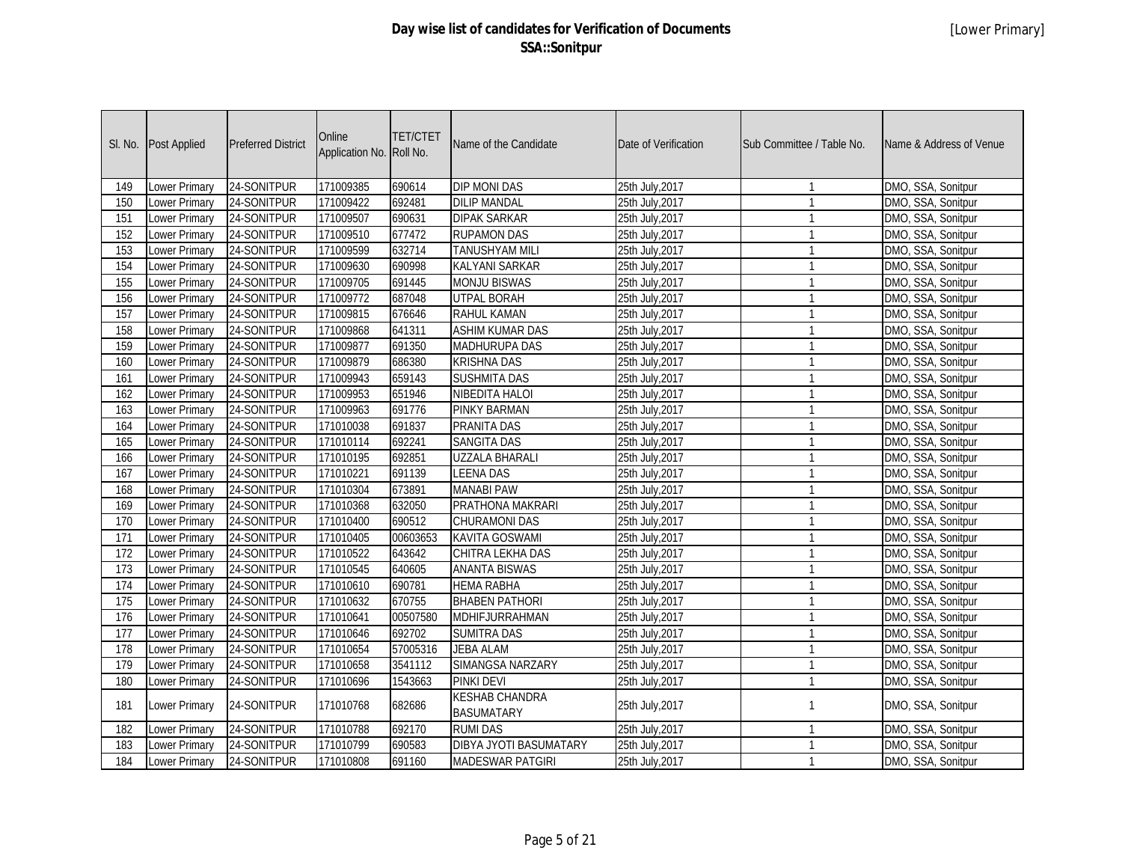| SI. No.          | <b>Post Applied</b>  | <b>Preferred District</b> | Online<br>Application No. Roll No. | <b>TET/CTET</b> | Name of the Candidate                      | Date of Verification | Sub Committee / Table No. | Name & Address of Venue |
|------------------|----------------------|---------------------------|------------------------------------|-----------------|--------------------------------------------|----------------------|---------------------------|-------------------------|
| 149              | Lower Primary        | 24-SONITPUR               | 171009385                          | 690614          | <b>DIP MONI DAS</b>                        | 25th July, 2017      | $\mathbf{1}$              | DMO, SSA, Sonitpur      |
| 150              | Lower Primary        | 24-SONITPUR               | 171009422                          | 692481          | <b>DILIP MANDAL</b>                        | 25th July, 2017      | $\mathbf{1}$              | DMO, SSA, Sonitpur      |
| 151              | Lower Primary        | 24-SONITPUR               | 171009507                          | 690631          | <b>DIPAK SARKAR</b>                        | 25th July, 2017      | $\mathbf{1}$              | DMO, SSA, Sonitpur      |
| 152              | Lower Primary        | 24-SONITPUR               | 171009510                          | 677472          | <b>RUPAMON DAS</b>                         | 25th July, 2017      | $\mathbf{1}$              | DMO, SSA, Sonitpur      |
| 153              | <b>Lower Primary</b> | 24-SONITPUR               | 171009599                          | 632714          | <b>TANUSHYAM MILI</b>                      | 25th July, 2017      | $\mathbf{1}$              | DMO, SSA, Sonitpur      |
| 154              | <b>Lower Primary</b> | 24-SONITPUR               | 171009630                          | 690998          | <b>KALYANI SARKAR</b>                      | 25th July, 2017      | $\mathbf{1}$              | DMO, SSA, Sonitpur      |
| 155              | <b>Lower Primary</b> | 24-SONITPUR               | 171009705                          | 691445          | <b>MONJU BISWAS</b>                        | 25th July, 2017      | $\mathbf{1}$              | DMO, SSA, Sonitpur      |
| 156              | <b>Lower Primary</b> | 24-SONITPUR               | 171009772                          | 687048          | <b>UTPAL BORAH</b>                         | 25th July, 2017      | $\mathbf{1}$              | DMO, SSA, Sonitpur      |
| 157              | <b>Lower Primary</b> | 24-SONITPUR               | 171009815                          | 676646          | <b>RAHUL KAMAN</b>                         | 25th July, 2017      | $\mathbf{1}$              | DMO, SSA, Sonitpur      |
| 158              | <b>Lower Primary</b> | 24-SONITPUR               | 171009868                          | 641311          | <b>ASHIM KUMAR DAS</b>                     | 25th July, 2017      | $\mathbf{1}$              | DMO, SSA, Sonitpur      |
| 159              | <b>Lower Primary</b> | 24-SONITPUR               | 171009877                          | 691350          | <b>MADHURUPA DAS</b>                       | 25th July, 2017      | $\overline{1}$            | DMO, SSA, Sonitpur      |
| 160              | <b>Lower Primary</b> | 24-SONITPUR               | 171009879                          | 686380          | <b>KRISHNA DAS</b>                         | 25th July, 2017      | $\mathbf{1}$              | DMO, SSA, Sonitpur      |
| 161              | <b>Lower Primary</b> | 24-SONITPUR               | 171009943                          | 659143          | <b>SUSHMITA DAS</b>                        | 25th July, 2017      | $\mathbf{1}$              | DMO, SSA, Sonitpur      |
| 162              | Lower Primary        | 24-SONITPUR               | 171009953                          | 651946          | <b>NIBEDITA HALOI</b>                      | 25th July, 2017      | $\mathbf{1}$              | DMO, SSA, Sonitpur      |
| 163              | Lower Primary        | 24-SONITPUR               | 171009963                          | 691776          | PINKY BARMAN                               | 25th July, 2017      | $\mathbf{1}$              | DMO, SSA, Sonitpur      |
| 164              | <b>Lower Primary</b> | 24-SONITPUR               | 171010038                          | 691837          | PRANITA DAS                                | 25th July, 2017      | $\mathbf{1}$              | DMO, SSA, Sonitpur      |
| 165              | Lower Primary        | 24-SONITPUR               | 171010114                          | 692241          | <b>SANGITA DAS</b>                         | 25th July, 2017      | $\mathbf{1}$              | DMO, SSA, Sonitpur      |
| 166              | Lower Primary        | 24-SONITPUR               | 171010195                          | 692851          | <b>UZZALA BHARALI</b>                      | 25th July, 2017      | $\mathbf{1}$              | DMO, SSA, Sonitpur      |
| 167              | <b>Lower Primary</b> | 24-SONITPUR               | 171010221                          | 691139          | <b>LEENA DAS</b>                           | 25th July, 2017      | $\mathbf{1}$              | DMO, SSA, Sonitpur      |
| 168              | Lower Primary        | 24-SONITPUR               | 171010304                          | 673891          | <b>MANABI PAW</b>                          | 25th July, 2017      | $\mathbf{1}$              | DMO, SSA, Sonitpur      |
| 169              | Lower Primary        | 24-SONITPUR               | 171010368                          | 632050          | PRATHONA MAKRARI                           | 25th July, 2017      | $\mathbf{1}$              | DMO, SSA, Sonitpur      |
| 170              | <b>Lower Primary</b> | 24-SONITPUR               | 171010400                          | 690512          | <b>CHURAMONI DAS</b>                       | 25th July, 2017      | $\mathbf{1}$              | DMO, SSA, Sonitpur      |
| 171              | Lower Primary        | 24-SONITPUR               | 171010405                          | 00603653        | <b>KAVITA GOSWAMI</b>                      | 25th July, 2017      | $\mathbf{1}$              | DMO, SSA, Sonitpur      |
| 172              | Lower Primary        | 24-SONITPUR               | 171010522                          | 643642          | CHITRA LEKHA DAS                           | 25th July, 2017      | $\mathbf{1}$              | DMO, SSA, Sonitpur      |
| 173              | Lower Primary        | 24-SONITPUR               | 171010545                          | 640605          | <b>ANANTA BISWAS</b>                       | 25th July, 2017      | $\mathbf{1}$              | DMO, SSA, Sonitpur      |
| 174              | Lower Primary        | 24-SONITPUR               | 171010610                          | 690781          | <b>HEMA RABHA</b>                          | 25th July, 2017      | $\mathbf{1}$              | DMO, SSA, Sonitpur      |
| 175              | Lower Primary        | 24-SONITPUR               | 171010632                          | 670755          | <b>BHABEN PATHORI</b>                      | 25th July, 2017      | $\mathbf{1}$              | DMO, SSA, Sonitpur      |
| 176              | Lower Primary        | 24-SONITPUR               | 171010641                          | 00507580        | MDHIFJURRAHMAN                             | 25th July, 2017      | $\mathbf{1}$              | DMO, SSA, Sonitpur      |
| $\overline{177}$ | Lower Primary        | 24-SONITPUR               | 171010646                          | 692702          | <b>SUMITRA DAS</b>                         | 25th July, 2017      | $\mathbf{1}$              | DMO, SSA, Sonitpur      |
| 178              | Lower Primary        | 24-SONITPUR               | 171010654                          | 57005316        | <b>JEBA ALAM</b>                           | 25th July, 2017      | $\mathbf{1}$              | DMO, SSA, Sonitpur      |
| 179              | <b>Lower Primary</b> | 24-SONITPUR               | 171010658                          | 3541112         | SIMANGSA NARZARY                           | 25th July, 2017      | $\mathbf{1}$              | DMO, SSA, Sonitpur      |
| 180              | Lower Primary        | 24-SONITPUR               | 171010696                          | 1543663         | <b>PINKI DEVI</b>                          | 25th July, 2017      | $\overline{1}$            | DMO, SSA, Sonitpur      |
| 181              | Lower Primary        | 24-SONITPUR               | 171010768                          | 682686          | <b>KESHAB CHANDRA</b><br><b>BASUMATARY</b> | 25th July, 2017      | $\mathbf{1}$              | DMO, SSA, Sonitpur      |
| 182              | Lower Primary        | 24-SONITPUR               | 171010788                          | 692170          | <b>RUMI DAS</b>                            | 25th July, 2017      | $\mathbf{1}$              | DMO, SSA, Sonitpur      |
| 183              | <b>Lower Primary</b> | 24-SONITPUR               | 171010799                          | 690583          | DIBYA JYOTI BASUMATARY                     | 25th July, 2017      | $\mathbf{1}$              | DMO, SSA, Sonitpur      |
| 184              | Lower Primary        | 24-SONITPUR               | 171010808                          | 691160          | <b>MADESWAR PATGIRI</b>                    | 25th July, 2017      | $\mathbf{1}$              | DMO, SSA, Sonitpur      |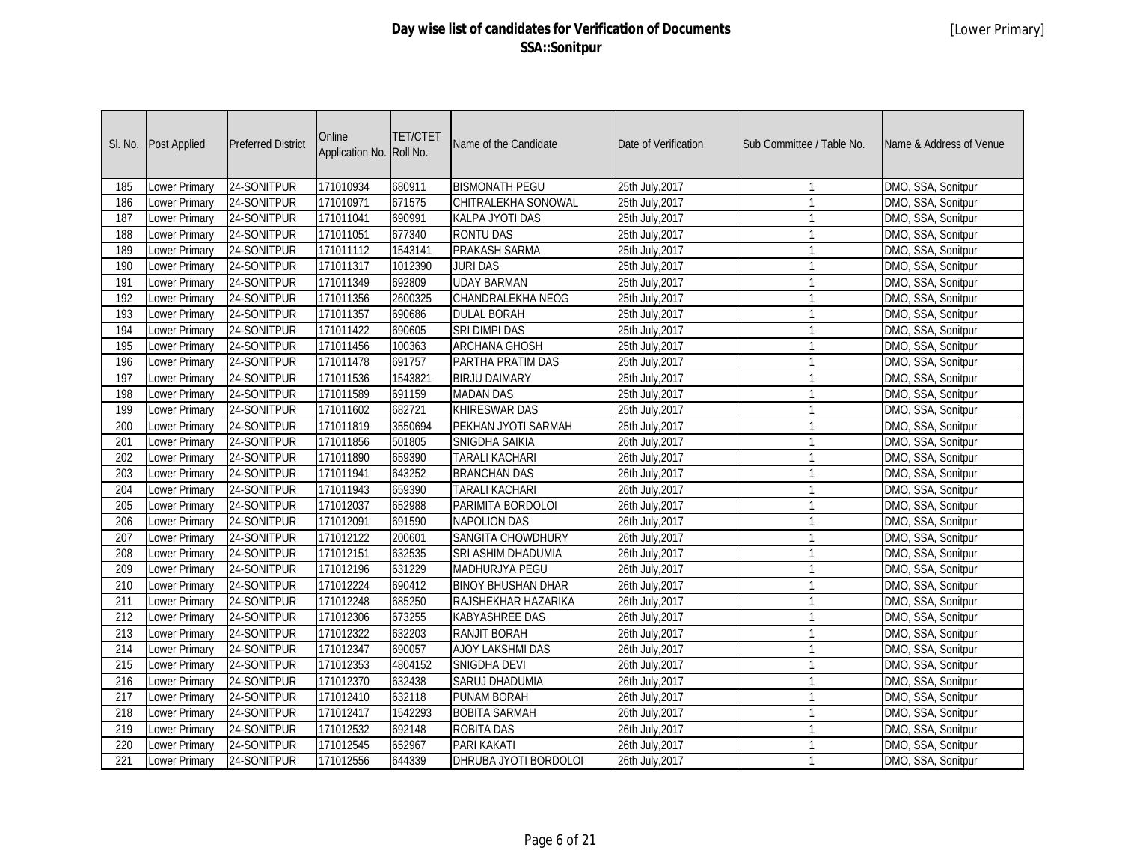| SI. No. | Post Applied         | <b>Preferred District</b> | Online<br>Application No. | <b>TET/CTET</b><br>Roll No. | Name of the Candidate     | Date of Verification | Sub Committee / Table No. | Name & Address of Venue |
|---------|----------------------|---------------------------|---------------------------|-----------------------------|---------------------------|----------------------|---------------------------|-------------------------|
| 185     | Lower Primary        | 24-SONITPUR               | 171010934                 | 680911                      | <b>BISMONATH PEGU</b>     | 25th July, 2017      | $\mathbf{1}$              | DMO, SSA, Sonitpur      |
| 186     | Lower Primary        | 24-SONITPUR               | 171010971                 | 671575                      | CHITRALEKHA SONOWAL       | 25th July, 2017      | $\overline{1}$            | DMO, SSA, Sonitpur      |
| 187     | Lower Primary        | 24-SONITPUR               | 171011041                 | 690991                      | KALPA JYOTI DAS           | 25th July, 2017      | $\mathbf{1}$              | DMO, SSA, Sonitpur      |
| 188     | Lower Primary        | 24-SONITPUR               | 171011051                 | 677340                      | <b>RONTU DAS</b>          | 25th July, 2017      | $\mathbf{1}$              | DMO, SSA, Sonitpur      |
| 189     | Lower Primary        | 24-SONITPUR               | 171011112                 | 1543141                     | PRAKASH SARMA             | 25th July, 2017      | $\mathbf{1}$              | DMO, SSA, Sonitpur      |
| 190     | <b>Lower Primary</b> | 24-SONITPUR               | 171011317                 | 1012390                     | <b>JURI DAS</b>           | 25th July, 2017      | $\mathbf{1}$              | DMO, SSA, Sonitpur      |
| 191     | <b>Lower Primary</b> | 24-SONITPUR               | 171011349                 | 692809                      | <b>UDAY BARMAN</b>        | 25th July, 2017      | $\mathbf{1}$              | DMO, SSA, Sonitpur      |
| 192     | <b>Lower Primary</b> | 24-SONITPUR               | 171011356                 | 2600325                     | CHANDRALEKHA NEOG         | 25th July, 2017      | $\mathbf{1}$              | DMO, SSA, Sonitpur      |
| 193     | <b>Lower Primary</b> | 24-SONITPUR               | 171011357                 | 690686                      | <b>DULAL BORAH</b>        | 25th July, 2017      | $\mathbf{1}$              | DMO, SSA, Sonitpur      |
| 194     | Lower Primary        | 24-SONITPUR               | 171011422                 | 690605                      | <b>SRI DIMPI DAS</b>      | 25th July, 2017      | $\mathbf{1}$              | DMO, SSA, Sonitpur      |
| 195     | <b>Lower Primary</b> | 24-SONITPUR               | 171011456                 | 100363                      | <b>ARCHANA GHOSH</b>      | 25th July, 2017      | $\overline{1}$            | DMO, SSA, Sonitpur      |
| 196     | <b>Lower Primary</b> | 24-SONITPUR               | 171011478                 | 691757                      | PARTHA PRATIM DAS         | 25th July, 2017      | $\mathbf{1}$              | DMO, SSA, Sonitpur      |
| 197     | Lower Primary        | 24-SONITPUR               | 171011536                 | 1543821                     | <b>BIRJU DAIMARY</b>      | 25th July, 2017      | $\mathbf{1}$              | DMO, SSA, Sonitpur      |
| 198     | Lower Primary        | 24-SONITPUR               | 171011589                 | 691159                      | <b>MADAN DAS</b>          | 25th July, 2017      | $\mathbf{1}$              | DMO, SSA, Sonitpur      |
| 199     | Lower Primary        | 24-SONITPUR               | 171011602                 | 682721                      | <b>KHIRESWAR DAS</b>      | 25th July, 2017      | $\mathbf{1}$              | DMO, SSA, Sonitpur      |
| 200     | <b>Lower Primary</b> | 24-SONITPUR               | 171011819                 | 3550694                     | PEKHAN JYOTI SARMAH       | 25th July, 2017      | $\mathbf{1}$              | DMO, SSA, Sonitpur      |
| 201     | Lower Primary        | 24-SONITPUR               | 171011856                 | 501805                      | SNIGDHA SAIKIA            | 26th July, 2017      | $\mathbf{1}$              | DMO, SSA, Sonitpur      |
| 202     | Lower Primary        | 24-SONITPUR               | 171011890                 | 659390                      | TARALI KACHARI            | 26th July, 2017      | $\mathbf{1}$              | DMO, SSA, Sonitpur      |
| 203     | Lower Primary        | 24-SONITPUR               | 171011941                 | 643252                      | <b>BRANCHAN DAS</b>       | 26th July, 2017      | $\mathbf{1}$              | DMO, SSA, Sonitpur      |
| 204     | Lower Primary        | 24-SONITPUR               | 171011943                 | 659390                      | <b>TARALI KACHARI</b>     | 26th July, 2017      | $\mathbf{1}$              | DMO, SSA, Sonitpur      |
| 205     | Lower Primary        | 24-SONITPUR               | 171012037                 | 652988                      | PARIMITA BORDOLOI         | 26th July, 2017      | $\overline{1}$            | DMO, SSA, Sonitpur      |
| 206     | <b>Lower Primary</b> | 24-SONITPUR               | 171012091                 | 691590                      | <b>NAPOLION DAS</b>       | 26th July, 2017      | $\mathbf{1}$              | DMO, SSA, Sonitpur      |
| 207     | Lower Primary        | 24-SONITPUR               | 171012122                 | 200601                      | <b>SANGITA CHOWDHURY</b>  | 26th July, 2017      | $\mathbf{1}$              | DMO, SSA, Sonitpur      |
| 208     | <b>Lower Primary</b> | 24-SONITPUR               | 171012151                 | 632535                      | SRI ASHIM DHADUMIA        | 26th July, 2017      | $\mathbf{1}$              | DMO, SSA, Sonitpur      |
| 209     | Lower Primary        | 24-SONITPUR               | 171012196                 | 631229                      | <b>MADHURJYA PEGU</b>     | 26th July, 2017      | $\mathbf{1}$              | DMO, SSA, Sonitpur      |
| 210     | Lower Primary        | 24-SONITPUR               | 171012224                 | 690412                      | <b>BINOY BHUSHAN DHAR</b> | 26th July, 2017      | $\mathbf{1}$              | DMO, SSA, Sonitpur      |
| 211     | <b>Lower Primary</b> | 24-SONITPUR               | 171012248                 | 685250                      | RAJSHEKHAR HAZARIKA       | 26th July, 2017      | $\mathbf{1}$              | DMO, SSA, Sonitpur      |
| 212     | Lower Primary        | 24-SONITPUR               | 171012306                 | 673255                      | <b>KABYASHREE DAS</b>     | 26th July, 2017      | $\mathbf{1}$              | DMO, SSA, Sonitpur      |
| 213     | <b>Lower Primary</b> | 24-SONITPUR               | 171012322                 | 632203                      | RANJIT BORAH              | 26th July, 2017      | $\mathbf{1}$              | DMO, SSA, Sonitpur      |
| 214     | Lower Primary        | 24-SONITPUR               | 171012347                 | 690057                      | AJOY LAKSHMI DAS          | 26th July, 2017      | $\mathbf{1}$              | DMO, SSA, Sonitpur      |
| 215     | Lower Primary        | 24-SONITPUR               | 171012353                 | 4804152                     | SNIGDHA DEVI              | 26th July, 2017      | $\mathbf{1}$              | DMO, SSA, Sonitpur      |
| 216     | <b>Lower Primary</b> | 24-SONITPUR               | 171012370                 | 632438                      | <b>SARUJ DHADUMIA</b>     | 26th July, 2017      | $\mathbf{1}$              | DMO, SSA, Sonitpur      |
| 217     | Lower Primary        | 24-SONITPUR               | 171012410                 | 632118                      | PUNAM BORAH               | 26th July, 2017      | $\mathbf{1}$              | DMO, SSA, Sonitpur      |
| 218     | <b>Lower Primary</b> | 24-SONITPUR               | 171012417                 | 1542293                     | <b>BOBITA SARMAH</b>      | 26th July, 2017      | $\mathbf{1}$              | DMO, SSA, Sonitpur      |
| 219     | Lower Primary        | 24-SONITPUR               | 171012532                 | 692148                      | <b>ROBITA DAS</b>         | 26th July, 2017      | $\mathbf{1}$              | DMO, SSA, Sonitpur      |
| 220     | Lower Primary        | 24-SONITPUR               | 171012545                 | 652967                      | PARI KAKATI               | 26th July, 2017      | $\mathbf{1}$              | DMO, SSA, Sonitpur      |
| 221     | Lower Primary        | 24-SONITPUR               | 171012556                 | 644339                      | DHRUBA JYOTI BORDOLOI     | 26th July, 2017      | $\mathbf{1}$              | DMO, SSA, Sonitpur      |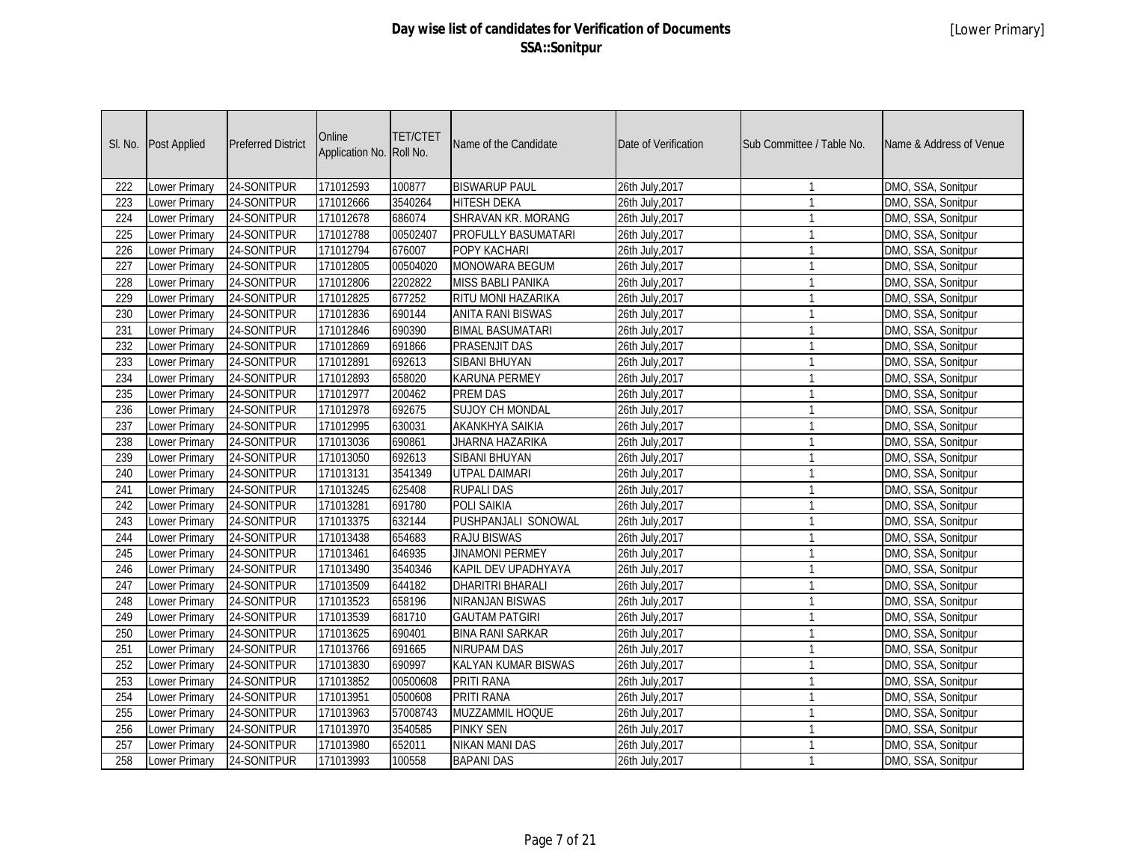| SI. No.          | Post Applied         | <b>Preferred District</b> | Online<br>Application No. | <b>TET/CTET</b><br>Roll No. | Name of the Candidate     | Date of Verification | Sub Committee / Table No. | Name & Address of Venue |
|------------------|----------------------|---------------------------|---------------------------|-----------------------------|---------------------------|----------------------|---------------------------|-------------------------|
| 222              | <b>Lower Primary</b> | 24-SONITPUR               | 171012593                 | 100877                      | <b>BISWARUP PAUL</b>      | 26th July, 2017      | $\mathbf{1}$              | DMO, SSA, Sonitpur      |
| 223              | Lower Primary        | 24-SONITPUR               | 171012666                 | 3540264                     | <b>HITESH DEKA</b>        | 26th July, 2017      | $\mathbf{1}$              | DMO, SSA, Sonitpur      |
| 224              | Lower Primary        | 24-SONITPUR               | 171012678                 | 686074                      | <b>SHRAVAN KR. MORANG</b> | 26th July, 2017      | $\mathbf{1}$              | DMO, SSA, Sonitpur      |
| 225              | Lower Primary        | 24-SONITPUR               | 171012788                 | 00502407                    | PROFULLY BASUMATARI       | 26th July, 2017      | $\mathbf{1}$              | DMO, SSA, Sonitpur      |
| 226              | <b>Lower Primary</b> | 24-SONITPUR               | 171012794                 | 676007                      | POPY KACHARI              | 26th July, 2017      | $\mathbf{1}$              | DMO, SSA, Sonitpur      |
| 227              | <b>Lower Primary</b> | 24-SONITPUR               | 171012805                 | 00504020                    | <b>MONOWARA BEGUM</b>     | 26th July, 2017      | $\mathbf{1}$              | DMO, SSA, Sonitpur      |
| 228              | <b>Lower Primary</b> | 24-SONITPUR               | 171012806                 | 2202822                     | <b>MISS BABLI PANIKA</b>  | 26th July, 2017      | $\mathbf{1}$              | DMO, SSA, Sonitpur      |
| $\overline{229}$ | <b>Lower Primary</b> | 24-SONITPUR               | 171012825                 | 677252                      | RITU MONI HAZARIKA        | 26th July, 2017      | $\mathbf{1}$              | DMO, SSA, Sonitpur      |
| 230              | <b>Lower Primary</b> | 24-SONITPUR               | 171012836                 | 690144                      | <b>ANITA RANI BISWAS</b>  | 26th July, 2017      | $\mathbf{1}$              | DMO, SSA, Sonitpur      |
| 231              | <b>Lower Primary</b> | 24-SONITPUR               | 171012846                 | 690390                      | <b>BIMAL BASUMATARI</b>   | 26th July, 2017      | $\mathbf{1}$              | DMO, SSA, Sonitpur      |
| 232              | <b>Lower Primary</b> | 24-SONITPUR               | 171012869                 | 691866                      | <b>PRASENJIT DAS</b>      | 26th July, 2017      | $\mathbf{1}$              | DMO, SSA, Sonitpur      |
| 233              | <b>Lower Primary</b> | 24-SONITPUR               | 171012891                 | 692613                      | <b>SIBANI BHUYAN</b>      | 26th July, 2017      | $\mathbf{1}$              | DMO, SSA, Sonitpur      |
| 234              | Lower Primary        | 24-SONITPUR               | 171012893                 | 658020                      | <b>KARUNA PERMEY</b>      | 26th July, 2017      | $\mathbf{1}$              | DMO, SSA, Sonitpur      |
| 235              | <b>Lower Primary</b> | 24-SONITPUR               | 171012977                 | 200462                      | <b>PREM DAS</b>           | 26th July, 2017      | $\mathbf{1}$              | DMO, SSA, Sonitpur      |
| 236              | Lower Primary        | 24-SONITPUR               | 171012978                 | 692675                      | <b>SUJOY CH MONDAL</b>    | 26th July, 2017      | $\mathbf{1}$              | DMO, SSA, Sonitpur      |
| 237              | Lower Primary        | 24-SONITPUR               | 171012995                 | 630031                      | AKANKHYA SAIKIA           | 26th July, 2017      | $\mathbf{1}$              | DMO, SSA, Sonitpur      |
| 238              | <b>Lower Primary</b> | 24-SONITPUR               | 171013036                 | 690861                      | JHARNA HAZARIKA           | 26th July, 2017      | $\mathbf{1}$              | DMO, SSA, Sonitpur      |
| 239              | <b>Lower Primary</b> | 24-SONITPUR               | 171013050                 | 692613                      | <b>SIBANI BHUYAN</b>      | 26th July, 2017      | $\mathbf{1}$              | DMO, SSA, Sonitpur      |
| 240              | Lower Primary        | 24-SONITPUR               | 171013131                 | 3541349                     | UTPAL DAIMARI             | 26th July, 2017      | $\mathbf{1}$              | DMO, SSA, Sonitpur      |
| 241              | Lower Primary        | 24-SONITPUR               | 171013245                 | 625408                      | <b>RUPALI DAS</b>         | 26th July, 2017      | $\mathbf{1}$              | DMO, SSA, Sonitpur      |
| 242              | Lower Primary        | 24-SONITPUR               | 171013281                 | 691780                      | POLI SAIKIA               | 26th July, 2017      | $\mathbf{1}$              | DMO, SSA, Sonitpur      |
| 243              | <b>Lower Primary</b> | 24-SONITPUR               | 171013375                 | 632144                      | PUSHPANJALI SONOWAL       | 26th July, 2017      | $\mathbf{1}$              | DMO, SSA, Sonitpur      |
| 244              | Lower Primary        | 24-SONITPUR               | 171013438                 | 654683                      | <b>RAJU BISWAS</b>        | 26th July, 2017      | $\mathbf{1}$              | DMO, SSA, Sonitpur      |
| 245              | Lower Primary        | 24-SONITPUR               | 171013461                 | 646935                      | <b>JINAMONI PERMEY</b>    | 26th July, 2017      | $\mathbf{1}$              | DMO, SSA, Sonitpur      |
| 246              | Lower Primary        | 24-SONITPUR               | 171013490                 | 3540346                     | KAPIL DEV UPADHYAYA       | 26th July, 2017      | $\mathbf{1}$              | DMO, SSA, Sonitpur      |
| 247              | <b>Lower Primary</b> | 24-SONITPUR               | 171013509                 | 644182                      | <b>DHARITRI BHARALI</b>   | 26th July, 2017      | $\mathbf{1}$              | DMO, SSA, Sonitpur      |
| 248              | Lower Primary        | 24-SONITPUR               | 171013523                 | 658196                      | <b>NIRANJAN BISWAS</b>    | 26th July, 2017      | $\mathbf{1}$              | DMO, SSA, Sonitpur      |
| 249              | Lower Primary        | 24-SONITPUR               | 171013539                 | 681710                      | <b>GAUTAM PATGIRI</b>     | 26th July, 2017      | $\mathbf{1}$              | DMO, SSA, Sonitpur      |
| 250              | Lower Primary        | 24-SONITPUR               | 171013625                 | 690401                      | <b>BINA RANI SARKAR</b>   | 26th July, 2017      | $\mathbf{1}$              | DMO, SSA, Sonitpur      |
| 251              | Lower Primary        | 24-SONITPUR               | 171013766                 | 691665                      | <b>NIRUPAM DAS</b>        | 26th July, 2017      | $\mathbf{1}$              | DMO, SSA, Sonitpur      |
| 252              | Lower Primary        | 24-SONITPUR               | 171013830                 | 690997                      | KALYAN KUMAR BISWAS       | 26th July, 2017      | $\mathbf{1}$              | DMO, SSA, Sonitpur      |
| 253              | Lower Primary        | 24-SONITPUR               | 171013852                 | 00500608                    | PRITI RANA                | 26th July, 2017      | $\mathbf{1}$              | DMO, SSA, Sonitpur      |
| 254              | Lower Primary        | 24-SONITPUR               | 171013951                 | 0500608                     | PRITI RANA                | 26th July, 2017      | $\mathbf{1}$              | DMO, SSA, Sonitpur      |
| 255              | Lower Primary        | 24-SONITPUR               | 171013963                 | 57008743                    | MUZZAMMIL HOQUE           | 26th July, 2017      | $\mathbf{1}$              | DMO, SSA, Sonitpur      |
| 256              | Lower Primary        | 24-SONITPUR               | 171013970                 | 3540585                     | <b>PINKY SEN</b>          | 26th July, 2017      | $\mathbf{1}$              | DMO, SSA, Sonitpur      |
| 257              | Lower Primary        | 24-SONITPUR               | 171013980                 | 652011                      | <b>NIKAN MANI DAS</b>     | 26th July, 2017      | $\mathbf{1}$              | DMO, SSA, Sonitpur      |
| 258              | <b>Lower Primary</b> | 24-SONITPUR               | 171013993                 | 100558                      | <b>BAPANI DAS</b>         | 26th July, 2017      | $\mathbf{1}$              | DMO, SSA, Sonitpur      |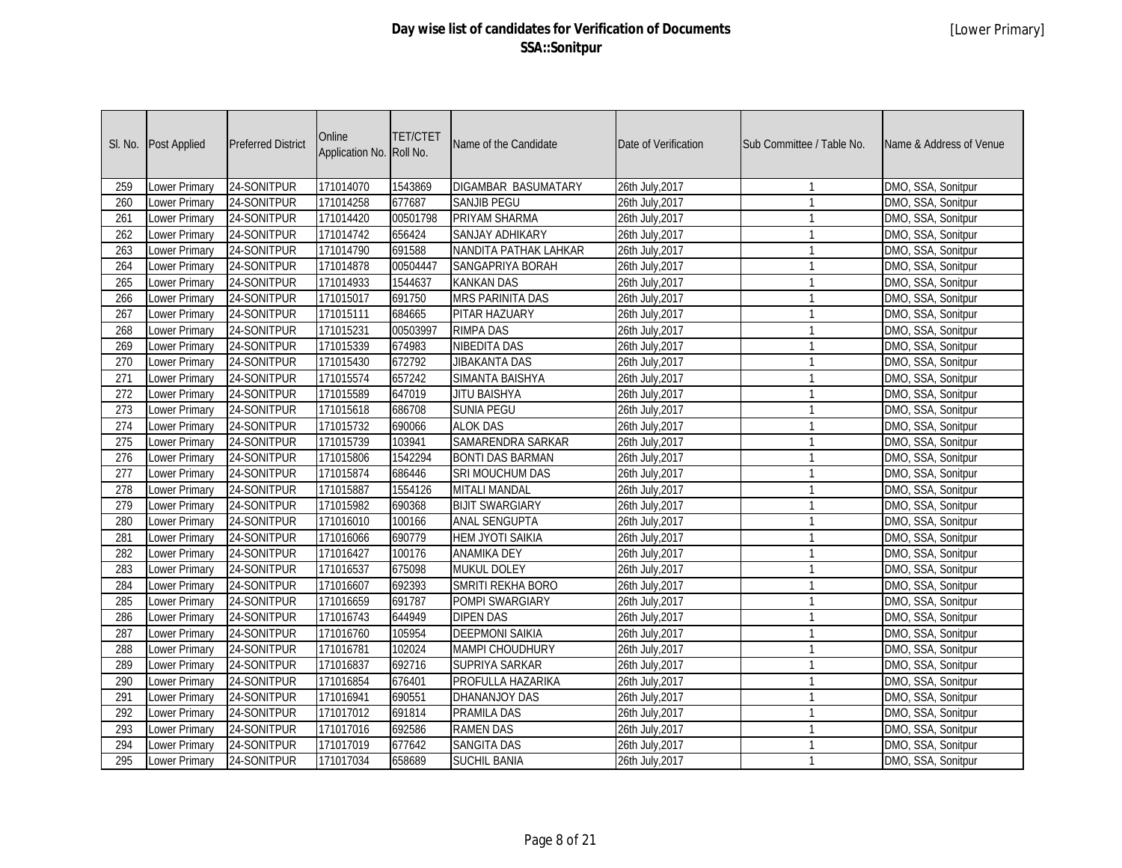|                  | SI. No. Post Applied | <b>Preferred District</b> | Online<br>Application No. Roll No. | <b>TET/CTET</b> | Name of the Candidate   | Date of Verification | Sub Committee / Table No. | Name & Address of Venue |
|------------------|----------------------|---------------------------|------------------------------------|-----------------|-------------------------|----------------------|---------------------------|-------------------------|
| 259              | Lower Primary        | 24-SONITPUR               | 171014070                          | 1543869         | DIGAMBAR BASUMATARY     | 26th July, 2017      | $\mathbf{1}$              | DMO, SSA, Sonitpur      |
| 260              | Lower Primary        | 24-SONITPUR               | 171014258                          | 677687          | <b>SANJIB PEGU</b>      | 26th July, 2017      | $\overline{1}$            | DMO, SSA, Sonitpur      |
| 261              | Lower Primary        | 24-SONITPUR               | 171014420                          | 00501798        | PRIYAM SHARMA           | 26th July, 2017      | $\overline{1}$            | DMO, SSA, Sonitpur      |
| 262              | Lower Primary        | 24-SONITPUR               | 171014742                          | 656424          | SANJAY ADHIKARY         | 26th July, 2017      | $\overline{1}$            | DMO, SSA, Sonitpur      |
| $\overline{263}$ | Lower Primary        | 24-SONITPUR               | 171014790                          | 691588          | NANDITA PATHAK LAHKAR   | 26th July, 2017      | $\overline{1}$            | DMO, SSA, Sonitpur      |
| 264              | <b>Lower Primary</b> | 24-SONITPUR               | 171014878                          | 00504447        | <b>SANGAPRIYA BORAH</b> | 26th July, 2017      | $\overline{1}$            | DMO, SSA, Sonitpur      |
| 265              | <b>Lower Primary</b> | 24-SONITPUR               | 171014933                          | 1544637         | <b>KANKAN DAS</b>       | 26th July, 2017      | $\overline{1}$            | DMO, SSA, Sonitpur      |
| 266              | <b>Lower Primary</b> | 24-SONITPUR               | 171015017                          | 691750          | MRS PARINITA DAS        | 26th July, 2017      | $\overline{1}$            | DMO, SSA, Sonitpur      |
| $\overline{267}$ | <b>Lower Primary</b> | 24-SONITPUR               | 171015111                          | 684665          | PITAR HAZUARY           | 26th July, 2017      | $\overline{1}$            | DMO, SSA, Sonitpur      |
| 268              | Lower Primary        | 24-SONITPUR               | 171015231                          | 00503997        | <b>RIMPA DAS</b>        | 26th July, 2017      | $\overline{1}$            | DMO, SSA, Sonitpur      |
| 269              | <b>Lower Primary</b> | 24-SONITPUR               | 171015339                          | 674983          | <b>NIBEDITA DAS</b>     | 26th July, 2017      | $\overline{1}$            | DMO, SSA, Sonitpur      |
| 270              | <b>Lower Primary</b> | 24-SONITPUR               | 171015430                          | 672792          | <b>JIBAKANTA DAS</b>    | 26th July, 2017      | $\overline{1}$            | DMO, SSA, Sonitpur      |
| 271              | Lower Primary        | 24-SONITPUR               | 171015574                          | 657242          | SIMANTA BAISHYA         | 26th July, 2017      | $\overline{1}$            | DMO, SSA, Sonitpur      |
| 272              | Lower Primary        | 24-SONITPUR               | 171015589                          | 647019          | <b>JITU BAISHYA</b>     | 26th July, 2017      | $\overline{1}$            | DMO, SSA, Sonitpur      |
| 273              | Lower Primary        | 24-SONITPUR               | 171015618                          | 686708          | <b>SUNIA PEGU</b>       | 26th July, 2017      | $\overline{1}$            | DMO, SSA, Sonitpur      |
| 274              | <b>Lower Primary</b> | 24-SONITPUR               | 171015732                          | 690066          | <b>ALOK DAS</b>         | 26th July, 2017      | $\overline{1}$            | DMO, SSA, Sonitpur      |
| 275              | Lower Primary        | 24-SONITPUR               | 171015739                          | 103941          | SAMARENDRA SARKAR       | 26th July, 2017      | $\overline{1}$            | DMO, SSA, Sonitpur      |
| 276              | Lower Primary        | 24-SONITPUR               | 171015806                          | 1542294         | <b>BONTI DAS BARMAN</b> | 26th July, 2017      | $\overline{1}$            | DMO, SSA, Sonitpur      |
| 277              | Lower Primary        | 24-SONITPUR               | 171015874                          | 686446          | SRI MOUCHUM DAS         | 26th July, 2017      | $\overline{1}$            | DMO, SSA, Sonitpur      |
| 278              | Lower Primary        | 24-SONITPUR               | 171015887                          | 1554126         | <b>MITALI MANDAL</b>    | 26th July, 2017      | $\overline{1}$            | DMO, SSA, Sonitpur      |
| 279              | Lower Primary        | 24-SONITPUR               | 171015982                          | 690368          | <b>BIJIT SWARGIARY</b>  | 26th July, 2017      | $\overline{1}$            | DMO, SSA, Sonitpur      |
| 280              | Lower Primary        | 24-SONITPUR               | 171016010                          | 100166          | <b>ANAL SENGUPTA</b>    | 26th July, 2017      | $\overline{1}$            | DMO, SSA, Sonitpur      |
| 281              | Lower Primary        | 24-SONITPUR               | 171016066                          | 690779          | <b>HEM JYOTI SAIKIA</b> | 26th July, 2017      | $\overline{1}$            | DMO, SSA, Sonitpur      |
| 282              | <b>Lower Primary</b> | 24-SONITPUR               | 171016427                          | 100176          | <b>ANAMIKA DEY</b>      | 26th July, 2017      | $\overline{1}$            | DMO, SSA, Sonitpur      |
| 283              | Lower Primary        | 24-SONITPUR               | 171016537                          | 675098          | <b>MUKUL DOLEY</b>      | 26th July, 2017      | $\overline{1}$            | DMO, SSA, Sonitpur      |
| 284              | Lower Primary        | 24-SONITPUR               | 171016607                          | 692393          | SMRITI REKHA BORO       | 26th July, 2017      | $\overline{1}$            | DMO, SSA, Sonitpur      |
| 285              | Lower Primary        | 24-SONITPUR               | 171016659                          | 691787          | <b>POMPI SWARGIARY</b>  | 26th July, 2017      | $\overline{1}$            | DMO, SSA, Sonitpur      |
| 286              | <b>Lower Primary</b> | 24-SONITPUR               | 171016743                          | 644949          | <b>DIPEN DAS</b>        | 26th July, 2017      | $\overline{1}$            | DMO, SSA, Sonitpur      |
| 287              | <b>Lower Primary</b> | 24-SONITPUR               | 171016760                          | 105954          | <b>DEEPMONI SAIKIA</b>  | 26th July, 2017      | $\overline{1}$            | DMO, SSA, Sonitpur      |
| 288              | Lower Primary        | 24-SONITPUR               | 171016781                          | 102024          | <b>MAMPI CHOUDHURY</b>  | 26th July, 2017      | $\mathbf{1}$              | DMO, SSA, Sonitpur      |
| 289              | Lower Primary        | 24-SONITPUR               | 171016837                          | 692716          | SUPRIYA SARKAR          | 26th July, 2017      | $\overline{1}$            | DMO, SSA, Sonitpur      |
| 290              | Lower Primary        | 24-SONITPUR               | 171016854                          | 676401          | PROFULLA HAZARIKA       | 26th July, 2017      | $\overline{1}$            | DMO, SSA, Sonitpur      |
| 291              | Lower Primary        | 24-SONITPUR               | 171016941                          | 690551          | DHANANJOY DAS           | 26th July, 2017      | $\overline{1}$            | DMO, SSA, Sonitpur      |
| 292              | <b>Lower Primary</b> | 24-SONITPUR               | 171017012                          | 691814          | <b>PRAMILA DAS</b>      | 26th July, 2017      | $\overline{1}$            | DMO, SSA, Sonitpur      |
| 293              | Lower Primary        | 24-SONITPUR               | 171017016                          | 692586          | <b>RAMEN DAS</b>        | 26th July, 2017      | $\overline{1}$            | DMO, SSA, Sonitpur      |
| 294              | Lower Primary        | 24-SONITPUR               | 171017019                          | 677642          | <b>SANGITA DAS</b>      | 26th July, 2017      | $\overline{1}$            | DMO, SSA, Sonitpur      |
| 295              | Lower Primary        | 24-SONITPUR               | 171017034                          | 658689          | <b>SUCHIL BANIA</b>     | 26th July, 2017      | $\overline{1}$            | DMO, SSA, Sonitpur      |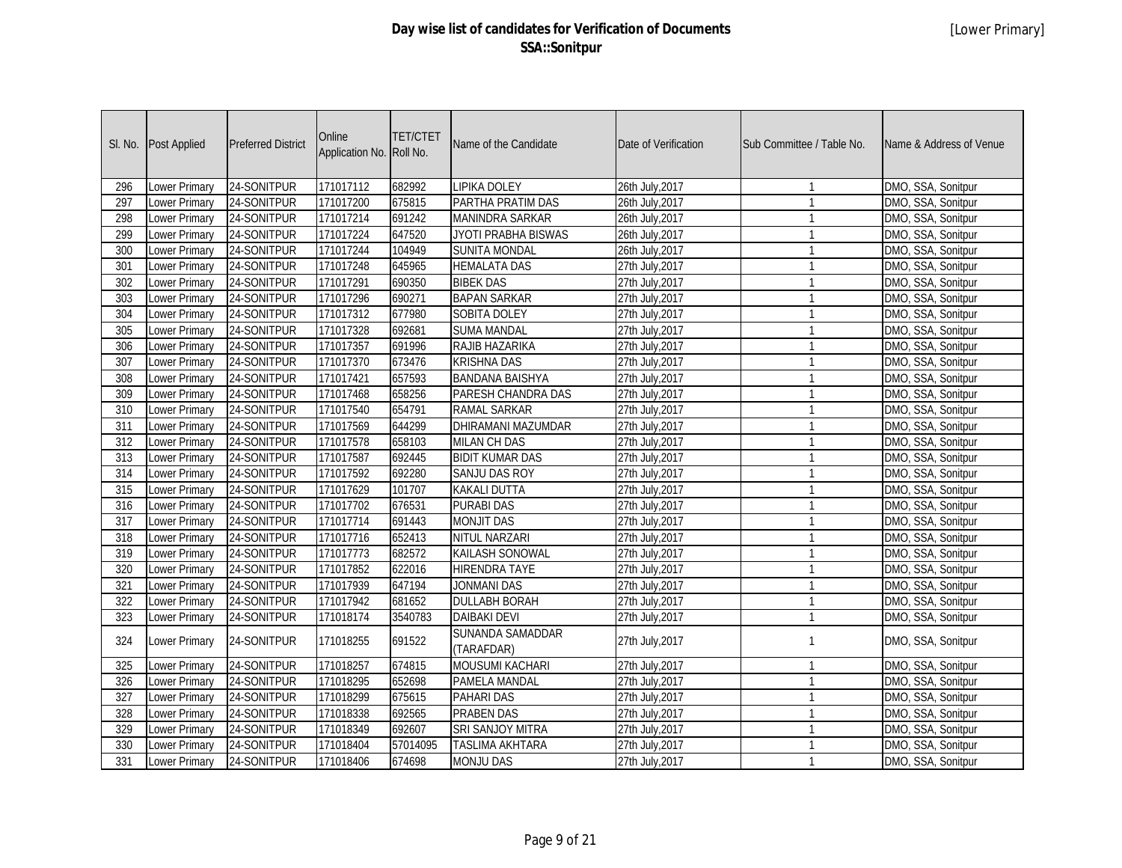| SI. No.          | <b>Post Applied</b>  | <b>Preferred District</b> | Online<br>Application No. Roll No. | <b>TET/CTET</b> | Name of the Candidate          | Date of Verification | Sub Committee / Table No. | Name & Address of Venue |
|------------------|----------------------|---------------------------|------------------------------------|-----------------|--------------------------------|----------------------|---------------------------|-------------------------|
| 296              | <b>Lower Primary</b> | 24-SONITPUR               | 171017112                          | 682992          | <b>LIPIKA DOLEY</b>            | 26th July, 2017      | $\overline{\phantom{a}}$  | DMO, SSA, Sonitpur      |
| 297              | Lower Primary        | 24-SONITPUR               | 171017200                          | 675815          | PARTHA PRATIM DAS              | 26th July, 2017      | $\overline{1}$            | DMO, SSA, Sonitpur      |
| 298              | Lower Primary        | 24-SONITPUR               | 171017214                          | 691242          | <b>MANINDRA SARKAR</b>         | 26th July, 2017      | $\overline{1}$            | DMO, SSA, Sonitpur      |
| 299              | Lower Primary        | 24-SONITPUR               | 171017224                          | 647520          | JYOTI PRABHA BISWAS            | 26th July, 2017      | $\overline{1}$            | DMO, SSA, Sonitpur      |
| 300              | Lower Primary        | 24-SONITPUR               | 171017244                          | 104949          | <b>SUNITA MONDAL</b>           | 26th July, 2017      | $\overline{1}$            | DMO, SSA, Sonitpur      |
| 301              | <b>Lower Primary</b> | 24-SONITPUR               | 171017248                          | 645965          | <b>HEMALATA DAS</b>            | 27th July, 2017      | $\overline{1}$            | DMO, SSA, Sonitpur      |
| 302              | <b>Lower Primary</b> | 24-SONITPUR               | 171017291                          | 690350          | <b>BIBEK DAS</b>               | 27th July, 2017      | $\overline{1}$            | DMO, SSA, Sonitpur      |
| 303              | <b>Lower Primary</b> | 24-SONITPUR               | 171017296                          | 690271          | <b>BAPAN SARKAR</b>            | 27th July, 2017      | $\overline{1}$            | DMO, SSA, Sonitpur      |
| 304              | <b>Lower Primary</b> | 24-SONITPUR               | 171017312                          | 677980          | <b>SOBITA DOLEY</b>            | 27th July, 2017      | $\overline{1}$            | DMO, SSA, Sonitpur      |
| 305              | Lower Primary        | 24-SONITPUR               | 171017328                          | 692681          | <b>SUMA MANDAL</b>             | 27th July, 2017      | $\overline{1}$            | DMO, SSA, Sonitpur      |
| 306              | <b>Lower Primary</b> | 24-SONITPUR               | 171017357                          | 691996          | RAJIB HAZARIKA                 | 27th July, 2017      | $\overline{1}$            | DMO, SSA, Sonitpur      |
| $\overline{307}$ | <b>Lower Primary</b> | 24-SONITPUR               | 171017370                          | 673476          | <b>KRISHNA DAS</b>             | 27th July, 2017      | $\overline{1}$            | DMO, SSA, Sonitpur      |
| 308              | Lower Primary        | 24-SONITPUR               | 171017421                          | 657593          | <b>BANDANA BAISHYA</b>         | 27th July, 2017      | $\overline{1}$            | DMO, SSA, Sonitpur      |
| 309              | Lower Primary        | 24-SONITPUR               | 171017468                          | 658256          | PARESH CHANDRA DAS             | 27th July, 2017      | $\overline{1}$            | DMO, SSA, Sonitpur      |
| 310              | Lower Primary        | 24-SONITPUR               | 171017540                          | 654791          | RAMAL SARKAR                   | 27th July, 2017      | $\overline{1}$            | DMO, SSA, Sonitpur      |
| 311              | Lower Primary        | 24-SONITPUR               | 171017569                          | 644299          | DHIRAMANI MAZUMDAR             | 27th July, 2017      | $\overline{1}$            | DMO, SSA, Sonitpur      |
| 312              | Lower Primary        | 24-SONITPUR               | 171017578                          | 658103          | <b>MILAN CH DAS</b>            | 27th July, 2017      | $\overline{1}$            | DMO, SSA, Sonitpur      |
| $\overline{313}$ | <b>Lower Primary</b> | 24-SONITPUR               | 171017587                          | 692445          | <b>BIDIT KUMAR DAS</b>         | 27th July, 2017      | $\overline{1}$            | DMO, SSA, Sonitpur      |
| 314              | Lower Primary        | 24-SONITPUR               | 171017592                          | 692280          | SANJU DAS ROY                  | 27th July, 2017      | $\overline{1}$            | DMO, SSA, Sonitpur      |
| 315              | Lower Primary        | 24-SONITPUR               | 171017629                          | 101707          | <b>KAKALI DUTTA</b>            | 27th July, 2017      | $\overline{1}$            | DMO, SSA, Sonitpur      |
| 316              | Lower Primary        | 24-SONITPUR               | 171017702                          | 676531          | <b>PURABI DAS</b>              | 27th July, 2017      | $\overline{1}$            | DMO, SSA, Sonitpur      |
| 317              | Lower Primary        | 24-SONITPUR               | 171017714                          | 691443          | <b>MONJIT DAS</b>              | 27th July, 2017      | $\overline{1}$            | DMO, SSA, Sonitpur      |
| 318              | Lower Primary        | 24-SONITPUR               | 171017716                          | 652413          | NITUL NARZARI                  | 27th July, 2017      | $\mathbf{1}$              | DMO, SSA, Sonitpur      |
| $\overline{319}$ | Lower Primary        | 24-SONITPUR               | 171017773                          | 682572          | KAILASH SONOWAL                | 27th July, 2017      | $\overline{1}$            | DMO, SSA, Sonitpur      |
| $\overline{320}$ | Lower Primary        | 24-SONITPUR               | 171017852                          | 622016          | <b>HIRENDRA TAYE</b>           | 27th July, 2017      | $\overline{1}$            | DMO, SSA, Sonitpur      |
| 321              | Lower Primary        | 24-SONITPUR               | 171017939                          | 647194          | <b>JONMANI DAS</b>             | 27th July, 2017      | $\overline{1}$            | DMO, SSA, Sonitpur      |
| 322              | Lower Primary        | 24-SONITPUR               | 171017942                          | 681652          | <b>DULLABH BORAH</b>           | 27th July, 2017      | $\overline{1}$            | DMO, SSA, Sonitpur      |
| 323              | Lower Primary        | 24-SONITPUR               | 171018174                          | 3540783         | <b>DAIBAKI DEVI</b>            | 27th July, 2017      | $\overline{1}$            | DMO, SSA, Sonitpur      |
| 324              | Lower Primary        | 24-SONITPUR               | 171018255                          | 691522          | SUNANDA SAMADDAR<br>(TARAFDAR) | 27th July, 2017      | $\overline{1}$            | DMO, SSA, Sonitpur      |
| 325              | <b>Lower Primary</b> | 24-SONITPUR               | 171018257                          | 674815          | <b>MOUSUMI KACHARI</b>         | 27th July, 2017      | $\overline{1}$            | DMO, SSA, Sonitpur      |
| 326              | Lower Primary        | 24-SONITPUR               | 171018295                          | 652698          | <b>PAMELA MANDAL</b>           | 27th July, 2017      | $\mathbf{1}$              | DMO, SSA, Sonitpur      |
| $\overline{327}$ | <b>Lower Primary</b> | 24-SONITPUR               | 171018299                          | 675615          | <b>PAHARI DAS</b>              | 27th July, 2017      | $\overline{1}$            | DMO, SSA, Sonitpur      |
| 328              | <b>Lower Primary</b> | 24-SONITPUR               | 171018338                          | 692565          | <b>PRABEN DAS</b>              | 27th July, 2017      | $\overline{1}$            | DMO, SSA, Sonitpur      |
| 329              | <b>Lower Primary</b> | 24-SONITPUR               | 171018349                          | 692607          | <b>SRI SANJOY MITRA</b>        | 27th July, 2017      | $\overline{1}$            | DMO, SSA, Sonitpur      |
| 330              | <b>Lower Primary</b> | 24-SONITPUR               | 171018404                          | 57014095        | <b>TASLIMA AKHTARA</b>         | 27th July, 2017      | $\overline{1}$            | DMO, SSA, Sonitpur      |
| 331              | Lower Primary        | 24-SONITPUR               | 171018406                          | 674698          | <b>MONJU DAS</b>               | 27th July, 2017      | $\mathbf{1}$              | DMO, SSA, Sonitpur      |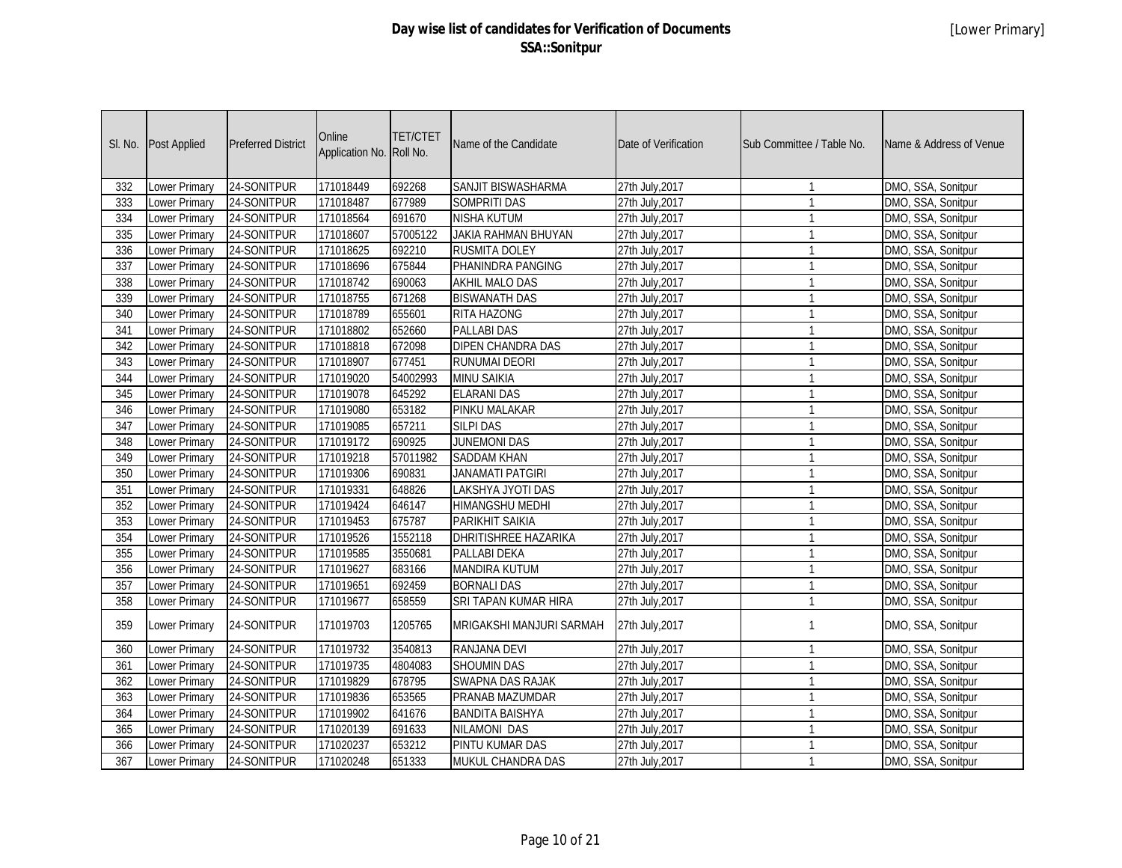|     | SI. No. Post Applied | <b>Preferred District</b> | Online<br>Application No. Roll No. | <b>TET/CTET</b> | Name of the Candidate      | Date of Verification | Sub Committee / Table No. | Name & Address of Venue |
|-----|----------------------|---------------------------|------------------------------------|-----------------|----------------------------|----------------------|---------------------------|-------------------------|
| 332 | Lower Primary        | 24-SONITPUR               | 171018449                          | 692268          | SANJIT BISWASHARMA         | 27th July, 2017      | $\mathbf{1}$              | DMO, SSA, Sonitpur      |
| 333 | Lower Primary        | 24-SONITPUR               | 171018487                          | 677989          | <b>SOMPRITI DAS</b>        | 27th July, 2017      | $\overline{1}$            | DMO, SSA, Sonitpur      |
| 334 | Lower Primary        | 24-SONITPUR               | 171018564                          | 691670          | <b>NISHA KUTUM</b>         | 27th July, 2017      | $\overline{1}$            | DMO, SSA, Sonitpur      |
| 335 | Lower Primary        | 24-SONITPUR               | 171018607                          | 57005122        | <b>JAKIA RAHMAN BHUYAN</b> | 27th July, 2017      | $\overline{1}$            | DMO, SSA, Sonitpur      |
| 336 | Lower Primary        | 24-SONITPUR               | 171018625                          | 692210          | <b>RUSMITA DOLEY</b>       | 27th July, 2017      | $\overline{1}$            | DMO, SSA, Sonitpur      |
| 337 | <b>Lower Primary</b> | 24-SONITPUR               | 171018696                          | 675844          | PHANINDRA PANGING          | 27th July, 2017      | $\overline{1}$            | DMO, SSA, Sonitpur      |
| 338 | <b>Lower Primary</b> | 24-SONITPUR               | 171018742                          | 690063          | <b>AKHIL MALO DAS</b>      | 27th July, 2017      | $\overline{1}$            | DMO, SSA, Sonitpur      |
| 339 | <b>Lower Primary</b> | 24-SONITPUR               | 171018755                          | 671268          | <b>BISWANATH DAS</b>       | 27th July, 2017      | $\overline{1}$            | DMO, SSA, Sonitpur      |
| 340 | <b>Lower Primary</b> | 24-SONITPUR               | 171018789                          | 655601          | <b>RITA HAZONG</b>         | 27th July, 2017      | $\overline{1}$            | DMO, SSA, Sonitpur      |
| 341 | <b>Lower Primary</b> | 24-SONITPUR               | 171018802                          | 652660          | <b>PALLABI DAS</b>         | 27th July, 2017      | $\mathbf{1}$              | DMO, SSA, Sonitpur      |
| 342 | <b>Lower Primary</b> | 24-SONITPUR               | 171018818                          | 672098          | <b>DIPEN CHANDRA DAS</b>   | 27th July, 2017      | $\overline{1}$            | DMO, SSA, Sonitpur      |
| 343 | <b>Lower Primary</b> | 24-SONITPUR               | 171018907                          | 677451          | <b>RUNUMAI DEORI</b>       | 27th July, 2017      | $\overline{1}$            | DMO, SSA, Sonitpur      |
| 344 | Lower Primary        | 24-SONITPUR               | 171019020                          | 54002993        | <b>MINU SAIKIA</b>         | 27th July, 2017      | $\overline{1}$            | DMO, SSA, Sonitpur      |
| 345 | <b>Lower Primary</b> | 24-SONITPUR               | 171019078                          | 645292          | <b>ELARANI DAS</b>         | 27th July, 2017      | $\overline{1}$            | DMO, SSA, Sonitpur      |
| 346 | Lower Primary        | 24-SONITPUR               | 171019080                          | 653182          | PINKU MALAKAR              | 27th July, 2017      | $\overline{1}$            | DMO, SSA, Sonitpur      |
| 347 | Lower Primary        | 24-SONITPUR               | 171019085                          | 657211          | <b>SILPI DAS</b>           | 27th July, 2017      | $\overline{1}$            | DMO, SSA, Sonitpur      |
| 348 | Lower Primary        | 24-SONITPUR               | 171019172                          | 690925          | <b>JUNEMONI DAS</b>        | 27th July, 2017      | $\overline{1}$            | DMO, SSA, Sonitpur      |
| 349 | <b>Lower Primary</b> | 24-SONITPUR               | 171019218                          | 57011982        | <b>SADDAM KHAN</b>         | 27th July, 2017      | $\overline{1}$            | DMO, SSA, Sonitpur      |
| 350 | Lower Primary        | 24-SONITPUR               | 171019306                          | 690831          | <b>JANAMATI PATGIRI</b>    | 27th July, 2017      | $\overline{1}$            | DMO, SSA, Sonitpur      |
| 351 | Lower Primary        | 24-SONITPUR               | 171019331                          | 648826          | LAKSHYA JYOTI DAS          | 27th July, 2017      | $\mathbf{1}$              | DMO, SSA, Sonitpur      |
| 352 | Lower Primary        | 24-SONITPUR               | 171019424                          | 646147          | <b>HIMANGSHU MEDHI</b>     | 27th July, 2017      | $\overline{1}$            | DMO, SSA, Sonitpur      |
| 353 | Lower Primary        | 24-SONITPUR               | 171019453                          | 675787          | <b>PARIKHIT SAIKIA</b>     | 27th July, 2017      | $\overline{1}$            | DMO, SSA, Sonitpur      |
| 354 | Lower Primary        | 24-SONITPUR               | 171019526                          | 1552118         | DHRITISHREE HAZARIKA       | 27th July, 2017      | $\overline{1}$            | DMO, SSA, Sonitpur      |
| 355 | Lower Primary        | 24-SONITPUR               | 171019585                          | 3550681         | PALLABI DEKA               | 27th July, 2017      | $\overline{1}$            | DMO, SSA, Sonitpur      |
| 356 | Lower Primary        | 24-SONITPUR               | 171019627                          | 683166          | <b>MANDIRA KUTUM</b>       | 27th July, 2017      | $\overline{1}$            | DMO, SSA, Sonitpur      |
| 357 | <b>Lower Primary</b> | 24-SONITPUR               | 171019651                          | 692459          | <b>BORNALI DAS</b>         | 27th July, 2017      | $\overline{1}$            | DMO, SSA, Sonitpur      |
| 358 | Lower Primary        | 24-SONITPUR               | 171019677                          | 658559          | SRI TAPAN KUMAR HIRA       | 27th July, 2017      | $\overline{1}$            | DMO, SSA, Sonitpur      |
| 359 | Lower Primary        | 24-SONITPUR               | 171019703                          | 1205765         | MRIGAKSHI MANJURI SARMAH   | 27th July, 2017      | $\mathbf{1}$              | DMO, SSA, Sonitpur      |
| 360 | <b>Lower Primary</b> | 24-SONITPUR               | 171019732                          | 3540813         | <b>RANJANA DEVI</b>        | 27th July, 2017      | $\mathbf{1}$              | DMO, SSA, Sonitpur      |
| 361 | <b>Lower Primary</b> | 24-SONITPUR               | 171019735                          | 4804083         | <b>SHOUMIN DAS</b>         | 27th July, 2017      | $\overline{1}$            | DMO, SSA, Sonitpur      |
| 362 | <b>Lower Primary</b> | 24-SONITPUR               | 171019829                          | 678795          | <b>SWAPNA DAS RAJAK</b>    | 27th July, 2017      | $\overline{1}$            | DMO, SSA, Sonitpur      |
| 363 | <b>Lower Primary</b> | 24-SONITPUR               | 171019836                          | 653565          | PRANAB MAZUMDAR            | 27th July, 2017      | $\overline{1}$            | DMO, SSA, Sonitpur      |
| 364 | <b>Lower Primary</b> | 24-SONITPUR               | 171019902                          | 641676          | <b>BANDITA BAISHYA</b>     | 27th July, 2017      | $\overline{1}$            | DMO, SSA, Sonitpur      |
| 365 | Lower Primary        | 24-SONITPUR               | 171020139                          | 691633          | <b>NILAMONI DAS</b>        | 27th July, 2017      | $\overline{1}$            | DMO, SSA, Sonitpur      |
| 366 | <b>Lower Primary</b> | 24-SONITPUR               | 171020237                          | 653212          | PINTU KUMAR DAS            | 27th July, 2017      | $\mathbf{1}$              | DMO, SSA, Sonitpur      |
| 367 | <b>Lower Primary</b> | 24-SONITPUR               | 171020248                          | 651333          | MUKUL CHANDRA DAS          | 27th July, 2017      | $\overline{1}$            | DMO, SSA, Sonitpur      |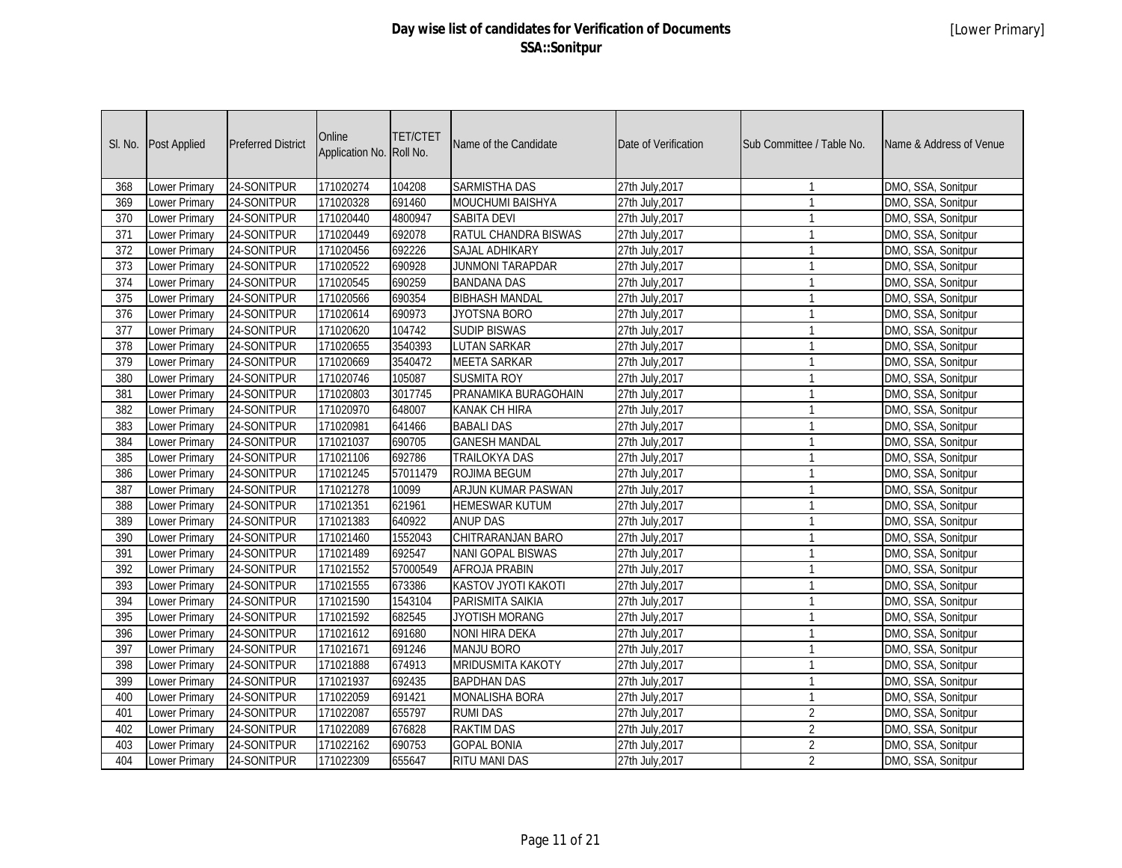| SI. No.          | Post Applied         | <b>Preferred District</b> | Online<br>Application No. | <b>TET/CTET</b><br>Roll No. | Name of the Candidate    | Date of Verification | Sub Committee / Table No. | Name & Address of Venue |
|------------------|----------------------|---------------------------|---------------------------|-----------------------------|--------------------------|----------------------|---------------------------|-------------------------|
| 368              | Lower Primary        | 24-SONITPUR               | 171020274                 | 104208                      | <b>SARMISTHA DAS</b>     | 27th July, 2017      | $\mathbf{1}$              | DMO, SSA, Sonitpur      |
| 369              | Lower Primary        | 24-SONITPUR               | 171020328                 | 691460                      | <b>MOUCHUMI BAISHYA</b>  | 27th July, 2017      | $\mathbf{1}$              | DMO, SSA, Sonitpur      |
| 370              | Lower Primary        | 24-SONITPUR               | 171020440                 | 4800947                     | <b>SABITA DEVI</b>       | 27th July, 2017      | $\mathbf{1}$              | DMO, SSA, Sonitpur      |
| 371              | Lower Primary        | 24-SONITPUR               | 171020449                 | 692078                      | RATUL CHANDRA BISWAS     | 27th July, 2017      | $\mathbf{1}$              | DMO, SSA, Sonitpur      |
| 372              | <b>Lower Primary</b> | 24-SONITPUR               | 171020456                 | 692226                      | <b>SAJAL ADHIKARY</b>    | 27th July, 2017      | $\mathbf{1}$              | DMO, SSA, Sonitpur      |
| 373              | <b>Lower Primary</b> | 24-SONITPUR               | 171020522                 | 690928                      | <b>JUNMONI TARAPDAR</b>  | 27th July, 2017      | $\mathbf{1}$              | DMO, SSA, Sonitpur      |
| $\overline{374}$ | <b>Lower Primary</b> | 24-SONITPUR               | 171020545                 | 690259                      | <b>BANDANA DAS</b>       | 27th July, 2017      | $\mathbf{1}$              | DMO, SSA, Sonitpur      |
| $\overline{375}$ | <b>Lower Primary</b> | 24-SONITPUR               | 171020566                 | 690354                      | <b>BIBHASH MANDAL</b>    | 27th July, 2017      | $\mathbf{1}$              | DMO, SSA, Sonitpur      |
| 376              | <b>Lower Primary</b> | 24-SONITPUR               | 171020614                 | 690973                      | <b>JYOTSNA BORO</b>      | 27th July, 2017      | $\mathbf{1}$              | DMO, SSA, Sonitpur      |
| 377              | <b>Lower Primary</b> | 24-SONITPUR               | 171020620                 | 104742                      | <b>SUDIP BISWAS</b>      | 27th July, 2017      | $\mathbf{1}$              | DMO, SSA, Sonitpur      |
| 378              | <b>Lower Primary</b> | 24-SONITPUR               | 171020655                 | 3540393                     | <b>LUTAN SARKAR</b>      | 27th July, 2017      | $\mathbf{1}$              | DMO, SSA, Sonitpur      |
| $\overline{379}$ | <b>Lower Primary</b> | 24-SONITPUR               | 171020669                 | 3540472                     | <b>MEETA SARKAR</b>      | 27th July, 2017      | $\mathbf{1}$              | DMO, SSA, Sonitpur      |
| 380              | <b>Lower Primary</b> | 24-SONITPUR               | 171020746                 | 105087                      | <b>SUSMITA ROY</b>       | 27th July, 2017      | $\mathbf{1}$              | DMO, SSA, Sonitpur      |
| 381              | <b>Lower Primary</b> | 24-SONITPUR               | 171020803                 | 3017745                     | PRANAMIKA BURAGOHAIN     | 27th July, 2017      | $\mathbf{1}$              | DMO, SSA, Sonitpur      |
| 382              | Lower Primary        | 24-SONITPUR               | 171020970                 | 648007                      | <b>KANAK CH HIRA</b>     | 27th July, 2017      | $\mathbf{1}$              | DMO, SSA, Sonitpur      |
| 383              | Lower Primary        | 24-SONITPUR               | 171020981                 | 641466                      | <b>BABALI DAS</b>        | 27th July, 2017      | $\mathbf{1}$              | DMO, SSA, Sonitpur      |
| 384              | <b>Lower Primary</b> | 24-SONITPUR               | 171021037                 | 690705                      | <b>GANESH MANDAL</b>     | 27th July, 2017      | $\mathbf{1}$              | DMO, SSA, Sonitpur      |
| 385              | <b>Lower Primary</b> | 24-SONITPUR               | 171021106                 | 692786                      | <b>TRAILOKYA DAS</b>     | 27th July, 2017      | $\mathbf{1}$              | DMO, SSA, Sonitpur      |
| 386              | Lower Primary        | 24-SONITPUR               | 171021245                 | 57011479                    | ROJIMA BEGUM             | 27th July, 2017      | $\mathbf{1}$              | DMO, SSA, Sonitpur      |
| 387              | Lower Primary        | 24-SONITPUR               | 171021278                 | 10099                       | ARJUN KUMAR PASWAN       | 27th July, 2017      | $\mathbf{1}$              | DMO, SSA, Sonitpur      |
| 388              | Lower Primary        | 24-SONITPUR               | 171021351                 | 621961                      | <b>HEMESWAR KUTUM</b>    | 27th July, 2017      | $\mathbf{1}$              | DMO, SSA, Sonitpur      |
| 389              | <b>Lower Primary</b> | 24-SONITPUR               | 171021383                 | 640922                      | <b>ANUP DAS</b>          | 27th July, 2017      | $\mathbf{1}$              | DMO, SSA, Sonitpur      |
| 390              | Lower Primary        | 24-SONITPUR               | 171021460                 | 1552043                     | CHITRARANJAN BARO        | 27th July, 2017      | $\mathbf{1}$              | DMO, SSA, Sonitpur      |
| 391              | Lower Primary        | 24-SONITPUR               | 171021489                 | 692547                      | <b>NANI GOPAL BISWAS</b> | 27th July, 2017      | $\mathbf{1}$              | DMO, SSA, Sonitpur      |
| 392              | Lower Primary        | 24-SONITPUR               | 171021552                 | 57000549                    | <b>AFROJA PRABIN</b>     | 27th July, 2017      | $\mathbf{1}$              | DMO, SSA, Sonitpur      |
| 393              | <b>Lower Primary</b> | 24-SONITPUR               | 171021555                 | 673386                      | KASTOV JYOTI KAKOTI      | 27th July, 2017      | $\mathbf{1}$              | DMO, SSA, Sonitpur      |
| 394              | Lower Primary        | 24-SONITPUR               | 171021590                 | 1543104                     | PARISMITA SAIKIA         | 27th July, 2017      | $\mathbf{1}$              | DMO, SSA, Sonitpur      |
| 395              | Lower Primary        | 24-SONITPUR               | 171021592                 | 682545                      | JYOTISH MORANG           | 27th July, 2017      | $\mathbf{1}$              | DMO, SSA, Sonitpur      |
| 396              | Lower Primary        | 24-SONITPUR               | 171021612                 | 691680                      | <b>NONI HIRA DEKA</b>    | 27th July, 2017      | $\mathbf{1}$              | DMO, SSA, Sonitpur      |
| 397              | Lower Primary        | 24-SONITPUR               | 171021671                 | 691246                      | <b>MANJU BORO</b>        | 27th July, 2017      | $\mathbf{1}$              | DMO, SSA, Sonitpur      |
| 398              | Lower Primary        | 24-SONITPUR               | 171021888                 | 674913                      | <b>MRIDUSMITA KAKOTY</b> | 27th July, 2017      | $\mathbf{1}$              | DMO, SSA, Sonitpur      |
| 399              | Lower Primary        | 24-SONITPUR               | 171021937                 | 692435                      | <b>BAPDHAN DAS</b>       | 27th July, 2017      | $\mathbf{1}$              | DMO, SSA, Sonitpur      |
| 400              | Lower Primary        | 24-SONITPUR               | 171022059                 | 691421                      | <b>MONALISHA BORA</b>    | 27th July, 2017      | $\mathbf{1}$              | DMO, SSA, Sonitpur      |
| 401              | Lower Primary        | 24-SONITPUR               | 171022087                 | 655797                      | <b>RUMI DAS</b>          | 27th July, 2017      | $\overline{2}$            | DMO, SSA, Sonitpur      |
| 402              | Lower Primary        | 24-SONITPUR               | 171022089                 | 676828                      | <b>RAKTIM DAS</b>        | 27th July, 2017      | $\overline{2}$            | DMO, SSA, Sonitpur      |
| 403              | Lower Primary        | 24-SONITPUR               | 171022162                 | 690753                      | <b>GOPAL BONIA</b>       | 27th July, 2017      | $\overline{2}$            | DMO, SSA, Sonitpur      |
| 404              | <b>Lower Primary</b> | 24-SONITPUR               | 171022309                 | 655647                      | <b>RITU MANI DAS</b>     | 27th July, 2017      | $\overline{2}$            | DMO, SSA, Sonitpur      |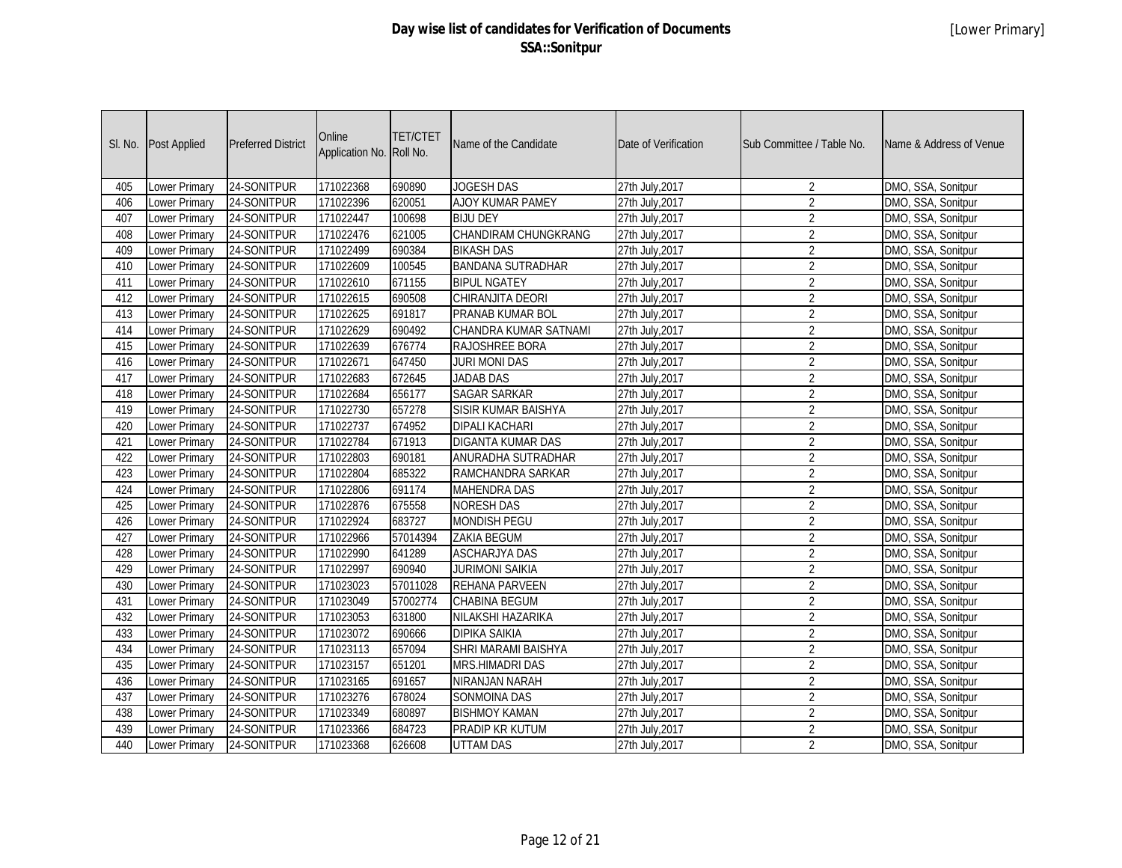| SI. No. | <b>Post Applied</b>  | <b>Preferred District</b> | Online<br>Application No. Roll No. | <b>TET/CTET</b> | Name of the Candidate        | Date of Verification | Sub Committee / Table No. | Name & Address of Venue |
|---------|----------------------|---------------------------|------------------------------------|-----------------|------------------------------|----------------------|---------------------------|-------------------------|
| 405     | Lower Primary        | 24-SONITPUR               | 171022368                          | 690890          | JOGESH DAS                   | 27th July, 2017      | $\overline{2}$            | DMO, SSA, Sonitpur      |
| 406     | Lower Primary        | 24-SONITPUR               | 171022396                          | 620051          | AJOY KUMAR PAMEY             | 27th July, 2017      | $\overline{2}$            | DMO, SSA, Sonitpur      |
| 407     | Lower Primary        | 24-SONITPUR               | 171022447                          | 100698          | <b>BIJU DEY</b>              | 27th July, 2017      | $\overline{2}$            | DMO, SSA, Sonitpur      |
| 408     | Lower Primary        | 24-SONITPUR               | 171022476                          | 621005          | CHANDIRAM CHUNGKRANG         | 27th July, 2017      | $\overline{2}$            | DMO, SSA, Sonitpur      |
| 409     | <b>Lower Primary</b> | 24-SONITPUR               | 171022499                          | 690384          | <b>BIKASH DAS</b>            | 27th July, 2017      | $\overline{2}$            | DMO, SSA, Sonitpur      |
| 410     | <b>Lower Primary</b> | 24-SONITPUR               | 171022609                          | 100545          | <b>BANDANA SUTRADHAR</b>     | 27th July, 2017      | $\overline{2}$            | DMO, SSA, Sonitpur      |
| 411     | Lower Primary        | 24-SONITPUR               | 171022610                          | 671155          | <b>BIPUL NGATEY</b>          | 27th July, 2017      | $\overline{2}$            | DMO, SSA, Sonitpur      |
| 412     | <b>Lower Primary</b> | 24-SONITPUR               | 171022615                          | 690508          | CHIRANJITA DEORI             | 27th July, 2017      | $\overline{2}$            | DMO, SSA, Sonitpur      |
| 413     | <b>Lower Primary</b> | 24-SONITPUR               | 171022625                          | 691817          | PRANAB KUMAR BOL             | 27th July, 2017      | $\overline{2}$            | DMO, SSA, Sonitpur      |
| 414     | <b>Lower Primary</b> | 24-SONITPUR               | 171022629                          | 690492          | <b>CHANDRA KUMAR SATNAMI</b> | 27th July, 2017      | $\overline{2}$            | DMO, SSA, Sonitpur      |
| 415     | Lower Primary        | 24-SONITPUR               | 171022639                          | 676774          | RAJOSHREE BORA               | 27th July, 2017      | $\overline{2}$            | DMO, SSA, Sonitpur      |
| 416     | <b>Lower Primary</b> | 24-SONITPUR               | 171022671                          | 647450          | <b>JURI MONI DAS</b>         | 27th July, 2017      | $\overline{2}$            | DMO, SSA, Sonitpur      |
| 417     | Lower Primary        | 24-SONITPUR               | 171022683                          | 672645          | <b>JADAB DAS</b>             | 27th July, 2017      | $\overline{2}$            | DMO, SSA, Sonitpur      |
| 418     | Lower Primary        | 24-SONITPUR               | 171022684                          | 656177          | <b>SAGAR SARKAR</b>          | 27th July, 2017      | $\sqrt{2}$                | DMO, SSA, Sonitpur      |
| 419     | Lower Primary        | 24-SONITPUR               | 171022730                          | 657278          | SISIR KUMAR BAISHYA          | 27th July, 2017      | $\overline{2}$            | DMO, SSA, Sonitpur      |
| 420     | Lower Primary        | 24-SONITPUR               | 171022737                          | 674952          | <b>DIPALI KACHARI</b>        | 27th July, 2017      | $\overline{2}$            | DMO, SSA, Sonitpur      |
| 421     | Lower Primary        | 24-SONITPUR               | 171022784                          | 671913          | <b>DIGANTA KUMAR DAS</b>     | 27th July, 2017      | $\overline{2}$            | DMO, SSA, Sonitpur      |
| 422     | Lower Primary        | 24-SONITPUR               | 171022803                          | 690181          | ANURADHA SUTRADHAR           | 27th July, 2017      | $\overline{2}$            | DMO, SSA, Sonitpur      |
| 423     | Lower Primary        | 24-SONITPUR               | 171022804                          | 685322          | RAMCHANDRA SARKAR            | 27th July, 2017      | $\overline{2}$            | DMO, SSA, Sonitpur      |
| 424     | Lower Primary        | 24-SONITPUR               | 171022806                          | 691174          | <b>MAHENDRA DAS</b>          | 27th July, 2017      | $\overline{2}$            | DMO, SSA, Sonitpur      |
| 425     | Lower Primary        | 24-SONITPUR               | 171022876                          | 675558          | <b>NORESH DAS</b>            | 27th July, 2017      | $\overline{2}$            | DMO, SSA, Sonitpur      |
| 426     | Lower Primary        | 24-SONITPUR               | 171022924                          | 683727          | <b>MONDISH PEGU</b>          | 27th July, 2017      | $\overline{2}$            | DMO, SSA, Sonitpur      |
| 427     | Lower Primary        | 24-SONITPUR               | 171022966                          | 57014394        | <b>ZAKIA BEGUM</b>           | 27th July, 2017      | $\overline{2}$            | DMO, SSA, Sonitpur      |
| 428     | Lower Primary        | 24-SONITPUR               | 171022990                          | 641289          | <b>ASCHARJYA DAS</b>         | 27th July, 2017      | $\overline{2}$            | DMO, SSA, Sonitpur      |
| 429     | Lower Primary        | 24-SONITPUR               | 171022997                          | 690940          | <b>JURIMONI SAIKIA</b>       | 27th July, 2017      | $\overline{2}$            | DMO, SSA, Sonitpur      |
| 430     | Lower Primary        | 24-SONITPUR               | 171023023                          | 57011028        | <b>REHANA PARVEEN</b>        | 27th July, 2017      | $\overline{2}$            | DMO, SSA, Sonitpur      |
| 431     | Lower Primary        | 24-SONITPUR               | 171023049                          | 57002774        | <b>CHABINA BEGUM</b>         | 27th July, 2017      | $\overline{2}$            | DMO, SSA, Sonitpur      |
| 432     | Lower Primary        | 24-SONITPUR               | 171023053                          | 631800          | NILAKSHI HAZARIKA            | 27th July, 2017      | $\overline{2}$            | DMO, SSA, Sonitpur      |
| 433     | Lower Primary        | 24-SONITPUR               | 171023072                          | 690666          | <b>DIPIKA SAIKIA</b>         | 27th July, 2017      | $\overline{2}$            | DMO, SSA, Sonitpur      |
| 434     | Lower Primary        | 24-SONITPUR               | 171023113                          | 657094          | SHRI MARAMI BAISHYA          | 27th July, 2017      | $\overline{2}$            | DMO, SSA, Sonitpur      |
| 435     | Lower Primary        | 24-SONITPUR               | 171023157                          | 651201          | <b>MRS.HIMADRI DAS</b>       | 27th July, 2017      | $\overline{2}$            | DMO, SSA, Sonitpur      |
| 436     | Lower Primary        | 24-SONITPUR               | 171023165                          | 691657          | NIRANJAN NARAH               | 27th July, 2017      | $\overline{2}$            | DMO, SSA, Sonitpur      |
| 437     | Lower Primary        | 24-SONITPUR               | 171023276                          | 678024          | SONMOINA DAS                 | 27th July, 2017      | $\overline{2}$            | DMO, SSA, Sonitpur      |
| 438     | Lower Primary        | 24-SONITPUR               | 171023349                          | 680897          | <b>BISHMOY KAMAN</b>         | 27th July, 2017      | $\overline{2}$            | DMO, SSA, Sonitpur      |
| 439     | Lower Primary        | 24-SONITPUR               | 171023366                          | 684723          | PRADIP KR KUTUM              | 27th July, 2017      | $\overline{2}$            | DMO, SSA, Sonitpur      |
| 440     | <b>Lower Primary</b> | 24-SONITPUR               | 171023368                          | 626608          | <b>UTTAM DAS</b>             | 27th July, 2017      | $\overline{2}$            | DMO, SSA, Sonitpur      |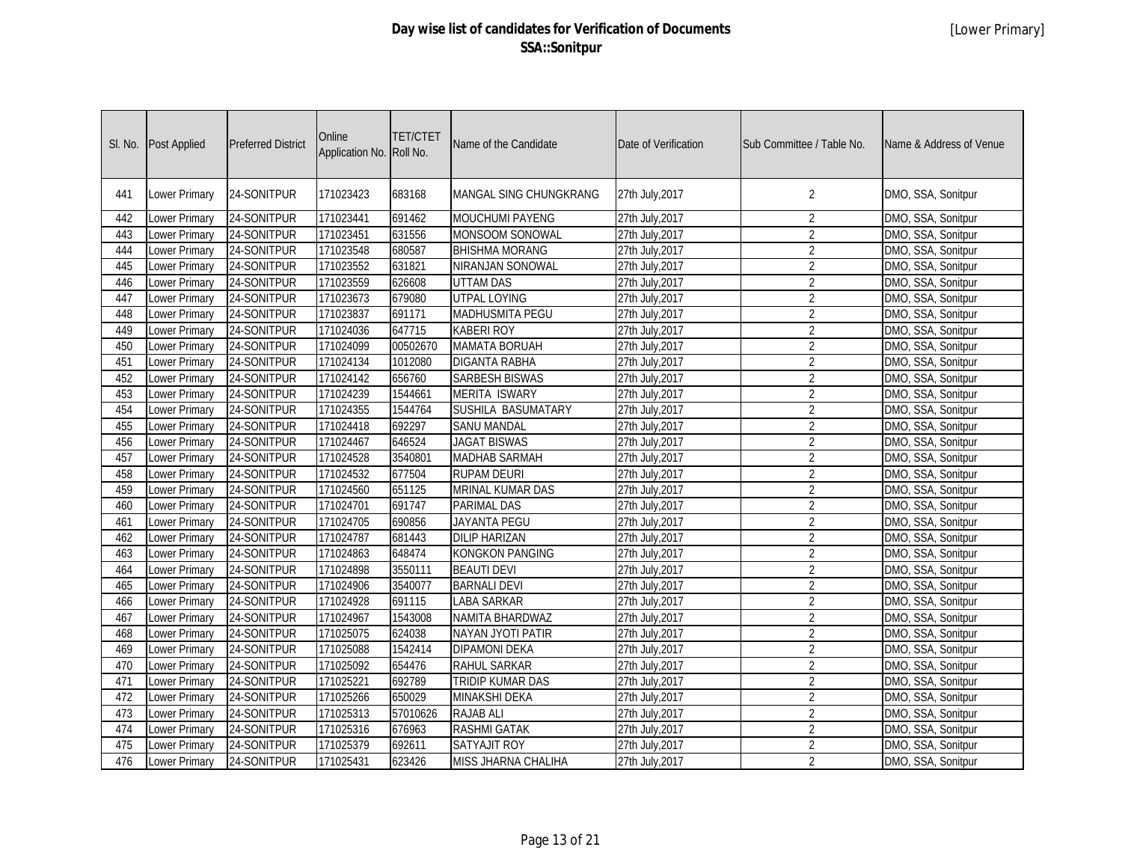| SI. No. | Post Applied         | <b>Preferred District</b> | Online<br>Application No. | <b>TET/CTET</b><br>Roll No. | Name of the Candidate   | Date of Verification | Sub Committee / Table No. | Name & Address of Venue |
|---------|----------------------|---------------------------|---------------------------|-----------------------------|-------------------------|----------------------|---------------------------|-------------------------|
| 441     | Lower Primary        | 24-SONITPUR               | 171023423                 | 683168                      | MANGAL SING CHUNGKRANG  | 27th July, 2017      | 2                         | DMO, SSA, Sonitpur      |
| 442     | Lower Primary        | 24-SONITPUR               | 171023441                 | 691462                      | MOUCHUMI PAYENG         | 27th July, 2017      | $\overline{2}$            | DMO, SSA, Sonitpur      |
| 443     | Lower Primary        | 24-SONITPUR               | 171023451                 | 631556                      | MONSOOM SONOWAL         | 27th July, 2017      | $\overline{2}$            | DMO, SSA, Sonitpur      |
| 444     | Lower Primary        | 24-SONITPUR               | 171023548                 | 680587                      | <b>BHISHMA MORANG</b>   | 27th July, 2017      | $\overline{2}$            | DMO, SSA, Sonitpur      |
| 445     | <b>Lower Primary</b> | 24-SONITPUR               | 171023552                 | 631821                      | <b>NIRANJAN SONOWAL</b> | 27th July, 2017      | $\overline{2}$            | DMO, SSA, Sonitpur      |
| 446     | Lower Primary        | 24-SONITPUR               | 171023559                 | 626608                      | <b>UTTAM DAS</b>        | 27th July, 2017      | $\overline{2}$            | DMO, SSA, Sonitpur      |
| 447     | Lower Primary        | 24-SONITPUR               | 171023673                 | 679080                      | <b>UTPAL LOYING</b>     | 27th July, 2017      | $\overline{2}$            | DMO, SSA, Sonitpur      |
| 448     | Lower Primary        | 24-SONITPUR               | 171023837                 | 691171                      | <b>MADHUSMITA PEGU</b>  | 27th July, 2017      | $\overline{2}$            | DMO, SSA, Sonitpur      |
| 449     | Lower Primary        | 24-SONITPUR               | 171024036                 | 647715                      | <b>KABERI ROY</b>       | 27th July, 2017      | $\overline{2}$            | DMO, SSA, Sonitpur      |
| 450     | Lower Primary        | 24-SONITPUR               | 171024099                 | 00502670                    | <b>MAMATA BORUAH</b>    | 27th July, 2017      | $\overline{2}$            | DMO, SSA, Sonitpur      |
| 451     | <b>Lower Primary</b> | 24-SONITPUR               | 171024134                 | 1012080                     | <b>DIGANTA RABHA</b>    | 27th July, 2017      | $\overline{2}$            | DMO, SSA, Sonitpur      |
| 452     | Lower Primary        | 24-SONITPUR               | 171024142                 | 656760                      | <b>SARBESH BISWAS</b>   | 27th July, 2017      | $\overline{2}$            | DMO, SSA, Sonitpur      |
| 453     | <b>Lower Primary</b> | 24-SONITPUR               | 171024239                 | 1544661                     | <b>MERITA ISWARY</b>    | 27th July, 2017      | $\overline{2}$            | DMO, SSA, Sonitpur      |
| 454     | Lower Primary        | 24-SONITPUR               | 171024355                 | 1544764                     | SUSHILA BASUMATARY      | 27th July, 2017      | $\overline{2}$            | DMO, SSA, Sonitpur      |
| 455     | Lower Primary        | 24-SONITPUR               | 171024418                 | 692297                      | <b>SANU MANDAL</b>      | 27th July, 2017      | $\overline{2}$            | DMO, SSA, Sonitpur      |
| 456     | <b>Lower Primary</b> | 24-SONITPUR               | 171024467                 | 646524                      | <b>JAGAT BISWAS</b>     | 27th July, 2017      | $\overline{2}$            | DMO, SSA, Sonitpur      |
| 457     | <b>Lower Primary</b> | 24-SONITPUR               | 171024528                 | 3540801                     | <b>MADHAB SARMAH</b>    | 27th July, 2017      | $\overline{2}$            | DMO, SSA, Sonitpur      |
| 458     | Lower Primary        | 24-SONITPUR               | 171024532                 | 677504                      | <b>RUPAM DEURI</b>      | 27th July, 2017      | $\overline{2}$            | DMO, SSA, Sonitpur      |
| 459     | Lower Primary        | 24-SONITPUR               | 171024560                 | 651125                      | MRINAL KUMAR DAS        | 27th July, 2017      | $\overline{2}$            | DMO, SSA, Sonitpur      |
| 460     | Lower Primary        | 24-SONITPUR               | 171024701                 | 691747                      | <b>PARIMAL DAS</b>      | 27th July, 2017      | $\overline{2}$            | DMO, SSA, Sonitpur      |
| 461     | <b>Lower Primary</b> | 24-SONITPUR               | 171024705                 | 690856                      | <b>JAYANTA PEGU</b>     | 27th July, 2017      | $\overline{2}$            | DMO, SSA, Sonitpur      |
| 462     | Lower Primary        | 24-SONITPUR               | 171024787                 | 681443                      | <b>DILIP HARIZAN</b>    | 27th July, 2017      | $\sqrt{2}$                | DMO, SSA, Sonitpur      |
| 463     | Lower Primary        | 24-SONITPUR               | 171024863                 | 648474                      | <b>KONGKON PANGING</b>  | 27th July, 2017      | $\overline{2}$            | DMO, SSA, Sonitpur      |
| 464     | Lower Primary        | 24-SONITPUR               | 171024898                 | 3550111                     | <b>BEAUTI DEVI</b>      | 27th July, 2017      | $\overline{2}$            | DMO, SSA, Sonitpur      |
| 465     | <b>Lower Primary</b> | 24-SONITPUR               | 171024906                 | 3540077                     | <b>BARNALI DEVI</b>     | 27th July, 2017      | $\overline{2}$            | DMO, SSA, Sonitpur      |
| 466     | Lower Primary        | 24-SONITPUR               | 171024928                 | 691115                      | <b>LABA SARKAR</b>      | 27th July, 2017      | $\overline{2}$            | DMO, SSA, Sonitpur      |
| 467     | Lower Primary        | 24-SONITPUR               | 171024967                 | 1543008                     | NAMITA BHARDWAZ         | 27th July, 2017      | $\sqrt{2}$                | DMO, SSA, Sonitpur      |
| 468     | Lower Primary        | 24-SONITPUR               | 171025075                 | 624038                      | NAYAN JYOTI PATIR       | 27th July, 2017      | $\overline{2}$            | DMO, SSA, Sonitpur      |
| 469     | <b>Lower Primary</b> | 24-SONITPUR               | 171025088                 | 1542414                     | <b>DIPAMONI DEKA</b>    | 27th July, 2017      | $\overline{2}$            | DMO, SSA, Sonitpur      |
| 470     | <b>Lower Primary</b> | 24-SONITPUR               | 171025092                 | 654476                      | <b>RAHUL SARKAR</b>     | 27th July, 2017      | $\overline{2}$            | DMO, SSA, Sonitpur      |
| 471     | <b>Lower Primary</b> | 24-SONITPUR               | 171025221                 | 692789                      | <b>TRIDIP KUMAR DAS</b> | 27th July, 2017      | $\overline{2}$            | DMO, SSA, Sonitpur      |
| 472     | <b>Lower Primary</b> | 24-SONITPUR               | 171025266                 | 650029                      | <b>MINAKSHI DEKA</b>    | 27th July, 2017      | $\overline{2}$            | DMO, SSA, Sonitpur      |
| 473     | Lower Primary        | 24-SONITPUR               | 171025313                 | 57010626                    | <b>RAJAB ALI</b>        | 27th July, 2017      | $\overline{2}$            | DMO, SSA, Sonitpur      |
| 474     | Lower Primary        | 24-SONITPUR               | 171025316                 | 676963                      | <b>RASHMI GATAK</b>     | 27th July, 2017      | $\overline{2}$            | DMO, SSA, Sonitpur      |
| 475     | Lower Primary        | 24-SONITPUR               | 171025379                 | 692611                      | <b>SATYAJIT ROY</b>     | 27th July, 2017      | $\overline{2}$            | DMO, SSA, Sonitpur      |
| 476     | <b>Lower Primary</b> | 24-SONITPUR               | 171025431                 | 623426                      | MISS JHARNA CHALIHA     | 27th July, 2017      | $\overline{2}$            | DMO, SSA, Sonitpur      |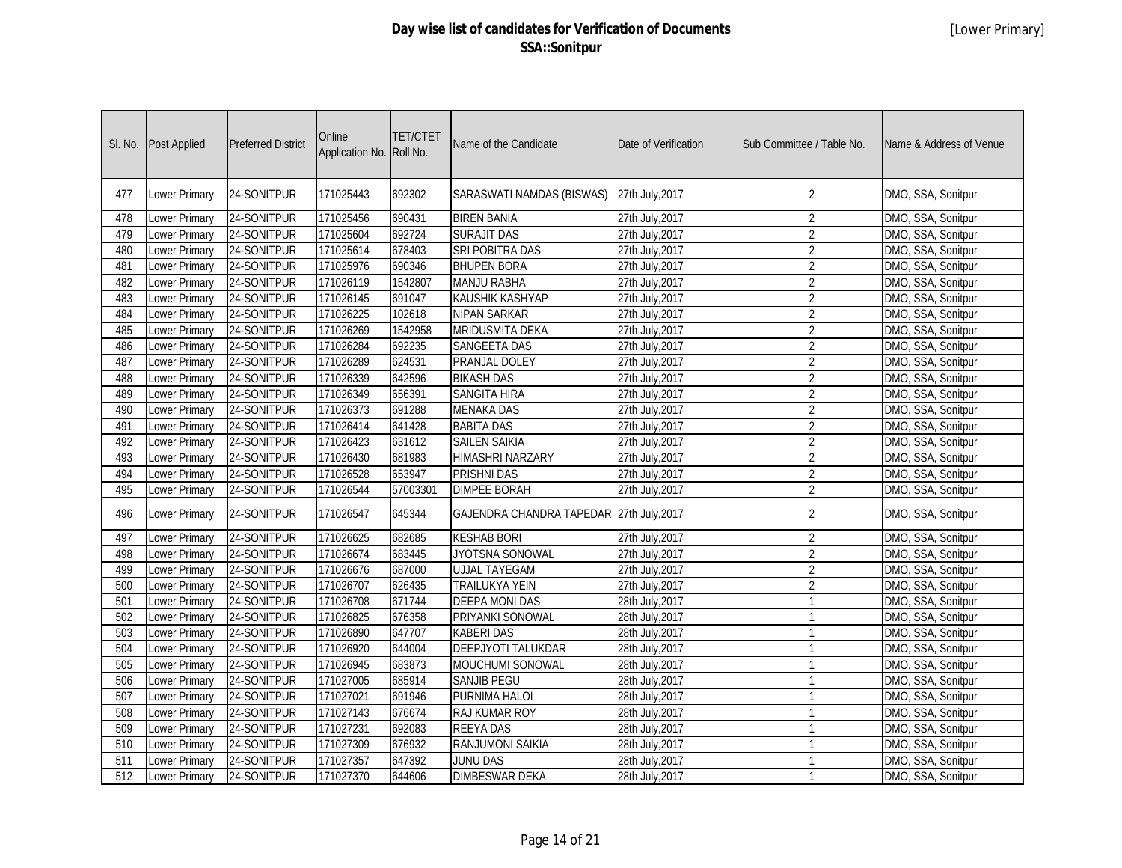| SI. No.          | <b>Post Applied</b>  | <b>Preferred District</b> | Online<br>Application No. Roll No. | <b>TET/CTET</b> | Name of the Candidate                    | Date of Verification | Sub Committee / Table No. | Name & Address of Venue |
|------------------|----------------------|---------------------------|------------------------------------|-----------------|------------------------------------------|----------------------|---------------------------|-------------------------|
| 477              | Lower Primary        | 24-SONITPUR               | 171025443                          | 692302          | SARASWATI NAMDAS (BISWAS)                | 27th July, 2017      | $\overline{2}$            | DMO, SSA, Sonitpur      |
| 478              | Lower Primary        | 24-SONITPUR               | 171025456                          | 690431          | <b>BIREN BANIA</b>                       | 27th July, 2017      | $\overline{2}$            | DMO, SSA, Sonitpur      |
| 479              | Lower Primary        | 24-SONITPUR               | 171025604                          | 692724          | <b>SURAJIT DAS</b>                       | 27th July, 2017      | $\overline{2}$            | DMO, SSA, Sonitpur      |
| 480              | Lower Primary        | 24-SONITPUR               | 171025614                          | 678403          | SRI POBITRA DAS                          | 27th July, 2017      | $\overline{2}$            | DMO, SSA, Sonitpur      |
| 481              | Lower Primary        | 24-SONITPUR               | 171025976                          | 690346          | <b>BHUPEN BORA</b>                       | 27th July, 2017      | $\overline{2}$            | DMO, SSA, Sonitpur      |
| 482              | Lower Primary        | 24-SONITPUR               | 171026119                          | 1542807         | <b>MANJU RABHA</b>                       | 27th July, 2017      | $\overline{2}$            | DMO, SSA, Sonitpur      |
| 483              | Lower Primary        | 24-SONITPUR               | 171026145                          | 691047          | <b>KAUSHIK KASHYAP</b>                   | 27th July, 2017      | $\overline{2}$            | DMO, SSA, Sonitpur      |
| 484              | <b>Lower Primary</b> | 24-SONITPUR               | 171026225                          | 102618          | <b>NIPAN SARKAR</b>                      | 27th July, 2017      | $\overline{2}$            | DMO, SSA, Sonitpur      |
| 485              | Lower Primary        | 24-SONITPUR               | 171026269                          | 1542958         | <b>MRIDUSMITA DEKA</b>                   | 27th July, 2017      | $\overline{2}$            | DMO, SSA, Sonitpur      |
| 486              | <b>Lower Primary</b> | 24-SONITPUR               | 171026284                          | 692235          | <b>SANGEETA DAS</b>                      | 27th July, 2017      | $\overline{2}$            | DMO, SSA, Sonitpur      |
| 487              | Lower Primary        | 24-SONITPUR               | 171026289                          | 624531          | PRANJAL DOLEY                            | 27th July, 2017      | $\overline{2}$            | DMO, SSA, Sonitpur      |
| 488              | <b>Lower Primary</b> | 24-SONITPUR               | 171026339                          | 642596          | <b>BIKASH DAS</b>                        | 27th July, 2017      | $\overline{2}$            | DMO, SSA, Sonitpur      |
| 489              | Lower Primary        | 24-SONITPUR               | 171026349                          | 656391          | <b>SANGITA HIRA</b>                      | 27th July, 2017      | $\overline{2}$            | DMO, SSA, Sonitpur      |
| 490              | Lower Primary        | 24-SONITPUR               | 171026373                          | 691288          | <b>MENAKA DAS</b>                        | 27th July, 2017      | $\overline{2}$            | DMO, SSA, Sonitpur      |
| 491              | Lower Primary        | 24-SONITPUR               | 171026414                          | 641428          | <b>BABITA DAS</b>                        | 27th July, 2017      | $\overline{2}$            | DMO, SSA, Sonitpur      |
| 492              | Lower Primary        | 24-SONITPUR               | 171026423                          | 631612          | <b>SAILEN SAIKIA</b>                     | 27th July, 2017      | $\overline{2}$            | DMO, SSA, Sonitpur      |
| 493              | Lower Primary        | 24-SONITPUR               | 171026430                          | 681983          | <b>HIMASHRI NARZARY</b>                  | 27th July, 2017      | $\overline{2}$            | DMO, SSA, Sonitpur      |
| 494              | Lower Primary        | 24-SONITPUR               | 171026528                          | 653947          | <b>PRISHNI DAS</b>                       | 27th July, 2017      | $\overline{2}$            | DMO, SSA, Sonitpur      |
| 495              | Lower Primary        | 24-SONITPUR               | 171026544                          | 57003301        | <b>DIMPEE BORAH</b>                      | 27th July, 2017      | $\overline{2}$            | DMO, SSA, Sonitpur      |
| 496              | Lower Primary        | 24-SONITPUR               | 171026547                          | 645344          | GAJENDRA CHANDRA TAPEDAR 27th July, 2017 |                      | $\overline{2}$            | DMO, SSA, Sonitpur      |
| 497              | <b>Lower Primary</b> | 24-SONITPUR               | 171026625                          | 682685          | <b>KESHAB BORI</b>                       | 27th July, 2017      | $\overline{2}$            | DMO, SSA, Sonitpur      |
| 498              | Lower Primary        | 24-SONITPUR               | 171026674                          | 683445          | <b>JYOTSNA SONOWAL</b>                   | 27th July, 2017      | $\overline{2}$            | DMO, SSA, Sonitpur      |
| 499              | <b>Lower Primary</b> | 24-SONITPUR               | 171026676                          | 687000          | <b>UJJAL TAYEGAM</b>                     | 27th July, 2017      | $\overline{2}$            | DMO, SSA, Sonitpur      |
| 500              | <b>Lower Primary</b> | 24-SONITPUR               | 171026707                          | 626435          | <b>TRAILUKYA YEIN</b>                    | 27th July, 2017      | $\overline{2}$            | DMO, SSA, Sonitpur      |
| 501              | <b>Lower Primary</b> | 24-SONITPUR               | 171026708                          | 671744          | <b>DEEPA MONI DAS</b>                    | 28th July, 2017      | $\overline{1}$            | DMO, SSA, Sonitpur      |
| 502              | Lower Primary        | 24-SONITPUR               | 171026825                          | 676358          | PRIYANKI SONOWAL                         | 28th July, 2017      | $\overline{1}$            | DMO, SSA, Sonitpur      |
| 503              | Lower Primary        | 24-SONITPUR               | 171026890                          | 647707          | <b>KABERI DAS</b>                        | 28th July, 2017      | $\overline{1}$            | DMO, SSA, Sonitpur      |
| 504              | Lower Primary        | 24-SONITPUR               | 171026920                          | 644004          | <b>DEEPJYOTI TALUKDAR</b>                | 28th July, 2017      | $\overline{1}$            | DMO, SSA, Sonitpur      |
| 505              | Lower Primary        | 24-SONITPUR               | 171026945                          | 683873          | MOUCHUMI SONOWAL                         | 28th July, 2017      | $\overline{1}$            | DMO, SSA, Sonitpur      |
| 506              | Lower Primary        | 24-SONITPUR               | 171027005                          | 685914          | SANJIB PEGU                              | 28th July, 2017      | $\overline{1}$            | DMO, SSA, Sonitpur      |
| 507              | Lower Primary        | 24-SONITPUR               | 171027021                          | 691946          | PURNIMA HALOI                            | 28th July, 2017      | $\overline{1}$            | DMO, SSA, Sonitpur      |
| 508              | Lower Primary        | 24-SONITPUR               | 171027143                          | 676674          | RAJ KUMAR ROY                            | 28th July, 2017      | $\overline{1}$            | DMO, SSA, Sonitpur      |
| 509              | Lower Primary        | 24-SONITPUR               | 171027231                          | 692083          | <b>REEYA DAS</b>                         | 28th July, 2017      | $\overline{1}$            | DMO, SSA, Sonitpur      |
| 510              | Lower Primary        | 24-SONITPUR               | 171027309                          | 676932          | RANJUMONI SAIKIA                         | 28th July, 2017      | $\overline{1}$            | DMO, SSA, Sonitpur      |
| 511              | Lower Primary        | 24-SONITPUR               | 171027357                          | 647392          | <b>JUNU DAS</b>                          | 28th July, 2017      | $\overline{1}$            | DMO, SSA, Sonitpur      |
| $\overline{512}$ | Lower Primary        | 24-SONITPUR               | 171027370                          | 644606          | <b>DIMBESWAR DEKA</b>                    | 28th July, 2017      | $\overline{1}$            | DMO, SSA, Sonitpur      |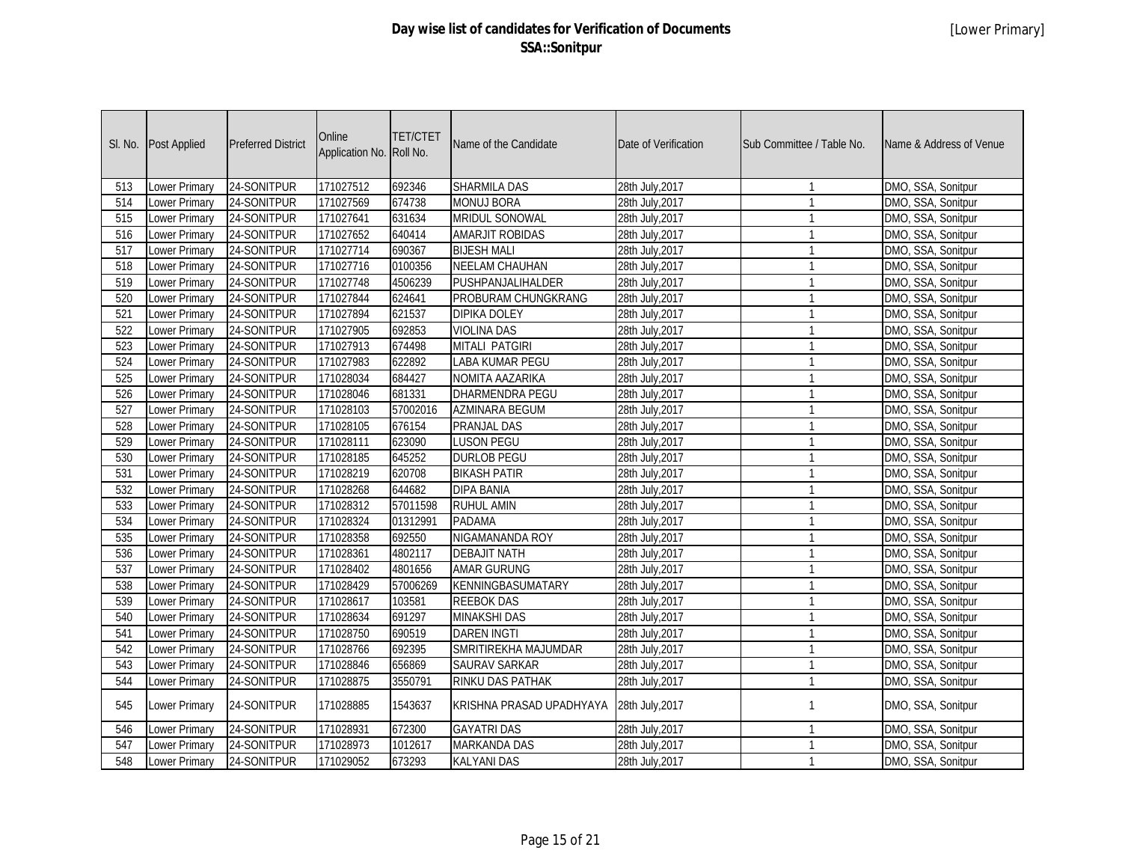| SI. No.          | Post Applied         | <b>Preferred District</b> | Online<br>Application No. Roll No. | <b>TET/CTET</b> | Name of the Candidate    | Date of Verification | Sub Committee / Table No. | Name & Address of Venue |
|------------------|----------------------|---------------------------|------------------------------------|-----------------|--------------------------|----------------------|---------------------------|-------------------------|
| 513              | Lower Primary        | 24-SONITPUR               | 171027512                          | 692346          | <b>SHARMILA DAS</b>      | 28th July, 2017      | $\mathbf 1$               | DMO, SSA, Sonitpur      |
| 514              | Lower Primary        | 24-SONITPUR               | 171027569                          | 674738          | <b>MONUJ BORA</b>        | 28th July, 2017      | $\mathbf{1}$              | DMO, SSA, Sonitpur      |
| 515              | Lower Primary        | 24-SONITPUR               | 171027641                          | 631634          | <b>MRIDUL SONOWAL</b>    | 28th July, 2017      | $\mathbf{1}$              | DMO, SSA, Sonitpur      |
| 516              | Lower Primary        | 24-SONITPUR               | 171027652                          | 640414          | <b>AMARJIT ROBIDAS</b>   | 28th July, 2017      | $\mathbf{1}$              | DMO, SSA, Sonitpur      |
| $\overline{517}$ | Lower Primary        | 24-SONITPUR               | 171027714                          | 690367          | <b>BIJESH MALI</b>       | 28th July, 2017      | $\mathbf{1}$              | DMO, SSA, Sonitpur      |
| 518              | <b>Lower Primary</b> | 24-SONITPUR               | 171027716                          | 0100356         | <b>NEELAM CHAUHAN</b>    | 28th July, 2017      | $\mathbf{1}$              | DMO, SSA, Sonitpur      |
| 519              | <b>Lower Primary</b> | 24-SONITPUR               | 171027748                          | 4506239         | PUSHPANJALIHALDER        | 28th July, 2017      | $\mathbf{1}$              | DMO, SSA, Sonitpur      |
| 520              | <b>Lower Primary</b> | 24-SONITPUR               | 171027844                          | 624641          | PROBURAM CHUNGKRANG      | 28th July, 2017      | $\mathbf{1}$              | DMO, SSA, Sonitpur      |
| 521              | Lower Primary        | 24-SONITPUR               | 171027894                          | 621537          | <b>DIPIKA DOLEY</b>      | 28th July, 2017      | $\mathbf{1}$              | DMO, SSA, Sonitpur      |
| 522              | <b>Lower Primary</b> | 24-SONITPUR               | 171027905                          | 692853          | <b>VIOLINA DAS</b>       | 28th July, 2017      | $\mathbf{1}$              | DMO, SSA, Sonitpur      |
| 523              | <b>Lower Primary</b> | 24-SONITPUR               | 171027913                          | 674498          | <b>MITALI PATGIRI</b>    | 28th July, 2017      | $\mathbf{1}$              | DMO, SSA, Sonitpur      |
| 524              | <b>Lower Primary</b> | 24-SONITPUR               | 171027983                          | 622892          | <b>LABA KUMAR PEGU</b>   | 28th July, 2017      | $\mathbf{1}$              | DMO, SSA, Sonitpur      |
| 525              | Lower Primary        | 24-SONITPUR               | 171028034                          | 684427          | NOMITA AAZARIKA          | 28th July, 2017      | $\mathbf{1}$              | DMO, SSA, Sonitpur      |
| 526              | Lower Primary        | 24-SONITPUR               | 171028046                          | 681331          | DHARMENDRA PEGU          | 28th July, 2017      | $\mathbf{1}$              | DMO, SSA, Sonitpur      |
| 527              | Lower Primary        | 24-SONITPUR               | 171028103                          | 57002016        | <b>AZMINARA BEGUM</b>    | 28th July, 2017      | $\mathbf{1}$              | DMO, SSA, Sonitpur      |
| 528              | Lower Primary        | 24-SONITPUR               | 171028105                          | 676154          | <b>PRANJAL DAS</b>       | 28th July, 2017      | $\mathbf{1}$              | DMO, SSA, Sonitpur      |
| 529              | Lower Primary        | 24-SONITPUR               | 171028111                          | 623090          | <b>LUSON PEGU</b>        | 28th July, 2017      | $\mathbf{1}$              | DMO, SSA, Sonitpur      |
| 530              | Lower Primary        | 24-SONITPUR               | 171028185                          | 645252          | <b>DURLOB PEGU</b>       | 28th July, 2017      | $\overline{1}$            | DMO, SSA, Sonitpur      |
| 531              | Lower Primary        | 24-SONITPUR               | 171028219                          | 620708          | <b>BIKASH PATIR</b>      | 28th July, 2017      | $\mathbf{1}$              | DMO, SSA, Sonitpur      |
| 532              | Lower Primary        | 24-SONITPUR               | 171028268                          | 644682          | <b>DIPA BANIA</b>        | 28th July, 2017      | $\mathbf{1}$              | DMO, SSA, Sonitpur      |
| 533              | <b>Lower Primary</b> | 24-SONITPUR               | 171028312                          | 57011598        | <b>RUHUL AMIN</b>        | 28th July, 2017      | $\mathbf{1}$              | DMO, SSA, Sonitpur      |
| 534              | Lower Primary        | 24-SONITPUR               | 171028324                          | 01312991        | <b>PADAMA</b>            | 28th July, 2017      | $\mathbf{1}$              | DMO, SSA, Sonitpur      |
| 535              | Lower Primary        | 24-SONITPUR               | 171028358                          | 692550          | NIGAMANANDA ROY          | 28th July, 2017      | $\mathbf{1}$              | DMO, SSA, Sonitpur      |
| 536              | Lower Primary        | 24-SONITPUR               | 171028361                          | 4802117         | <b>DEBAJIT NATH</b>      | 28th July, 2017      | $\mathbf{1}$              | DMO, SSA, Sonitpur      |
| 537              | Lower Primary        | 24-SONITPUR               | 171028402                          | 4801656         | <b>AMAR GURUNG</b>       | 28th July, 2017      | $\mathbf{1}$              | DMO, SSA, Sonitpur      |
| 538              | Lower Primary        | 24-SONITPUR               | 171028429                          | 57006269        | KENNINGBASUMATARY        | 28th July, 2017      | $\mathbf{1}$              | DMO, SSA, Sonitpur      |
| 539              | <b>Lower Primary</b> | 24-SONITPUR               | 171028617                          | 103581          | <b>REEBOK DAS</b>        | 28th July, 2017      | $\mathbf{1}$              | DMO, SSA, Sonitpur      |
| 540              | Lower Primary        | 24-SONITPUR               | 171028634                          | 691297          | <b>MINAKSHI DAS</b>      | 28th July, 2017      | $\mathbf{1}$              | DMO, SSA, Sonitpur      |
| 541              | Lower Primary        | 24-SONITPUR               | 171028750                          | 690519          | <b>DAREN INGTI</b>       | 28th July, 2017      | $\mathbf{1}$              | DMO, SSA, Sonitpur      |
| 542              | <b>Lower Primary</b> | 24-SONITPUR               | 171028766                          | 692395          | SMRITIREKHA MAJUMDAR     | 28th July, 2017      | $\overline{1}$            | DMO, SSA, Sonitpur      |
| 543              | Lower Primary        | 24-SONITPUR               | 171028846                          | 656869          | <b>SAURAV SARKAR</b>     | 28th July, 2017      | $\mathbf{1}$              | DMO, SSA, Sonitpur      |
| 544              | Lower Primary        | 24-SONITPUR               | 171028875                          | 3550791         | <b>RINKU DAS PATHAK</b>  | 28th July, 2017      | $\mathbf{1}$              | DMO, SSA, Sonitpur      |
| 545              | Lower Primary        | 24-SONITPUR               | 171028885                          | 1543637         | KRISHNA PRASAD UPADHYAYA | 28th July, 2017      | $\mathbf{1}$              | DMO, SSA, Sonitpur      |
| 546              | <b>Lower Primary</b> | 24-SONITPUR               | 171028931                          | 672300          | <b>GAYATRI DAS</b>       | 28th July, 2017      | $\mathbf{1}$              | DMO, SSA, Sonitpur      |
| 547              | <b>Lower Primary</b> | 24-SONITPUR               | 171028973                          | 1012617         | <b>MARKANDA DAS</b>      | 28th July, 2017      | $\mathbf{1}$              | DMO, SSA, Sonitpur      |
| 548              | Lower Primary        | 24-SONITPUR               | 171029052                          | 673293          | <b>KALYANI DAS</b>       | 28th July, 2017      | $\mathbf{1}$              | DMO, SSA, Sonitpur      |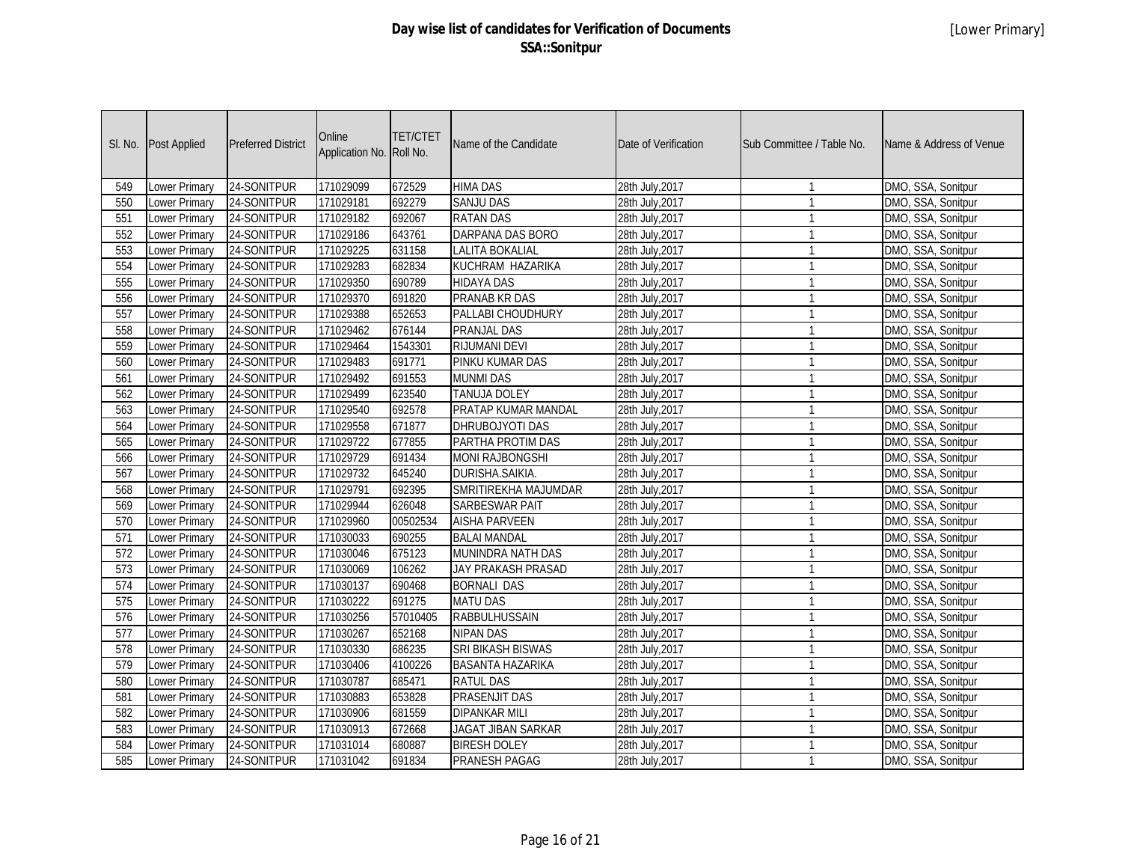| SI. No. | Post Applied         | <b>Preferred District</b> | Online<br>Application No. | <b>TET/CTET</b><br>Roll No. | Name of the Candidate   | Date of Verification | Sub Committee / Table No. | Name & Address of Venue |
|---------|----------------------|---------------------------|---------------------------|-----------------------------|-------------------------|----------------------|---------------------------|-------------------------|
| 549     | Lower Primary        | 24-SONITPUR               | 171029099                 | 672529                      | <b>HIMA DAS</b>         | 28th July, 2017      | $\mathbf{1}$              | DMO, SSA, Sonitpur      |
| 550     | Lower Primary        | 24-SONITPUR               | 171029181                 | 692279                      | <b>SANJU DAS</b>        | 28th July, 2017      | $\mathbf{1}$              | DMO, SSA, Sonitpur      |
| 551     | Lower Primary        | 24-SONITPUR               | 171029182                 | 692067                      | <b>RATAN DAS</b>        | 28th July, 2017      | $\mathbf{1}$              | DMO, SSA, Sonitpur      |
| 552     | Lower Primary        | 24-SONITPUR               | 171029186                 | 643761                      | DARPANA DAS BORO        | 28th July, 2017      | $\mathbf{1}$              | DMO, SSA, Sonitpur      |
| 553     | <b>Lower Primary</b> | 24-SONITPUR               | 171029225                 | 631158                      | <b>LALITA BOKALIAL</b>  | 28th July, 2017      | $\mathbf{1}$              | DMO, SSA, Sonitpur      |
| 554     | <b>Lower Primary</b> | 24-SONITPUR               | 171029283                 | 682834                      | KUCHRAM HAZARIKA        | 28th July, 2017      | $\mathbf{1}$              | DMO, SSA, Sonitpur      |
| 555     | <b>Lower Primary</b> | 24-SONITPUR               | 171029350                 | 690789                      | <b>HIDAYA DAS</b>       | 28th July, 2017      | $\mathbf{1}$              | DMO, SSA, Sonitpur      |
| 556     | <b>Lower Primary</b> | 24-SONITPUR               | 171029370                 | 691820                      | <b>PRANAB KR DAS</b>    | 28th July, 2017      | $\mathbf{1}$              | DMO, SSA, Sonitpur      |
| 557     | Lower Primary        | 24-SONITPUR               | 171029388                 | 652653                      | PALLABI CHOUDHURY       | 28th July, 2017      | $\mathbf{1}$              | DMO, SSA, Sonitpur      |
| 558     | <b>Lower Primary</b> | 24-SONITPUR               | 171029462                 | 676144                      | <b>PRANJAL DAS</b>      | 28th July, 2017      | $\mathbf{1}$              | DMO, SSA, Sonitpur      |
| 559     | <b>Lower Primary</b> | 24-SONITPUR               | 171029464                 | 1543301                     | <b>RIJUMANI DEVI</b>    | 28th July, 2017      | $\mathbf{1}$              | DMO, SSA, Sonitpur      |
| 560     | <b>Lower Primary</b> | 24-SONITPUR               | 171029483                 | 691771                      | PINKU KUMAR DAS         | 28th July, 2017      | $\mathbf{1}$              | DMO, SSA, Sonitpur      |
| 561     | Lower Primary        | 24-SONITPUR               | 171029492                 | 691553                      | <b>MUNMI DAS</b>        | 28th July, 2017      | $\mathbf{1}$              | DMO, SSA, Sonitpur      |
| 562     | <b>Lower Primary</b> | 24-SONITPUR               | 171029499                 | 623540                      | TANUJA DOLEY            | 28th July, 2017      | $\mathbf{1}$              | DMO, SSA, Sonitpur      |
| 563     | Lower Primary        | 24-SONITPUR               | 171029540                 | 692578                      | PRATAP KUMAR MANDAL     | 28th July, 2017      | $\mathbf{1}$              | DMO, SSA, Sonitpur      |
| 564     | Lower Primary        | 24-SONITPUR               | 171029558                 | 671877                      | DHRUBOJYOTI DAS         | 28th July, 2017      | $\mathbf{1}$              | DMO, SSA, Sonitpur      |
| 565     | <b>Lower Primary</b> | 24-SONITPUR               | 171029722                 | 677855                      | PARTHA PROTIM DAS       | 28th July, 2017      | $\mathbf{1}$              | DMO, SSA, Sonitpur      |
| 566     | <b>Lower Primary</b> | 24-SONITPUR               | 171029729                 | 691434                      | <b>MONI RAJBONGSHI</b>  | 28th July, 2017      | $\mathbf{1}$              | DMO, SSA, Sonitpur      |
| 567     | Lower Primary        | 24-SONITPUR               | 171029732                 | 645240                      | DURISHA.SAIKIA.         | 28th July, 2017      | $\mathbf{1}$              | DMO, SSA, Sonitpur      |
| 568     | Lower Primary        | 24-SONITPUR               | 171029791                 | 692395                      | SMRITIREKHA MAJUMDAR    | 28th July, 2017      | $\mathbf{1}$              | DMO, SSA, Sonitpur      |
| 569     | Lower Primary        | 24-SONITPUR               | 171029944                 | 626048                      | <b>SARBESWAR PAIT</b>   | 28th July, 2017      | $\mathbf{1}$              | DMO, SSA, Sonitpur      |
| 570     | <b>Lower Primary</b> | 24-SONITPUR               | 171029960                 | 00502534                    | <b>AISHA PARVEEN</b>    | 28th July, 2017      | $\mathbf{1}$              | DMO, SSA, Sonitpur      |
| 571     | Lower Primary        | 24-SONITPUR               | 171030033                 | 690255                      | <b>BALAI MANDAL</b>     | 28th July, 2017      | $\mathbf{1}$              | DMO, SSA, Sonitpur      |
| 572     | Lower Primary        | 24-SONITPUR               | 171030046                 | 675123                      | MUNINDRA NATH DAS       | 28th July, 2017      | $\mathbf{1}$              | DMO, SSA, Sonitpur      |
| 573     | Lower Primary        | 24-SONITPUR               | 171030069                 | 106262                      | JAY PRAKASH PRASAD      | 28th July, 2017      | $\mathbf{1}$              | DMO, SSA, Sonitpur      |
| 574     | <b>Lower Primary</b> | 24-SONITPUR               | 171030137                 | 690468                      | <b>BORNALI DAS</b>      | 28th July, 2017      | $\mathbf{1}$              | DMO, SSA, Sonitpur      |
| 575     | Lower Primary        | 24-SONITPUR               | 171030222                 | 691275                      | <b>MATU DAS</b>         | 28th July, 2017      | $\mathbf{1}$              | DMO, SSA, Sonitpur      |
| 576     | Lower Primary        | 24-SONITPUR               | 171030256                 | 57010405                    | <b>RABBULHUSSAIN</b>    | 28th July, 2017      | $\mathbf{1}$              | DMO, SSA, Sonitpur      |
| 577     | Lower Primary        | 24-SONITPUR               | 171030267                 | 652168                      | <b>NIPAN DAS</b>        | 28th July, 2017      | $\mathbf{1}$              | DMO, SSA, Sonitpur      |
| 578     | Lower Primary        | 24-SONITPUR               | 171030330                 | 686235                      | SRI BIKASH BISWAS       | 28th July, 2017      | $\mathbf{1}$              | DMO, SSA, Sonitpur      |
| 579     | Lower Primary        | 24-SONITPUR               | 171030406                 | 4100226                     | <b>BASANTA HAZARIKA</b> | 28th July, 2017      | $\mathbf{1}$              | DMO, SSA, Sonitpur      |
| 580     | Lower Primary        | 24-SONITPUR               | 171030787                 | 685471                      | <b>RATUL DAS</b>        | 28th July, 2017      | $\mathbf{1}$              | DMO, SSA, Sonitpur      |
| 581     | Lower Primary        | 24-SONITPUR               | 171030883                 | 653828                      | PRASENJIT DAS           | 28th July, 2017      | $\mathbf{1}$              | DMO, SSA, Sonitpur      |
| 582     | Lower Primary        | 24-SONITPUR               | 171030906                 | 681559                      | <b>DIPANKAR MILI</b>    | 28th July, 2017      | $\mathbf{1}$              | DMO, SSA, Sonitpur      |
| 583     | Lower Primary        | 24-SONITPUR               | 171030913                 | 672668                      | JAGAT JIBAN SARKAR      | 28th July, 2017      | $\mathbf{1}$              | DMO, SSA, Sonitpur      |
| 584     | Lower Primary        | 24-SONITPUR               | 171031014                 | 680887                      | <b>BIRESH DOLEY</b>     | 28th July, 2017      | $\mathbf{1}$              | DMO, SSA, Sonitpur      |
| 585     | <b>Lower Primary</b> | 24-SONITPUR               | 171031042                 | 691834                      | PRANESH PAGAG           | 28th July, 2017      | $\mathbf{1}$              | DMO, SSA, Sonitpur      |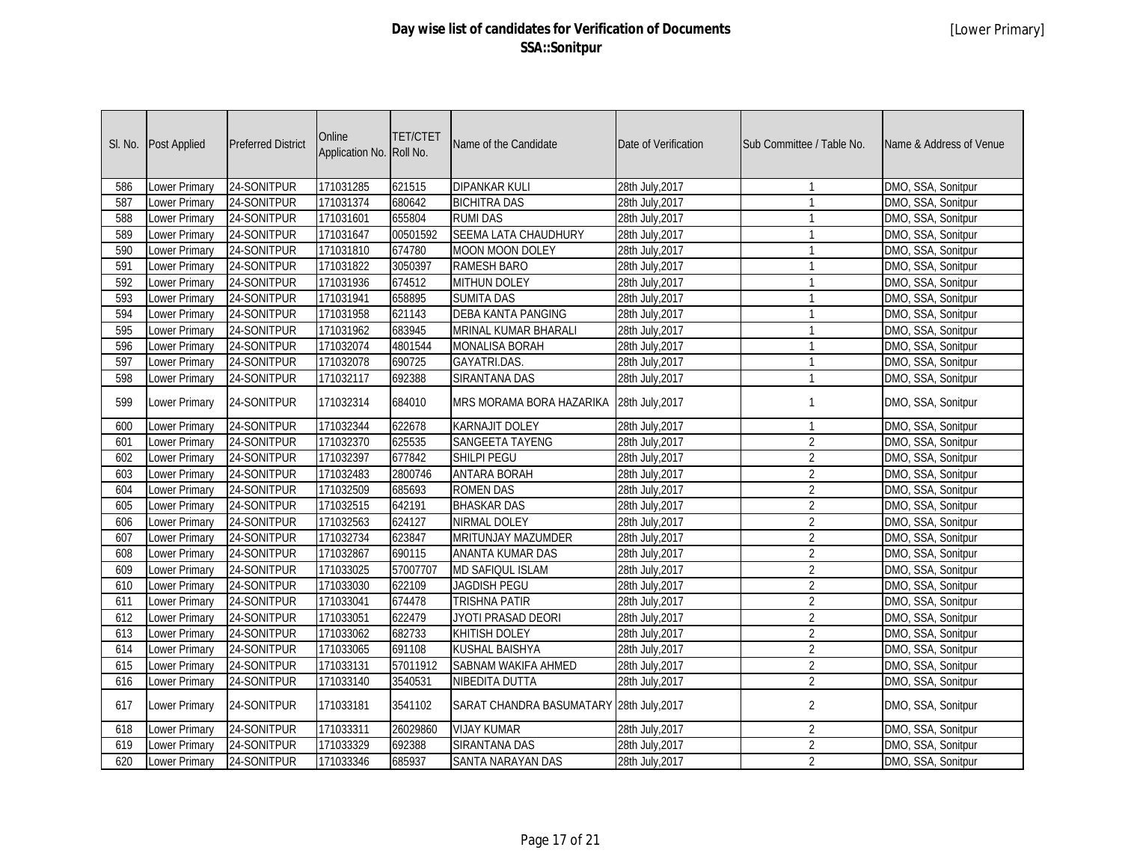|     | SI. No. Post Applied | <b>Preferred District</b> | Online<br>Application No. Roll No. | <b>TET/CTET</b> | Name of the Candidate                    | Date of Verification | Sub Committee / Table No. | Name & Address of Venue |
|-----|----------------------|---------------------------|------------------------------------|-----------------|------------------------------------------|----------------------|---------------------------|-------------------------|
| 586 | Lower Primary        | 24-SONITPUR               | 171031285                          | 621515          | <b>DIPANKAR KULI</b>                     | 28th July, 2017      | $\mathbf{1}$              | DMO, SSA, Sonitpur      |
| 587 | Lower Primary        | 24-SONITPUR               | 171031374                          | 680642          | <b>BICHITRA DAS</b>                      | 28th July, 2017      | $\mathbf{1}$              | DMO, SSA, Sonitpur      |
| 588 | Lower Primary        | 24-SONITPUR               | 171031601                          | 655804          | <b>RUMI DAS</b>                          | 28th July, 2017      | $\mathbf{1}$              | DMO, SSA, Sonitpur      |
| 589 | Lower Primary        | 24-SONITPUR               | 171031647                          | 00501592        | SEEMA LATA CHAUDHURY                     | 28th July, 2017      | $\mathbf{1}$              | DMO, SSA, Sonitpur      |
| 590 | Lower Primary        | 24-SONITPUR               | 171031810                          | 674780          | <b>MOON MOON DOLEY</b>                   | 28th July, 2017      | $\mathbf{1}$              | DMO, SSA, Sonitpur      |
| 591 | <b>Lower Primary</b> | 24-SONITPUR               | 171031822                          | 3050397         | <b>RAMESH BARO</b>                       | 28th July, 2017      | $\mathbf{1}$              | DMO, SSA, Sonitpur      |
| 592 | <b>Lower Primary</b> | 24-SONITPUR               | 171031936                          | 674512          | <b>MITHUN DOLEY</b>                      | 28th July, 2017      | $\mathbf{1}$              | DMO, SSA, Sonitpur      |
| 593 | <b>Lower Primary</b> | 24-SONITPUR               | 171031941                          | 658895          | <b>SUMITA DAS</b>                        | 28th July, 2017      | $\mathbf{1}$              | DMO, SSA, Sonitpur      |
| 594 | <b>Lower Primary</b> | 24-SONITPUR               | 171031958                          | 621143          | <b>DEBA KANTA PANGING</b>                | 28th July, 2017      | $\mathbf{1}$              | DMO, SSA, Sonitpur      |
| 595 | Lower Primary        | 24-SONITPUR               | 171031962                          | 683945          | <b>MRINAL KUMAR BHARALI</b>              | 28th July, 2017      | $\mathbf{1}$              | DMO, SSA, Sonitpur      |
| 596 | <b>Lower Primary</b> | 24-SONITPUR               | 171032074                          | 4801544         | <b>MONALISA BORAH</b>                    | 28th July, 2017      | $\mathbf{1}$              | DMO, SSA, Sonitpur      |
| 597 | <b>Lower Primary</b> | 24-SONITPUR               | 171032078                          | 690725          | <b>GAYATRI.DAS.</b>                      | 28th July, 2017      | $\mathbf{1}$              | DMO, SSA, Sonitpur      |
| 598 | Lower Primary        | 24-SONITPUR               | 171032117                          | 692388          | <b>SIRANTANA DAS</b>                     | 28th July, 2017      | $\mathbf{1}$              | DMO, SSA, Sonitpur      |
| 599 | Lower Primary        | 24-SONITPUR               | 171032314                          | 684010          | MRS MORAMA BORA HAZARIKA                 | 28th July, 2017      | $\mathbf{1}$              | DMO, SSA, Sonitpur      |
| 600 | Lower Primary        | 24-SONITPUR               | 171032344                          | 622678          | <b>KARNAJIT DOLEY</b>                    | 28th July, 2017      | $\mathbf{1}$              | DMO, SSA, Sonitpur      |
| 601 | Lower Primary        | 24-SONITPUR               | 171032370                          | 625535          | <b>SANGEETA TAYENG</b>                   | 28th July, 2017      | $\overline{2}$            | DMO, SSA, Sonitpur      |
| 602 | <b>Lower Primary</b> | 24-SONITPUR               | 171032397                          | 677842          | SHILPI PEGU                              | 28th July, 2017      | $\overline{2}$            | DMO, SSA, Sonitpur      |
| 603 | Lower Primary        | 24-SONITPUR               | 171032483                          | 2800746         | <b>ANTARA BORAH</b>                      | 28th July, 2017      | $\overline{2}$            | DMO, SSA, Sonitpur      |
| 604 | Lower Primary        | 24-SONITPUR               | 171032509                          | 685693          | <b>ROMEN DAS</b>                         | 28th July, 2017      | $\overline{2}$            | DMO, SSA, Sonitpur      |
| 605 | <b>Lower Primary</b> | 24-SONITPUR               | 171032515                          | 642191          | <b>BHASKAR DAS</b>                       | 28th July, 2017      | $\overline{2}$            | DMO, SSA, Sonitpur      |
| 606 | Lower Primary        | 24-SONITPUR               | 171032563                          | 624127          | <b>NIRMAL DOLEY</b>                      | 28th July, 2017      | $\overline{2}$            | DMO, SSA, Sonitpur      |
| 607 | Lower Primary        | 24-SONITPUR               | 171032734                          | 623847          | MRITUNJAY MAZUMDER                       | 28th July, 2017      | $\overline{2}$            | DMO, SSA, Sonitpur      |
| 608 | Lower Primary        | 24-SONITPUR               | 171032867                          | 690115          | ANANTA KUMAR DAS                         | 28th July, 2017      | $\overline{2}$            | DMO, SSA, Sonitpur      |
| 609 | Lower Primary        | 24-SONITPUR               | 171033025                          | 57007707        | MD SAFIQUL ISLAM                         | 28th July, 2017      | $\overline{2}$            | DMO, SSA, Sonitpur      |
| 610 | Lower Primary        | 24-SONITPUR               | 171033030                          | 622109          | <b>JAGDISH PEGU</b>                      | 28th July, 2017      | $\overline{2}$            | DMO, SSA, Sonitpur      |
| 611 | <b>Lower Primary</b> | 24-SONITPUR               | 171033041                          | 674478          | <b>TRISHNA PATIR</b>                     | 28th July, 2017      | $\overline{2}$            | DMO, SSA, Sonitpur      |
| 612 | Lower Primary        | 24-SONITPUR               | 171033051                          | 622479          | JYOTI PRASAD DEORI                       | 28th July, 2017      | $\overline{2}$            | DMO, SSA, Sonitpur      |
| 613 | Lower Primary        | 24-SONITPUR               | 171033062                          | 682733          | <b>KHITISH DOLEY</b>                     | 28th July, 2017      | $\overline{2}$            | DMO, SSA, Sonitpur      |
| 614 | <b>Lower Primary</b> | 24-SONITPUR               | 171033065                          | 691108          | <b>KUSHAL BAISHYA</b>                    | 28th July, 2017      | $\overline{2}$            | DMO, SSA, Sonitpur      |
| 615 | <b>Lower Primary</b> | 24-SONITPUR               | 171033131                          | 57011912        | <b>SABNAM WAKIFA AHMED</b>               | 28th July, 2017      | $\overline{2}$            | DMO, SSA, Sonitpur      |
| 616 | <b>Lower Primary</b> | 24-SONITPUR               | 171033140                          | 3540531         | <b>NIBEDITA DUTTA</b>                    | 28th July, 2017      | $\overline{2}$            | DMO, SSA, Sonitpur      |
| 617 | Lower Primary        | 24-SONITPUR               | 171033181                          | 3541102         | SARAT CHANDRA BASUMATARY 28th July, 2017 |                      | $\overline{2}$            | DMO, SSA, Sonitpur      |
| 618 | <b>Lower Primary</b> | 24-SONITPUR               | 171033311                          | 26029860        | <b>VIJAY KUMAR</b>                       | 28th July, 2017      | $\overline{2}$            | DMO, SSA, Sonitpur      |
| 619 | Lower Primary        | 24-SONITPUR               | 171033329                          | 692388          | <b>SIRANTANA DAS</b>                     | 28th July, 2017      | $\overline{2}$            | DMO, SSA, Sonitpur      |
| 620 | Lower Primary        | 24-SONITPUR               | 171033346                          | 685937          | SANTA NARAYAN DAS                        | 28th July, 2017      | $\overline{2}$            | DMO, SSA, Sonitpur      |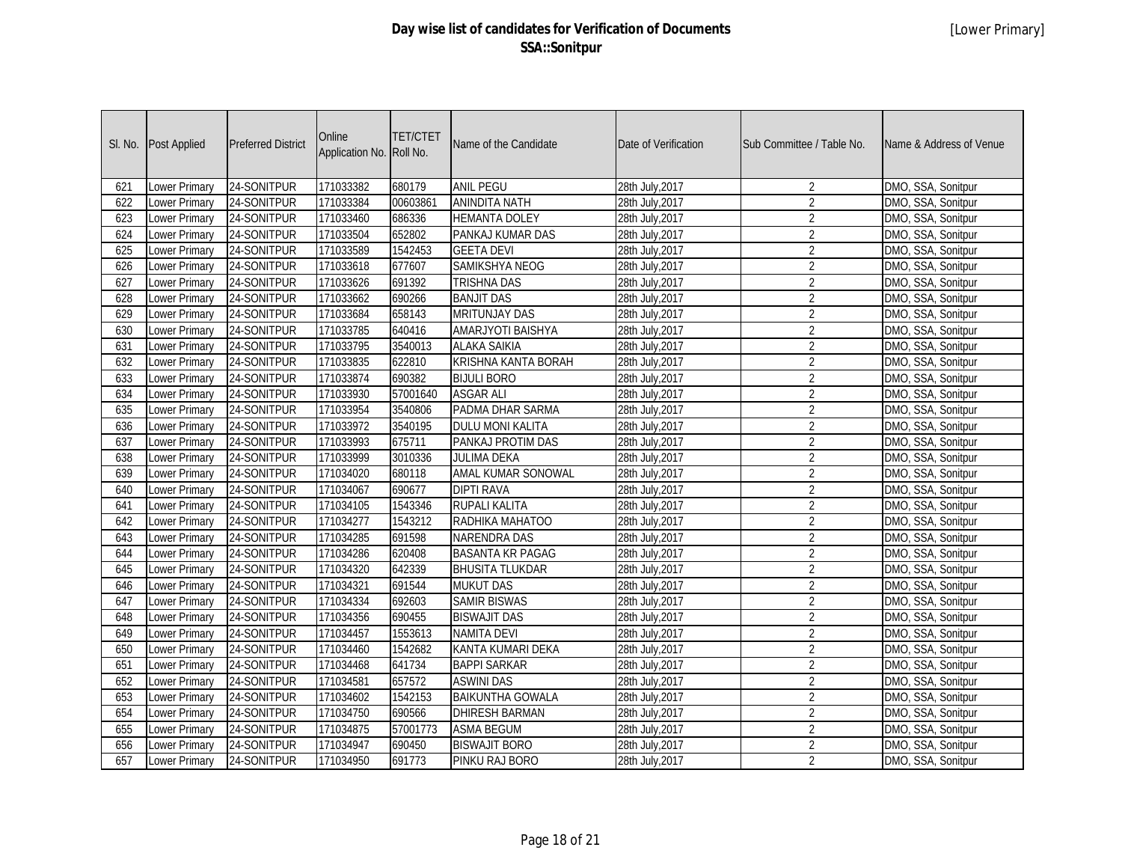|     | SI. No. Post Applied | <b>Preferred District</b> | Online<br>Application No. Roll No. | <b>TET/CTET</b> | Name of the Candidate      | Date of Verification | Sub Committee / Table No. | Name & Address of Venue |
|-----|----------------------|---------------------------|------------------------------------|-----------------|----------------------------|----------------------|---------------------------|-------------------------|
| 621 | <b>Lower Primary</b> | 24-SONITPUR               | 171033382                          | 680179          | <b>ANIL PEGU</b>           | 28th July, 2017      | $\overline{2}$            | DMO, SSA, Sonitpur      |
| 622 | Lower Primary        | 24-SONITPUR               | 171033384                          | 00603861        | <b>ANINDITA NATH</b>       | 28th July, 2017      | $\overline{2}$            | DMO, SSA, Sonitpur      |
| 623 | Lower Primary        | 24-SONITPUR               | 171033460                          | 686336          | <b>HEMANTA DOLEY</b>       | 28th July, 2017      | $\overline{2}$            | DMO, SSA, Sonitpur      |
| 624 | Lower Primary        | 24-SONITPUR               | 171033504                          | 652802          | PANKAJ KUMAR DAS           | 28th July, 2017      | $\overline{2}$            | DMO, SSA, Sonitpur      |
| 625 | <b>Lower Primary</b> | 24-SONITPUR               | 171033589                          | 1542453         | <b>GEETA DEVI</b>          | 28th July, 2017      | $\overline{2}$            | DMO, SSA, Sonitpur      |
| 626 | Lower Primary        | 24-SONITPUR               | 171033618                          | 677607          | <b>SAMIKSHYA NEOG</b>      | 28th July, 2017      | $\overline{2}$            | DMO, SSA, Sonitpur      |
| 627 | <b>Lower Primary</b> | 24-SONITPUR               | 171033626                          | 691392          | <b>TRISHNA DAS</b>         | 28th July, 2017      | $\overline{2}$            | DMO, SSA, Sonitpur      |
| 628 | <b>Lower Primary</b> | 24-SONITPUR               | 171033662                          | 690266          | <b>BANJIT DAS</b>          | 28th July, 2017      | $\overline{2}$            | DMO, SSA, Sonitpur      |
| 629 | Lower Primary        | 24-SONITPUR               | 171033684                          | 658143          | <b>MRITUNJAY DAS</b>       | 28th July, 2017      | $\overline{2}$            | DMO, SSA, Sonitpur      |
| 630 | Lower Primary        | 24-SONITPUR               | 171033785                          | 640416          | AMARJYOTI BAISHYA          | 28th July, 2017      | $\overline{2}$            | DMO, SSA, Sonitpur      |
| 631 | <b>Lower Primary</b> | 24-SONITPUR               | 171033795                          | 3540013         | <b>ALAKA SAIKIA</b>        | 28th July, 2017      | $\overline{2}$            | DMO, SSA, Sonitpur      |
| 632 | <b>Lower Primary</b> | 24-SONITPUR               | 171033835                          | 622810          | <b>KRISHNA KANTA BORAH</b> | 28th July, 2017      | $\overline{2}$            | DMO, SSA, Sonitpur      |
| 633 | Lower Primary        | 24-SONITPUR               | 171033874                          | 690382          | <b>BIJULI BORO</b>         | 28th July, 2017      | $\overline{2}$            | DMO, SSA, Sonitpur      |
| 634 | Lower Primary        | 24-SONITPUR               | 171033930                          | 57001640        | <b>ASGAR ALI</b>           | 28th July, 2017      | $\overline{2}$            | DMO, SSA, Sonitpur      |
| 635 | Lower Primary        | 24-SONITPUR               | 171033954                          | 3540806         | PADMA DHAR SARMA           | 28th July, 2017      | $\overline{2}$            | DMO, SSA, Sonitpur      |
| 636 | <b>Lower Primary</b> | 24-SONITPUR               | 171033972                          | 3540195         | <b>DULU MONI KALITA</b>    | 28th July, 2017      | $\overline{2}$            | DMO, SSA, Sonitpur      |
| 637 | Lower Primary        | 24-SONITPUR               | 171033993                          | 675711          | PANKAJ PROTIM DAS          | 28th July, 2017      | $\overline{2}$            | DMO, SSA, Sonitpur      |
| 638 | Lower Primary        | 24-SONITPUR               | 171033999                          | 3010336         | <b>JULIMA DEKA</b>         | 28th July, 2017      | $\overline{2}$            | DMO, SSA, Sonitpur      |
| 639 | Lower Primary        | 24-SONITPUR               | 171034020                          | 680118          | AMAL KUMAR SONOWAL         | 28th July, 2017      | $\overline{2}$            | DMO, SSA, Sonitpur      |
| 640 | Lower Primary        | 24-SONITPUR               | 171034067                          | 690677          | <b>DIPTI RAVA</b>          | 28th July, 2017      | $\overline{2}$            | DMO, SSA, Sonitpur      |
| 641 | Lower Primary        | 24-SONITPUR               | 171034105                          | 1543346         | <b>RUPALI KALITA</b>       | 28th July, 2017      | $\overline{2}$            | DMO, SSA, Sonitpur      |
| 642 | Lower Primary        | 24-SONITPUR               | 171034277                          | 1543212         | RADHIKA MAHATOO            | 28th July, 2017      | $\overline{2}$            | DMO, SSA, Sonitpur      |
| 643 | Lower Primary        | 24-SONITPUR               | 171034285                          | 691598          | <b>NARENDRA DAS</b>        | 28th July, 2017      | $\overline{2}$            | DMO, SSA, Sonitpur      |
| 644 | Lower Primary        | 24-SONITPUR               | 171034286                          | 620408          | <b>BASANTA KR PAGAG</b>    | 28th July, 2017      | $\overline{2}$            | DMO, SSA, Sonitpur      |
| 645 | Lower Primary        | 24-SONITPUR               | 171034320                          | 642339          | <b>BHUSITA TLUKDAR</b>     | 28th July, 2017      | $\overline{2}$            | DMO, SSA, Sonitpur      |
| 646 | Lower Primary        | 24-SONITPUR               | 171034321                          | 691544          | <b>MUKUT DAS</b>           | 28th July, 2017      | $\overline{2}$            | DMO, SSA, Sonitpur      |
| 647 | Lower Primary        | 24-SONITPUR               | 171034334                          | 692603          | <b>SAMIR BISWAS</b>        | 28th July, 2017      | $\overline{2}$            | DMO, SSA, Sonitpur      |
| 648 | Lower Primary        | 24-SONITPUR               | 171034356                          | 690455          | <b>BISWAJIT DAS</b>        | 28th July, 2017      | $\overline{2}$            | DMO, SSA, Sonitpur      |
| 649 | Lower Primary        | 24-SONITPUR               | 171034457                          | 1553613         | <b>NAMITA DEVI</b>         | 28th July, 2017      | $\overline{2}$            | DMO, SSA, Sonitpur      |
| 650 | Lower Primary        | 24-SONITPUR               | 171034460                          | 1542682         | KANTA KUMARI DEKA          | 28th July, 2017      | $\overline{2}$            | DMO, SSA, Sonitpur      |
| 651 | Lower Primary        | 24-SONITPUR               | 171034468                          | 641734          | <b>BAPPI SARKAR</b>        | 28th July, 2017      | $\overline{2}$            | DMO, SSA, Sonitpur      |
| 652 | Lower Primary        | 24-SONITPUR               | 171034581                          | 657572          | <b>ASWINI DAS</b>          | 28th July, 2017      | $\overline{2}$            | DMO, SSA, Sonitpur      |
| 653 | Lower Primary        | 24-SONITPUR               | 171034602                          | 1542153         | <b>BAIKUNTHA GOWALA</b>    | 28th July, 2017      | $\overline{2}$            | DMO, SSA, Sonitpur      |
| 654 | Lower Primary        | 24-SONITPUR               | 171034750                          | 690566          | <b>DHIRESH BARMAN</b>      | 28th July, 2017      | $\overline{2}$            | DMO, SSA, Sonitpur      |
| 655 | Lower Primary        | 24-SONITPUR               | 171034875                          | 57001773        | <b>ASMA BEGUM</b>          | 28th July, 2017      | $\overline{2}$            | DMO, SSA, Sonitpur      |
| 656 | Lower Primary        | 24-SONITPUR               | 171034947                          | 690450          | <b>BISWAJIT BORO</b>       | 28th July, 2017      | $\overline{2}$            | DMO, SSA, Sonitpur      |
| 657 | Lower Primary        | 24-SONITPUR               | 171034950                          | 691773          | PINKU RAJ BORO             | 28th July, 2017      | $\overline{2}$            | DMO, SSA, Sonitpur      |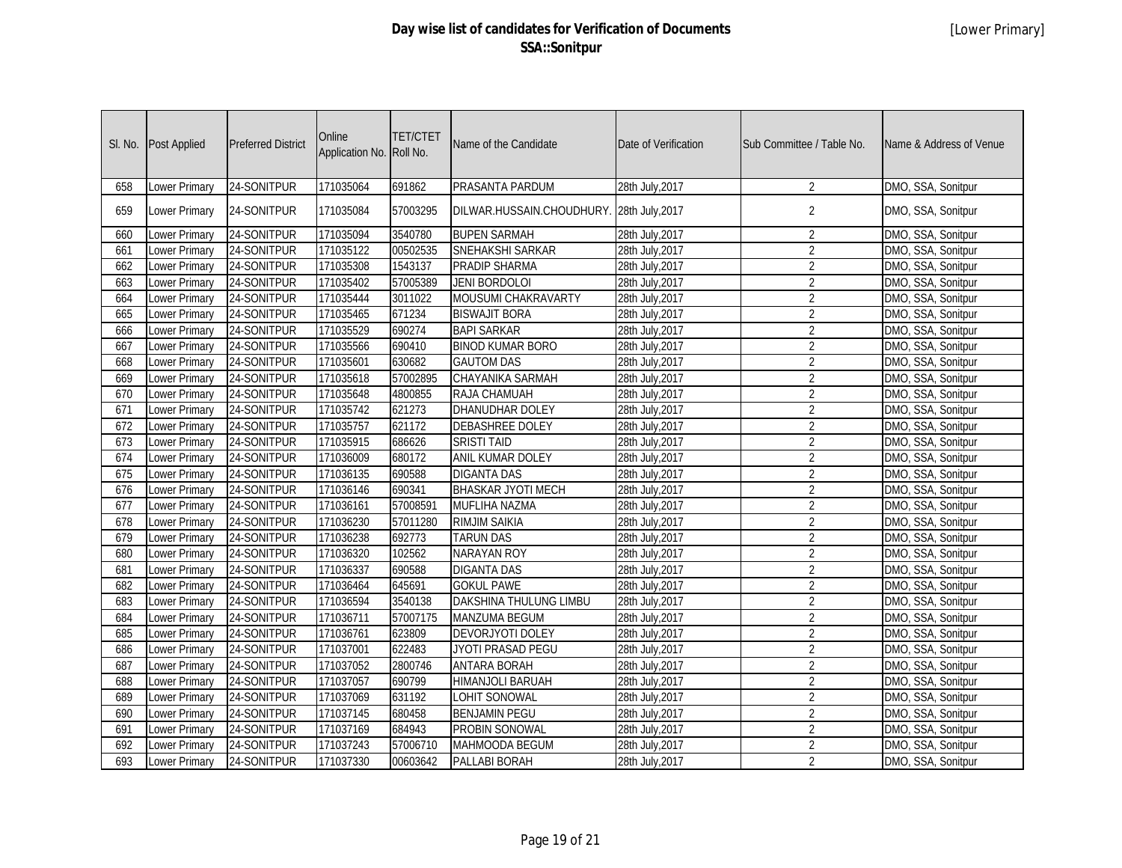| SI. No. | Post Applied         | <b>Preferred District</b> | Online<br>Application No. Roll No. | <b>TET/CTET</b> | Name of the Candidate                    | Date of Verification | Sub Committee / Table No. | Name & Address of Venue |
|---------|----------------------|---------------------------|------------------------------------|-----------------|------------------------------------------|----------------------|---------------------------|-------------------------|
| 658     | Lower Primary        | 24-SONITPUR               | 171035064                          | 691862          | PRASANTA PARDUM                          | 28th July, 2017      | 2                         | DMO, SSA, Sonitpur      |
| 659     | Lower Primary        | 24-SONITPUR               | 171035084                          | 57003295        | DILWAR.HUSSAIN.CHOUDHURY. 28th July,2017 |                      | $\overline{2}$            | DMO, SSA, Sonitpur      |
| 660     | <b>Lower Primary</b> | 24-SONITPUR               | 171035094                          | 3540780         | <b>BUPEN SARMAH</b>                      | 28th July, 2017      | $\overline{2}$            | DMO, SSA, Sonitpur      |
| 661     | Lower Primary        | 24-SONITPUR               | 171035122                          | 00502535        | SNEHAKSHI SARKAR                         | 28th July, 2017      | $\sqrt{2}$                | DMO, SSA, Sonitpur      |
| 662     | Lower Primary        | 24-SONITPUR               | 171035308                          | 1543137         | PRADIP SHARMA                            | 28th July, 2017      | $\overline{2}$            | DMO, SSA, Sonitpur      |
| 663     | <b>Lower Primary</b> | 24-SONITPUR               | 171035402                          | 57005389        | <b>JENI BORDOLOI</b>                     | 28th July, 2017      | $\overline{2}$            | DMO, SSA, Sonitpur      |
| 664     | Lower Primary        | 24-SONITPUR               | 171035444                          | 3011022         | MOUSUMI CHAKRAVARTY                      | 28th July, 2017      | $\overline{2}$            | DMO, SSA, Sonitpur      |
| 665     | Lower Primary        | 24-SONITPUR               | 171035465                          | 671234          | <b>BISWAJIT BORA</b>                     | 28th July, 2017      | $\overline{2}$            | DMO, SSA, Sonitpur      |
| 666     | Lower Primary        | 24-SONITPUR               | 171035529                          | 690274          | <b>BAPI SARKAR</b>                       | 28th July, 2017      | $\overline{2}$            | DMO, SSA, Sonitpur      |
| 667     | <b>Lower Primary</b> | 24-SONITPUR               | 171035566                          | 690410          | <b>BINOD KUMAR BORO</b>                  | 28th July, 2017      | $\overline{2}$            | DMO, SSA, Sonitpur      |
| 668     | <b>Lower Primary</b> | 24-SONITPUR               | 171035601                          | 630682          | <b>GAUTOM DAS</b>                        | 28th July, 2017      | $\overline{2}$            | DMO, SSA, Sonitpur      |
| 669     | Lower Primary        | 24-SONITPUR               | 171035618                          | 57002895        | CHAYANIKA SARMAH                         | 28th July, 2017      | $\overline{2}$            | DMO, SSA, Sonitpur      |
| 670     | <b>Lower Primary</b> | 24-SONITPUR               | 171035648                          | 4800855         | RAJA CHAMUAH                             | 28th July, 2017      | $\overline{2}$            | DMO, SSA, Sonitpur      |
| 671     | Lower Primary        | 24-SONITPUR               | 171035742                          | 621273          | DHANUDHAR DOLEY                          | 28th July, 2017      | $\overline{2}$            | DMO, SSA, Sonitpur      |
| 672     | Lower Primary        | 24-SONITPUR               | 171035757                          | 621172          | <b>DEBASHREE DOLEY</b>                   | 28th July, 2017      | $\overline{2}$            | DMO, SSA, Sonitpur      |
| 673     | <b>Lower Primary</b> | 24-SONITPUR               | 171035915                          | 686626          | <b>SRISTI TAID</b>                       | 28th July, 2017      | $\overline{2}$            | DMO, SSA, Sonitpur      |
| 674     | <b>Lower Primary</b> | 24-SONITPUR               | 171036009                          | 680172          | <b>ANIL KUMAR DOLEY</b>                  | 28th July, 2017      | $\overline{2}$            | DMO, SSA, Sonitpur      |
| 675     | Lower Primary        | 24-SONITPUR               | 171036135                          | 690588          | <b>DIGANTA DAS</b>                       | 28th July, 2017      | $\overline{2}$            | DMO, SSA, Sonitpur      |
| 676     | Lower Primary        | 24-SONITPUR               | 171036146                          | 690341          | <b>BHASKAR JYOTI MECH</b>                | 28th July, 2017      | $\overline{2}$            | DMO, SSA, Sonitpur      |
| 677     | Lower Primary        | 24-SONITPUR               | 171036161                          | 57008591        | MUFLIHA NAZMA                            | 28th July, 2017      | $\overline{2}$            | DMO, SSA, Sonitpur      |
| 678     | Lower Primary        | 24-SONITPUR               | 171036230                          | 57011280        | <b>RIMJIM SAIKIA</b>                     | 28th July, 2017      | $\sqrt{2}$                | DMO, SSA, Sonitpur      |
| 679     | Lower Primary        | 24-SONITPUR               | 171036238                          | 692773          | <b>TARUN DAS</b>                         | 28th July, 2017      | $\overline{2}$            | DMO, SSA, Sonitpur      |
| 680     | Lower Primary        | 24-SONITPUR               | 171036320                          | 102562          | <b>NARAYAN ROY</b>                       | 28th July, 2017      | $\overline{2}$            | DMO, SSA, Sonitpur      |
| 681     | Lower Primary        | 24-SONITPUR               | 171036337                          | 690588          | <b>DIGANTA DAS</b>                       | 28th July, 2017      | $\overline{2}$            | DMO, SSA, Sonitpur      |
| 682     | <b>Lower Primary</b> | 24-SONITPUR               | 171036464                          | 645691          | <b>GOKUL PAWE</b>                        | 28th July, 2017      | $\overline{2}$            | DMO, SSA, Sonitpur      |
| 683     | Lower Primary        | 24-SONITPUR               | 171036594                          | 3540138         | DAKSHINA THULUNG LIMBU                   | 28th July, 2017      | $\overline{2}$            | DMO, SSA, Sonitpur      |
| 684     | <b>Lower Primary</b> | 24-SONITPUR               | 171036711                          | 57007175        | <b>MANZUMA BEGUM</b>                     | 28th July, 2017      | $\overline{2}$            | DMO, SSA, Sonitpur      |
| 685     | <b>Lower Primary</b> | 24-SONITPUR               | 171036761                          | 623809          | DEVORJYOTI DOLEY                         | 28th July, 2017      | $\overline{2}$            | DMO, SSA, Sonitpur      |
| 686     | <b>Lower Primary</b> | 24-SONITPUR               | 171037001                          | 622483          | <b>JYOTI PRASAD PEGU</b>                 | 28th July, 2017      | $\overline{2}$            | DMO, SSA, Sonitpur      |
| 687     | <b>Lower Primary</b> | 24-SONITPUR               | 171037052                          | 2800746         | <b>ANTARA BORAH</b>                      | 28th July, 2017      | $\overline{2}$            | DMO, SSA, Sonitpur      |
| 688     | Lower Primary        | 24-SONITPUR               | 171037057                          | 690799          | HIMANJOLI BARUAH                         | 28th July, 2017      | $\overline{2}$            | DMO, SSA, Sonitpur      |
| 689     | <b>Lower Primary</b> | 24-SONITPUR               | 171037069                          | 631192          | <b>LOHIT SONOWAL</b>                     | 28th July, 2017      | $\overline{2}$            | DMO, SSA, Sonitpur      |
| 690     | <b>Lower Primary</b> | 24-SONITPUR               | 171037145                          | 680458          | <b>BENJAMIN PEGU</b>                     | 28th July, 2017      | $\overline{2}$            | DMO, SSA, Sonitpur      |
| 691     | Lower Primary        | 24-SONITPUR               | 171037169                          | 684943          | <b>PROBIN SONOWAL</b>                    | 28th July, 2017      | $\overline{2}$            | DMO, SSA, Sonitpur      |
| 692     | Lower Primary        | 24-SONITPUR               | 171037243                          | 57006710        | MAHMOODA BEGUM                           | 28th July, 2017      | $\overline{2}$            | DMO, SSA, Sonitpur      |
| 693     | <b>Lower Primary</b> | 24-SONITPUR               | 171037330                          | 00603642        | PALLABI BORAH                            | 28th July, 2017      | $\overline{2}$            | DMO, SSA, Sonitpur      |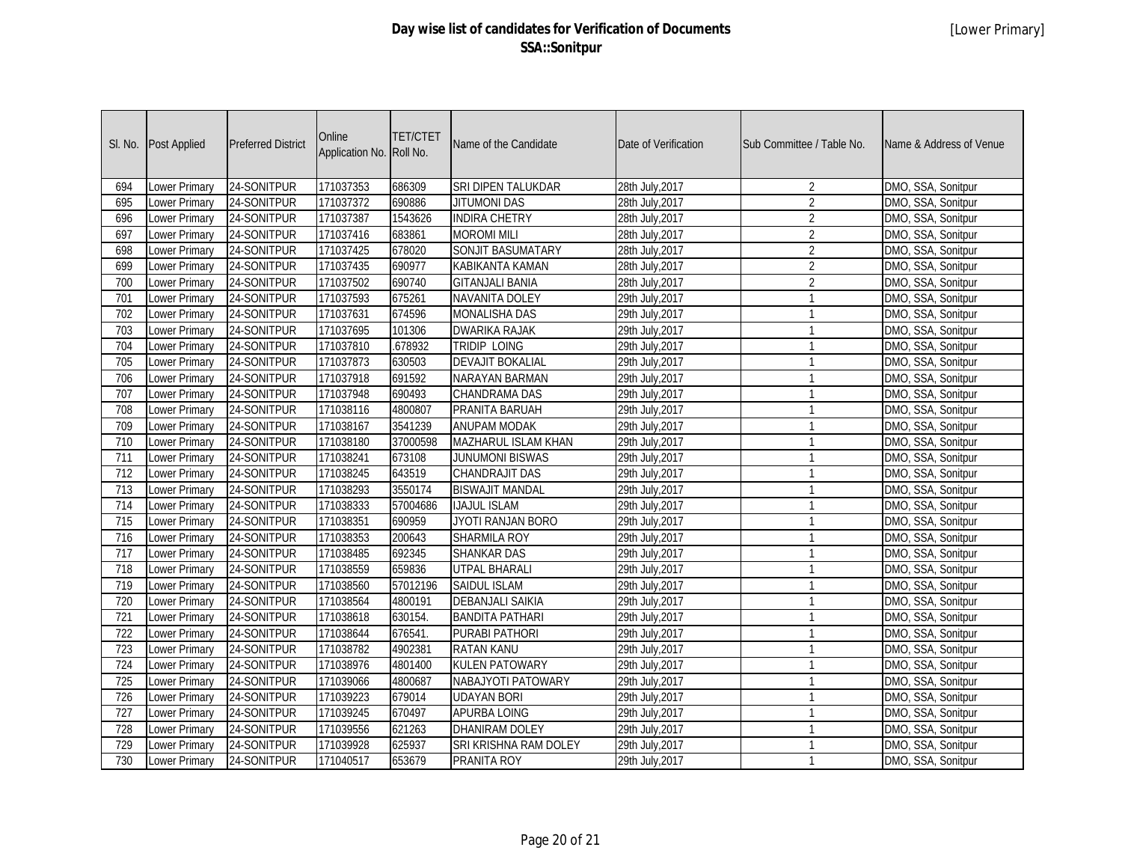| SI. No. | Post Applied         | <b>Preferred District</b> | Online<br>Application No. | <b>TET/CTET</b><br>Roll No. | Name of the Candidate    | Date of Verification | Sub Committee / Table No. | Name & Address of Venue |
|---------|----------------------|---------------------------|---------------------------|-----------------------------|--------------------------|----------------------|---------------------------|-------------------------|
| 694     | <b>Lower Primary</b> | 24-SONITPUR               | 171037353                 | 686309                      | SRI DIPEN TALUKDAR       | 28th July, 2017      | $\overline{2}$            | DMO, SSA, Sonitpur      |
| 695     | Lower Primary        | 24-SONITPUR               | 171037372                 | 690886                      | <b>JITUMONI DAS</b>      | 28th July, 2017      | $\overline{2}$            | DMO, SSA, Sonitpur      |
| 696     | Lower Primary        | 24-SONITPUR               | 171037387                 | 1543626                     | <b>INDIRA CHETRY</b>     | 28th July, 2017      | $\overline{2}$            | DMO, SSA, Sonitpur      |
| 697     | Lower Primary        | 24-SONITPUR               | 171037416                 | 683861                      | <b>MOROMI MILI</b>       | 28th July, 2017      | $\overline{2}$            | DMO, SSA, Sonitpur      |
| 698     | <b>Lower Primary</b> | 24-SONITPUR               | 171037425                 | 678020                      | <b>SONJIT BASUMATARY</b> | 28th July, 2017      | $\overline{2}$            | DMO, SSA, Sonitpur      |
| 699     | <b>Lower Primary</b> | 24-SONITPUR               | 171037435                 | 690977                      | KABIKANTA KAMAN          | 28th July, 2017      | $\overline{2}$            | DMO, SSA, Sonitpur      |
| 700     | <b>Lower Primary</b> | 24-SONITPUR               | 171037502                 | 690740                      | <b>GITANJALI BANIA</b>   | 28th July, 2017      | $\overline{2}$            | DMO, SSA, Sonitpur      |
| 701     | <b>Lower Primary</b> | 24-SONITPUR               | 171037593                 | 675261                      | <b>NAVANITA DOLEY</b>    | 29th July, 2017      | $\mathbf{1}$              | DMO, SSA, Sonitpur      |
| 702     | Lower Primary        | 24-SONITPUR               | 171037631                 | 674596                      | <b>MONALISHA DAS</b>     | 29th July, 2017      | $\mathbf{1}$              | DMO, SSA, Sonitpur      |
| 703     | Lower Primary        | 24-SONITPUR               | 171037695                 | 101306                      | <b>DWARIKA RAJAK</b>     | 29th July, 2017      | $\mathbf{1}$              | DMO, SSA, Sonitpur      |
| 704     | <b>Lower Primary</b> | 24-SONITPUR               | 171037810                 | .678932                     | <b>TRIDIP LOING</b>      | 29th July, 2017      | $\overline{1}$            | DMO, SSA, Sonitpur      |
| 705     | <b>Lower Primary</b> | 24-SONITPUR               | 171037873                 | 630503                      | <b>DEVAJIT BOKALIAL</b>  | 29th July, 2017      | $\mathbf{1}$              | DMO, SSA, Sonitpur      |
| 706     | Lower Primary        | 24-SONITPUR               | 171037918                 | 691592                      | NARAYAN BARMAN           | 29th July, 2017      | $\mathbf{1}$              | DMO, SSA, Sonitpur      |
| 707     | Lower Primary        | 24-SONITPUR               | 171037948                 | 690493                      | <b>CHANDRAMA DAS</b>     | 29th July, 2017      | $\mathbf{1}$              | DMO, SSA, Sonitpur      |
| 708     | Lower Primary        | 24-SONITPUR               | 171038116                 | 4800807                     | PRANITA BARUAH           | 29th July, 2017      | $\mathbf{1}$              | DMO, SSA, Sonitpur      |
| 709     | <b>Lower Primary</b> | 24-SONITPUR               | 171038167                 | 3541239                     | <b>ANUPAM MODAK</b>      | 29th July, 2017      | $\mathbf{1}$              | DMO, SSA, Sonitpur      |
| 710     | Lower Primary        | 24-SONITPUR               | 171038180                 | 37000598                    | MAZHARUL ISLAM KHAN      | 29th July, 2017      | $\mathbf{1}$              | DMO, SSA, Sonitpur      |
| 711     | Lower Primary        | 24-SONITPUR               | 171038241                 | 673108                      | <b>JUNUMONI BISWAS</b>   | 29th July, 2017      | $\mathbf{1}$              | DMO, SSA, Sonitpur      |
| 712     | Lower Primary        | 24-SONITPUR               | 171038245                 | 643519                      | <b>CHANDRAJIT DAS</b>    | 29th July, 2017      | $\mathbf{1}$              | DMO, SSA, Sonitpur      |
| 713     | Lower Primary        | 24-SONITPUR               | 171038293                 | 3550174                     | <b>BISWAJIT MANDAL</b>   | 29th July, 2017      | $\mathbf{1}$              | DMO, SSA, Sonitpur      |
| 714     | Lower Primary        | 24-SONITPUR               | 171038333                 | 57004686                    | <b>IJAJUL ISLAM</b>      | 29th July, 2017      | $\overline{1}$            | DMO, SSA, Sonitpur      |
| 715     | <b>Lower Primary</b> | 24-SONITPUR               | 171038351                 | 690959                      | JYOTI RANJAN BORO        | 29th July, 2017      | $\mathbf{1}$              | DMO, SSA, Sonitpur      |
| 716     | Lower Primary        | 24-SONITPUR               | 171038353                 | 200643                      | <b>SHARMILA ROY</b>      | 29th July, 2017      | $\mathbf{1}$              | DMO, SSA, Sonitpur      |
| 717     | Lower Primary        | 24-SONITPUR               | 171038485                 | 692345                      | <b>SHANKAR DAS</b>       | 29th July, 2017      | $\mathbf{1}$              | DMO, SSA, Sonitpur      |
| 718     | Lower Primary        | 24-SONITPUR               | 171038559                 | 659836                      | <b>UTPAL BHARALI</b>     | 29th July, 2017      | $\mathbf{1}$              | DMO, SSA, Sonitpur      |
| 719     | Lower Primary        | 24-SONITPUR               | 171038560                 | 57012196                    | <b>SAIDUL ISLAM</b>      | 29th July, 2017      | $\mathbf{1}$              | DMO, SSA, Sonitpur      |
| 720     | <b>Lower Primary</b> | 24-SONITPUR               | 171038564                 | 4800191                     | <b>DEBANJALI SAIKIA</b>  | 29th July, 2017      | $\mathbf{1}$              | DMO, SSA, Sonitpur      |
| 721     | Lower Primary        | 24-SONITPUR               | 171038618                 | 630154.                     | <b>BANDITA PATHARI</b>   | 29th July, 2017      | $\mathbf{1}$              | DMO, SSA, Sonitpur      |
| 722     | Lower Primary        | 24-SONITPUR               | 171038644                 | 676541.                     | PURABI PATHORI           | 29th July, 2017      | $\mathbf{1}$              | DMO, SSA, Sonitpur      |
| 723     | Lower Primary        | 24-SONITPUR               | 171038782                 | 4902381                     | <b>RATAN KANU</b>        | 29th July, 2017      | $\mathbf{1}$              | DMO, SSA, Sonitpur      |
| 724     | <b>Lower Primary</b> | 24-SONITPUR               | 171038976                 | 4801400                     | <b>KULEN PATOWARY</b>    | 29th July, 2017      | $\overline{1}$            | DMO, SSA, Sonitpur      |
| 725     | Lower Primary        | 24-SONITPUR               | 171039066                 | 4800687                     | NABAJYOTI PATOWARY       | 29th July, 2017      | $\mathbf{1}$              | DMO, SSA, Sonitpur      |
| 726     | Lower Primary        | 24-SONITPUR               | 171039223                 | 679014                      | <b>UDAYAN BORI</b>       | 29th July, 2017      | $\mathbf{1}$              | DMO, SSA, Sonitpur      |
| 727     | Lower Primary        | 24-SONITPUR               | 171039245                 | 670497                      | APURBA LOING             | 29th July, 2017      | $\mathbf{1}$              | DMO, SSA, Sonitpur      |
| 728     | Lower Primary        | 24-SONITPUR               | 171039556                 | 621263                      | <b>DHANIRAM DOLEY</b>    | 29th July, 2017      | $\mathbf{1}$              | DMO, SSA, Sonitpur      |
| 729     | Lower Primary        | 24-SONITPUR               | 171039928                 | 625937                      | SRI KRISHNA RAM DOLEY    | 29th July, 2017      | $\mathbf{1}$              | DMO, SSA, Sonitpur      |
| 730     | <b>Lower Primary</b> | 24-SONITPUR               | 171040517                 | 653679                      | PRANITA ROY              | 29th July, 2017      | $\mathbf{1}$              | DMO, SSA, Sonitpur      |